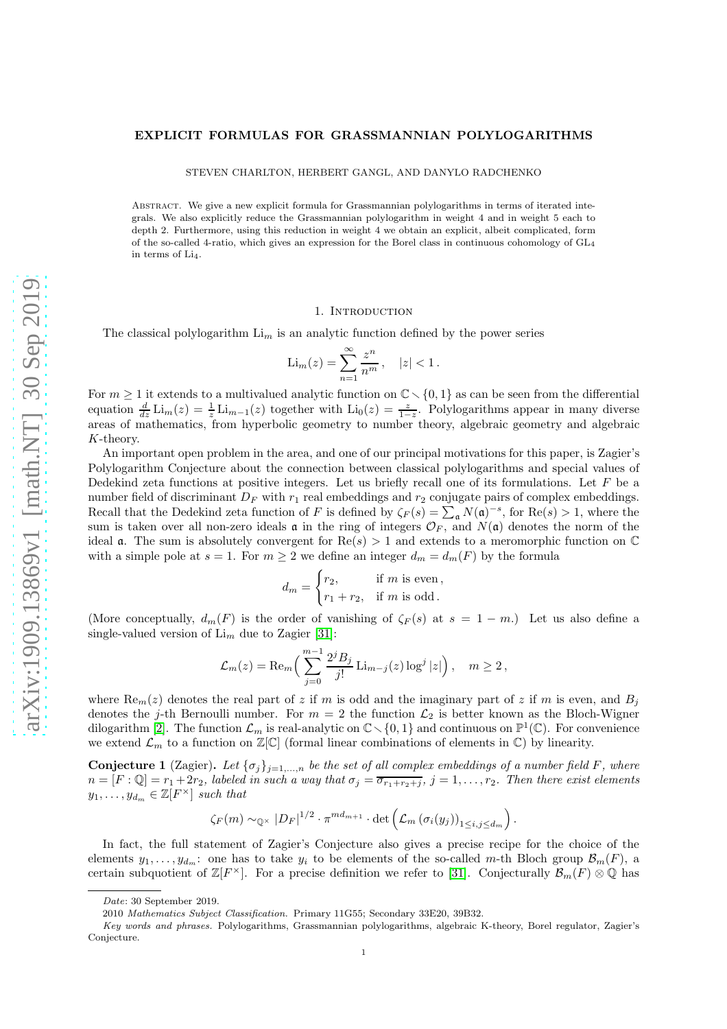### EXPLICIT FORMULAS FOR GRASSMANNIAN POLYLOGARITHMS

STEVEN CHARLTON, HERBERT GANGL, AND DANYLO RADCHENKO

Abstract. We give a new explicit formula for Grassmannian polylogarithms in terms of iterated integrals. We also explicitly reduce the Grassmannian polylogarithm in weight 4 and in weight 5 each to depth 2. Furthermore, using this reduction in weight 4 we obtain an explicit, albeit complicated, form of the so-called 4-ratio, which gives an expression for the Borel class in continuous cohomology of  $GL_4$ in terms of  $Li<sub>4</sub>$ .

#### 1. INTRODUCTION

The classical polylogarithm  $\text{Li}_m$  is an analytic function defined by the power series

$$
\text{Li}_m(z) = \sum_{n=1}^{\infty} \frac{z^n}{n^m}, \quad |z| < 1.
$$

For  $m \geq 1$  it extends to a multivalued analytic function on  $\mathbb{C} \setminus \{0, 1\}$  as can be seen from the differential equation  $\frac{d}{dz}$  Li<sub>m</sub>(z) =  $\frac{1}{z}$  Li<sub>m-1</sub>(z) together with Li<sub>0</sub>(z) =  $\frac{z}{1-z}$ . Polylogarithms appear in many diverse areas of mathematics, from hyperbolic geometry to number theory, algebraic geometry and algebraic K-theory.

An important open problem in the area, and one of our principal motivations for this paper, is Zagier's Polylogarithm Conjecture about the connection between classical polylogarithms and special values of Dedekind zeta functions at positive integers. Let us briefly recall one of its formulations. Let  $F$  be a number field of discriminant  $D_F$  with  $r_1$  real embeddings and  $r_2$  conjugate pairs of complex embeddings. Recall that the Dedekind zeta function of F is defined by  $\zeta_F(s) = \sum_{\mathfrak{a}} N(\mathfrak{a})^{-s}$ , for Re $(s) > 1$ , where the sum is taken over all non-zero ideals  $\mathfrak a$  in the ring of integers  $\mathcal O_F$ , and  $N(\mathfrak a)$  denotes the norm of the ideal **a**. The sum is absolutely convergent for  $\text{Re}(s) > 1$  and extends to a meromorphic function on  $\mathbb{C}$ with a simple pole at  $s = 1$ . For  $m \geq 2$  we define an integer  $d_m = d_m(F)$  by the formula

$$
d_m = \begin{cases} r_2, & \text{if } m \text{ is even,} \\ r_1 + r_2, & \text{if } m \text{ is odd.} \end{cases}
$$

(More conceptually,  $d_m(F)$  is the order of vanishing of  $\zeta_F(s)$  at  $s = 1 - m$ .) Let us also define a single-valued version of  $\text{Li}_m$  due to Zagier [\[31\]](#page-27-0):

$$
\mathcal{L}_m(z) = \text{Re}_m \Big( \sum_{j=0}^{m-1} \frac{2^j B_j}{j!} \text{Li}_{m-j}(z) \log^j |z| \Big), \quad m \ge 2,
$$

where  $\text{Re}_m(z)$  denotes the real part of z if m is odd and the imaginary part of z if m is even, and  $B_i$ denotes the j-th Bernoulli number. For  $m = 2$  the function  $\mathcal{L}_2$  is better known as the Bloch-Wigner dilogarithm [\[2\]](#page-27-1). The function  $\mathcal{L}_m$  is real-analytic on  $\mathbb{C}\setminus\{0,1\}$  and continuous on  $\mathbb{P}^1(\mathbb{C})$ . For convenience we extend  $\mathcal{L}_m$  to a function on  $\mathbb{Z}[\mathbb{C}]$  (formal linear combinations of elements in  $\mathbb{C}$ ) by linearity.

<span id="page-0-0"></span>**Conjecture 1** (Zagier). Let  $\{\sigma_j\}_{j=1,\dots,n}$  be the set of all complex embeddings of a number field F, where  $n = [F:\mathbb{Q}] = r_1 + 2r_2$ , labeled in such a way that  $\sigma_j = \overline{\sigma_{r_1+r_2+j}}$ ,  $j = 1, \ldots, r_2$ . Then there exist elements  $y_1, \ldots, y_{d_m} \in \mathbb{Z}[F^{\times}]$  such that

$$
\zeta_F(m) \sim_{\mathbb{Q}^\times} |D_F|^{1/2} \cdot \pi^{md_{m+1}} \cdot \det \left( \mathcal{L}_m \left( \sigma_i(y_j) \right)_{1 \leq i,j \leq d_m} \right).
$$

In fact, the full statement of Zagier's Conjecture also gives a precise recipe for the choice of the elements  $y_1, \ldots, y_{d_m}$ : one has to take  $y_i$  to be elements of the so-called m-th Bloch group  $\mathcal{B}_m(F)$ , a certain subquotient of  $\mathbb{Z}[F^{\times}]$ . For a precise definition we refer to [\[31\]](#page-27-0). Conjecturally  $\mathcal{B}_m(F) \otimes \mathbb{Q}$  has

Date: 30 September 2019.

<sup>2010</sup> Mathematics Subject Classification. Primary 11G55; Secondary 33E20, 39B32.

Key words and phrases. Polylogarithms, Grassmannian polylogarithms, algebraic K-theory, Borel regulator, Zagier's Conjecture.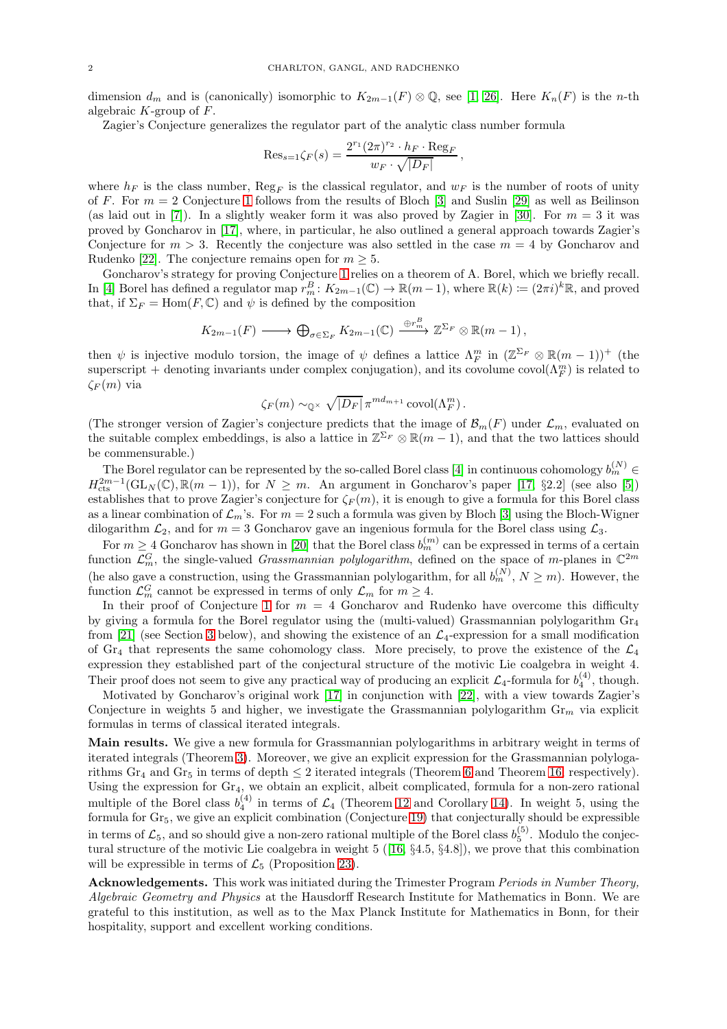dimension  $d_m$  and is (canonically) isomorphic to  $K_{2m-1}(F) \otimes \mathbb{Q}$ , see [\[1,](#page-27-2) [26\]](#page-27-3). Here  $K_n(F)$  is the n-th algebraic  $K$ -group of  $F$ .

Zagier's Conjecture generalizes the regulator part of the analytic class number formula

$$
\mathrm{Res}_{s=1} \zeta_F(s) = \frac{2^{r_1} (2\pi)^{r_2} \cdot h_F \cdot \mathrm{Reg}_F}{w_F \cdot \sqrt{|D_F|}},
$$

where  $h_F$  is the class number,  $\text{Reg}_F$  is the classical regulator, and  $w_F$  is the number of roots of unity of F. For  $m = 2$  Conjecture [1](#page-0-0) follows from the results of Bloch [\[3\]](#page-27-4) and Suslin [\[29\]](#page-27-5) as well as Beilinson (as laid out in [\[7\]](#page-27-6)). In a slightly weaker form it was also proved by Zagier in [\[30\]](#page-27-7). For  $m = 3$  it was proved by Goncharov in [\[17\]](#page-27-8), where, in particular, he also outlined a general approach towards Zagier's Conjecture for  $m > 3$ . Recently the conjecture was also settled in the case  $m = 4$  by Goncharov and Rudenko [\[22\]](#page-27-9). The conjecture remains open for  $m \geq 5$ .

Goncharov's strategy for proving Conjecture [1](#page-0-0) relies on a theorem of A. Borel, which we briefly recall. In [\[4\]](#page-27-10) Borel has defined a regulator map  $r_m^B: K_{2m-1}(\mathbb{C}) \to \mathbb{R}(m-1)$ , where  $\mathbb{R}(k) := (2\pi i)^k \mathbb{R}$ , and proved that, if  $\Sigma_F = \text{Hom}(F, \mathbb{C})$  and  $\psi$  is defined by the composition

$$
K_{2m-1}(F) \longrightarrow \bigoplus_{\sigma \in \Sigma_F} K_{2m-1}(\mathbb{C}) \xrightarrow{\oplus r_m^B} \mathbb{Z}^{\Sigma_F} \otimes \mathbb{R}(m-1),
$$

then  $\psi$  is injective modulo torsion, the image of  $\psi$  defines a lattice  $\Lambda_F^m$  in  $(\mathbb{Z}^{\Sigma_F} \otimes \mathbb{R}(m-1))^+$  (the superscript + denoting invariants under complex conjugation), and its covolume covol $(\Lambda_F^m)$  is related to  $\zeta_F(m)$  via

$$
\zeta_F(m) \sim_{\mathbb{Q}^\times} \sqrt{|D_F|} \pi^{md_{m+1}} \operatorname{covol}(\Lambda_F^m).
$$

(The stronger version of Zagier's conjecture predicts that the image of  $\mathcal{B}_m(F)$  under  $\mathcal{L}_m$ , evaluated on the suitable complex embeddings, is also a lattice in  $\mathbb{Z}^{\Sigma_F} \otimes \mathbb{R}(m-1)$ , and that the two lattices should be commensurable.)

The Borel regulator can be represented by the so-called Borel class [\[4\]](#page-27-10) in continuous cohomology  $b_m^{(N)}$   $\in$  $H_{\text{cts}}^{2m-1}(\text{GL}_N(\mathbb{C}), \mathbb{R}(m-1)),$  for  $N \geq m$ . An argument in Goncharov's paper [\[17,](#page-27-8) §2.2] (see also [\[5\]](#page-27-11)) establishes that to prove Zagier's conjecture for  $\zeta_F(m)$ , it is enough to give a formula for this Borel class as a linear combination of  $\mathcal{L}_m$ 's. For  $m = 2$  such a formula was given by Bloch [\[3\]](#page-27-4) using the Bloch-Wigner dilogarithm  $\mathcal{L}_2$ , and for  $m = 3$  Goncharov gave an ingenious formula for the Borel class using  $\mathcal{L}_3$ .

For  $m \geq 4$  Goncharov has shown in [\[20\]](#page-27-12) that the Borel class  $b_m^{(m)}$  can be expressed in terms of a certain function  $\mathcal{L}_m^G$ , the single-valued *Grassmannian polylogarithm*, defined on the space of m-planes in  $\mathbb{C}^{2m}$ (he also gave a construction, using the Grassmannian polylogarithm, for all  $b_m^{(N)}$ ,  $N \ge m$ ). However, the function  $\mathcal{L}_m^G$  cannot be expressed in terms of only  $\mathcal{L}_m$  for  $m \geq 4$ .

In their proof of Conjecture [1](#page-0-0) for  $m = 4$  Goncharov and Rudenko have overcome this difficulty by giving a formula for the Borel regulator using the (multi-valued) Grassmannian polylogarithm  $\text{Gr}_4$ from [\[21\]](#page-27-13) (see Section [3](#page-3-0) below), and showing the existence of an  $\mathcal{L}_4$ -expression for a small modification of Gr<sub>4</sub> that represents the same cohomology class. More precisely, to prove the existence of the  $\mathcal{L}_4$ expression they established part of the conjectural structure of the motivic Lie coalgebra in weight 4. Their proof does not seem to give any practical way of producing an explicit  $\mathcal{L}_4$ -formula for  $b_4^{(4)}$ , though.

Motivated by Goncharov's original work [\[17\]](#page-27-8) in conjunction with [\[22\]](#page-27-9), with a view towards Zagier's Conjecture in weights 5 and higher, we investigate the Grassmannian polylogarithm  $\mathrm{Gr}_m$  via explicit formulas in terms of classical iterated integrals.

Main results. We give a new formula for Grassmannian polylogarithms in arbitrary weight in terms of iterated integrals (Theorem [3\)](#page-3-1). Moreover, we give an explicit expression for the Grassmannian polylogarithms Gr<sub>4</sub> and Gr<sub>5</sub> in terms of depth  $\leq 2$  iterated integrals (Theorem [6](#page-4-0) and Theorem [16,](#page-7-0) respectively). Using the expression for Gr4, we obtain an explicit, albeit complicated, formula for a non-zero rational multiple of the Borel class  $b_4^{(4)}$  in terms of  $\mathcal{L}_4$  (Theorem [12](#page-6-0) and Corollary [14\)](#page-6-1). In weight 5, using the formula for Gr<sub>5</sub>, we give an explicit combination (Conjecture 19) that conjecturally should be expressible in terms of  $\mathcal{L}_5$ , and so should give a non-zero rational multiple of the Borel class  $b_5^{(5)}$ . Modulo the conjectural structure of the motivic Lie coalgebra in weight 5 ([\[16,](#page-27-14) §4.5, §4.8]), we prove that this combination will be expressible in terms of  $\mathcal{L}_5$  (Proposition [23\)](#page-9-0).

Acknowledgements. This work was initiated during the Trimester Program Periods in Number Theory, Algebraic Geometry and Physics at the Hausdorff Research Institute for Mathematics in Bonn. We are grateful to this institution, as well as to the Max Planck Institute for Mathematics in Bonn, for their hospitality, support and excellent working conditions.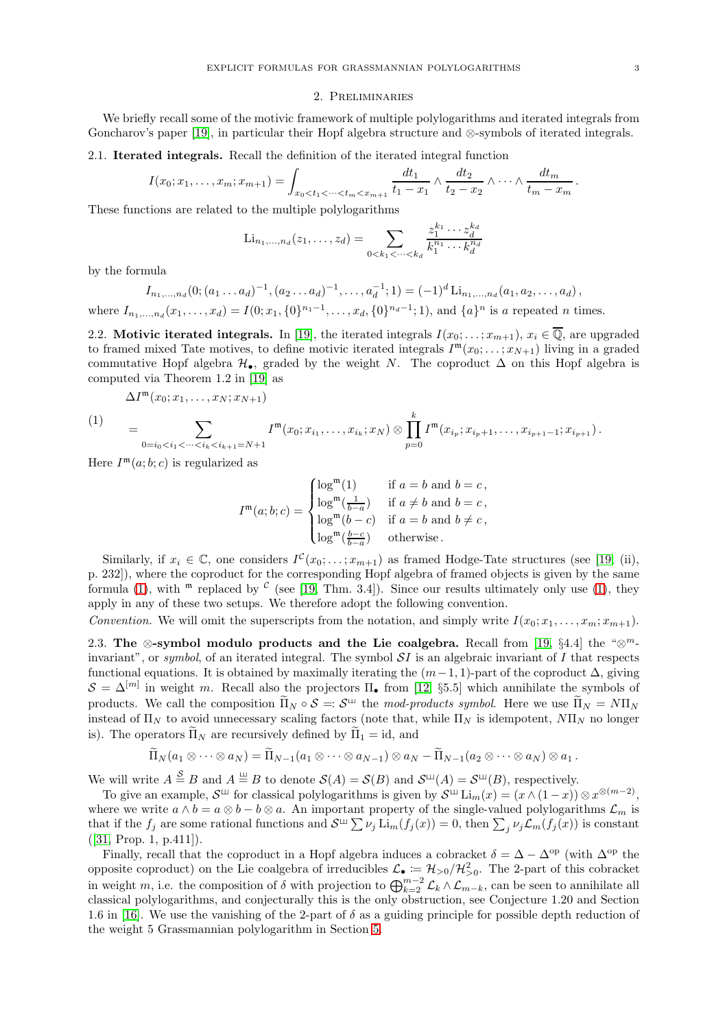#### 2. Preliminaries

We briefly recall some of the motivic framework of multiple polylogarithms and iterated integrals from Goncharov's paper [\[19\]](#page-27-15), in particular their Hopf algebra structure and ⊗-symbols of iterated integrals.

## 2.1. Iterated integrals. Recall the definition of the iterated integral function

$$
I(x_0; x_1, \ldots, x_m; x_{m+1}) = \int_{x_0 < t_1 < \cdots < t_m < x_{m+1}} \frac{dt_1}{t_1 - x_1} \wedge \frac{dt_2}{t_2 - x_2} \wedge \cdots \wedge \frac{dt_m}{t_m - x_m}
$$

These functions are related to the multiple polylogarithms

$$
\text{Li}_{n_1,\dots,n_d}(z_1,\dots,z_d) = \sum_{0 < k_1 < \dots < k_d} \frac{z_1^{k_1} \cdots z_d^{k_d}}{k_1^{n_1} \cdots k_d^{n_d}}
$$

by the formula

 $I_{n_1,...,n_d}(0; (a_1...a_d)^{-1}, (a_2...a_d)^{-1},..., a_d^{-1}; 1) = (-1)^d \operatorname{Li}_{n_1,...,n_d}(a_1, a_2,..., a_d),$ 

where  $I_{n_1,...,n_d}(x_1,...,x_d) = I(0; x_1, \{0\}^{n_1-1},..., x_d, \{0\}^{n_d-1}; 1)$ , and  $\{a\}^n$  is a repeated n times.

2.2. Motivic iterated integrals. In [\[19\]](#page-27-15), the iterated integrals  $I(x_0; \ldots; x_{m+1}), x_i \in \overline{\mathbb{Q}}$ , are upgraded to framed mixed Tate motives, to define motivic iterated integrals  $I^{\mathfrak{m}}(x_0; \ldots; x_{N+1})$  living in a graded commutative Hopf algebra  $\mathcal{H}_{\bullet}$ , graded by the weight N. The coproduct  $\Delta$  on this Hopf algebra is computed via Theorem 1.2 in [\[19\]](#page-27-15) as

$$
\Delta I^{\mathfrak{m}}(x_0;x_1,\ldots,x_N;x_{N+1})
$$

<span id="page-2-0"></span>
$$
(1) \qquad = \sum_{0=i_0
$$

Here  $I^{\mathfrak{m}}(a;b;c)$  is regularized as

$$
I^{\mathfrak{m}}(a;b;c)=\begin{cases} \log^{\mathfrak{m}}(1) & \text{if } a=b \text{ and } b=c\,,\\ \log^{\mathfrak{m}}(\frac{1}{b-a}) & \text{if } a\neq b \text{ and } b=c\,,\\ \log^{\mathfrak{m}}(b-c) & \text{if } a=b \text{ and } b\neq c\,,\\ \log^{\mathfrak{m}}(\frac{b-c}{b-a}) & \text{otherwise}\,. \end{cases}
$$

Similarly, if  $x_i \in \mathbb{C}$ , one considers  $I^{\mathcal{C}}(x_0; \ldots; x_{m+1})$  as framed Hodge-Tate structures (see [\[19,](#page-27-15) (ii), p. 232]), where the coproduct for the corresponding Hopf algebra of framed objects is given by the same formula [\(1\)](#page-2-0), with  $^{\mathfrak{m}}$  replaced by  $^{\mathcal{C}}$  (see [\[19,](#page-27-15) Thm. 3.4]). Since our results ultimately only use (1), they apply in any of these two setups. We therefore adopt the following convention.

Convention. We will omit the superscripts from the notation, and simply write  $I(x_0; x_1, \ldots, x_m; x_{m+1})$ .

<span id="page-2-1"></span>2.3. The ⊗-symbol modulo products and the Lie coalgebra. Recall from [\[19,](#page-27-15) §4.4] the " $\otimes^m$ invariant", or symbol, of an iterated integral. The symbol  $SI$  is an algebraic invariant of I that respects functional equations. It is obtained by maximally iterating the  $(m-1, 1)$ -part of the coproduct  $\Delta$ , giving  $S = \Delta^{[m]}$  in weight m. Recall also the projectors  $\Pi_{\bullet}$  from [\[12,](#page-27-16) §5.5] which annihilate the symbols of products. We call the composition  $\Pi_N \circ \mathcal{S} = \mathcal{S}^{\sqcup}$  the mod-products symbol. Here we use  $\Pi_N = N \Pi_N$ instead of  $\Pi_N$  to avoid unnecessary scaling factors (note that, while  $\Pi_N$  is idempotent,  $N\Pi_N$  no longer is). The operators  $\tilde{\Pi}_N$  are recursively defined by  $\tilde{\Pi}_1 = id$ , and

$$
\widetilde{\Pi}_N(a_1\otimes\cdots\otimes a_N)=\widetilde{\Pi}_{N-1}(a_1\otimes\cdots\otimes a_{N-1})\otimes a_N-\widetilde{\Pi}_{N-1}(a_2\otimes\cdots\otimes a_N)\otimes a_1.
$$

We will write  $A \stackrel{S}{=} B$  and  $A \stackrel{w}{=} B$  to denote  $\mathcal{S}(A) = \mathcal{S}(B)$  and  $\mathcal{S}^{\perp\!\!\!\perp}(A) = \mathcal{S}^{\perp\!\!\!\perp}(B)$ , respectively.

To give an example,  $S^{\sqcup}$  for classical polylogarithms is given by  $S^{\sqcup}$  Li<sub>m</sub>(x) = (x  $\wedge$  (1 - x))  $\otimes x^{\otimes(m-2)}$ , where we write  $a \wedge b = a \otimes b - b \otimes a$ . An important property of the single-valued polylogarithms  $\mathcal{L}_m$  is that if the  $f_j$  are some rational functions and  $\mathcal{S}^{\square} \sum \nu_j \text{Li}_m(f_j(x)) = 0$ , then  $\sum_j \nu_j \mathcal{L}_m(f_j(x))$  is constant ([\[31,](#page-27-0) Prop. 1, p.411]).

Finally, recall that the coproduct in a Hopf algebra induces a cobracket  $\delta = \Delta - \Delta^{\rm op}$  (with  $\Delta^{\rm op}$  the opposite coproduct) on the Lie coalgebra of irreducibles  $\mathcal{L}_{\bullet} := \mathcal{H}_{>0}/\mathcal{H}_{>0}^2$ . The 2-part of this cobracket in weight m, i.e. the composition of  $\delta$  with projection to  $\bigoplus_{k=2}^{m-2} \mathcal{L}_k \wedge \mathcal{L}_{m-k}$ , can be seen to annihilate all classical polylogarithms, and conjecturally this is the only obstruction, see Conjecture 1.20 and Section 1.6 in [\[16\]](#page-27-14). We use the vanishing of the 2-part of  $\delta$  as a guiding principle for possible depth reduction of the weight 5 Grassmannian polylogarithm in Section [5.](#page-7-1)

.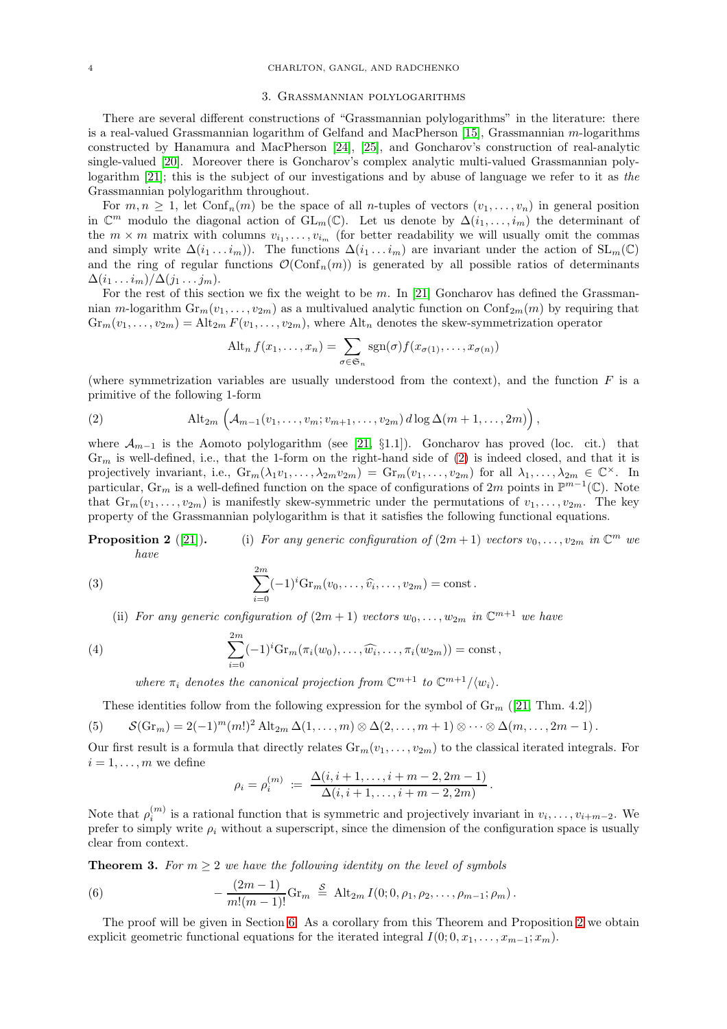#### 3. Grassmannian polylogarithms

<span id="page-3-0"></span>There are several different constructions of "Grassmannian polylogarithms" in the literature: there is a real-valued Grassmannian logarithm of Gelfand and MacPherson [\[15\]](#page-27-17), Grassmannian  $m$ -logarithms constructed by Hanamura and MacPherson [\[24\]](#page-27-18), [\[25\]](#page-27-19), and Goncharov's construction of real-analytic single-valued [\[20\]](#page-27-12). Moreover there is Goncharov's complex analytic multi-valued Grassmannian polylogarithm [\[21\]](#page-27-13); this is the subject of our investigations and by abuse of language we refer to it as the Grassmannian polylogarithm throughout.

For  $m, n \geq 1$ , let  $\text{Conf}_n(m)$  be the space of all *n*-tuples of vectors  $(v_1, \ldots, v_n)$  in general position in  $\mathbb{C}^m$  modulo the diagonal action of  $GL_m(\mathbb{C})$ . Let us denote by  $\Delta(i_1,\ldots,i_m)$  the determinant of the  $m \times m$  matrix with columns  $v_{i_1}, \ldots, v_{i_m}$  (for better readability we will usually omit the commas and simply write  $\Delta(i_1 \ldots i_m)$ . The functions  $\Delta(i_1 \ldots i_m)$  are invariant under the action of  $SL_m(\mathbb{C})$ and the ring of regular functions  $\mathcal{O}(\text{Conf}_n(m))$  is generated by all possible ratios of determinants  $\Delta(i_1 \ldots i_m)/\Delta(j_1 \ldots j_m).$ 

For the rest of this section we fix the weight to be  $m$ . In [\[21\]](#page-27-13) Goncharov has defined the Grassmannian m-logarithm  $\text{Gr}_m(v_1, \ldots, v_{2m})$  as a multivalued analytic function on  $\text{Conf}_{2m}(m)$  by requiring that  $Gr_m(v_1,\ldots,v_{2m}) = Alt_{2m} F(v_1,\ldots,v_{2m})$ , where Alt<sub>n</sub> denotes the skew-symmetrization operator

<span id="page-3-2"></span>
$$
\text{Alt}_n f(x_1,\ldots,x_n) = \sum_{\sigma \in \mathfrak{S}_n} \text{sgn}(\sigma) f(x_{\sigma(1)},\ldots,x_{\sigma(n)})
$$

(where symmetrization variables are usually understood from the context), and the function  $F$  is a primitive of the following 1-form

(2) 
$$
\text{Alt}_{2m}\left(\mathcal{A}_{m-1}(v_1,\ldots,v_m;v_{m+1},\ldots,v_{2m})\,d\log\Delta(m+1,\ldots,2m)\right),
$$

where  $\mathcal{A}_{m-1}$  is the Aomoto polylogarithm (see [\[21,](#page-27-13) §1.1]). Goncharov has proved (loc. cit.) that  $Gr_m$  is well-defined, i.e., that the 1-form on the right-hand side of [\(2\)](#page-3-2) is indeed closed, and that it is projectively invariant, i.e.,  $\mathrm{Gr}_m(\lambda_1 v_1, \ldots, \lambda_{2m} v_{2m}) = \mathrm{Gr}_m(v_1, \ldots, v_{2m})$  for all  $\lambda_1, \ldots, \lambda_{2m} \in \mathbb{C}^{\times}$ . In particular,  $\text{Gr}_m$  is a well-defined function on the space of configurations of  $2m$  points in  $\mathbb{P}^{m-1}(\mathbb{C})$ . Note that  $Gr_m(v_1,\ldots,v_{2m})$  is manifestly skew-symmetric under the permutations of  $v_1,\ldots,v_{2m}$ . The key property of the Grassmannian polylogarithm is that it satisfies the following functional equations.

**Proposition 2** ([\[21\]](#page-27-13)). (i) For any generic configuration of  $(2m+1)$  vectors  $v_0, \ldots, v_{2m}$  in  $\mathbb{C}^m$  we have

(3) 
$$
\sum_{i=0}^{2m} (-1)^{i} Gr_m(v_0, \ldots, \widehat{v_i}, \ldots, v_{2m}) = \text{const.}
$$

(ii) For any generic configuration of  $(2m + 1)$  vectors  $w_0, \ldots, w_{2m}$  in  $\mathbb{C}^{m+1}$  we have

(4) 
$$
\sum_{i=0}^{2m} (-1)^i \mathrm{Gr}_m(\pi_i(w_0), \dots, \widehat{w_i}, \dots, \pi_i(w_{2m})) = \mathrm{const},
$$

where  $\pi_i$  denotes the canonical projection from  $\mathbb{C}^{m+1}$  to  $\mathbb{C}^{m+1}/\langle w_i \rangle$ .

<span id="page-3-3"></span>These identities follow from the following expression for the symbol of  $\mathrm{Gr}_{m}$  ([\[21,](#page-27-13) Thm. 4.2])

(5) 
$$
\mathcal{S}(\mathrm{Gr}_m) = 2(-1)^m(m!)^2 \mathrm{Alt}_{2m} \Delta(1,\ldots,m) \otimes \Delta(2,\ldots,m+1) \otimes \cdots \otimes \Delta(m,\ldots,2m-1).
$$

Our first result is a formula that directly relates  $Gr_m(v_1, \ldots, v_{2m})$  to the classical iterated integrals. For  $i = 1, \ldots, m$  we define

<span id="page-3-4"></span>
$$
\rho_i = \rho_i^{(m)} := \frac{\Delta(i, i + 1, \dots, i + m - 2, 2m - 1)}{\Delta(i, i + 1, \dots, i + m - 2, 2m)}.
$$

Note that  $\rho_i^{(m)}$  is a rational function that is symmetric and projectively invariant in  $v_i, \ldots, v_{i+m-2}$ . We prefer to simply write  $\rho_i$  without a superscript, since the dimension of the configuration space is usually clear from context.

<span id="page-3-1"></span>**Theorem 3.** For  $m \geq 2$  we have the following identity on the level of symbols

(6) 
$$
-\frac{(2m-1)}{m!(m-1)!} \text{Gr}_m \stackrel{S}{=} \text{Alt}_{2m} I(0; 0, \rho_1, \rho_2, \dots, \rho_{m-1}; \rho_m).
$$

The proof will be given in Section [6.](#page-9-1) As a corollary from this Theorem and Proposition 2 we obtain explicit geometric functional equations for the iterated integral  $I(0; 0, x_1, \ldots, x_{m-1}; x_m)$ .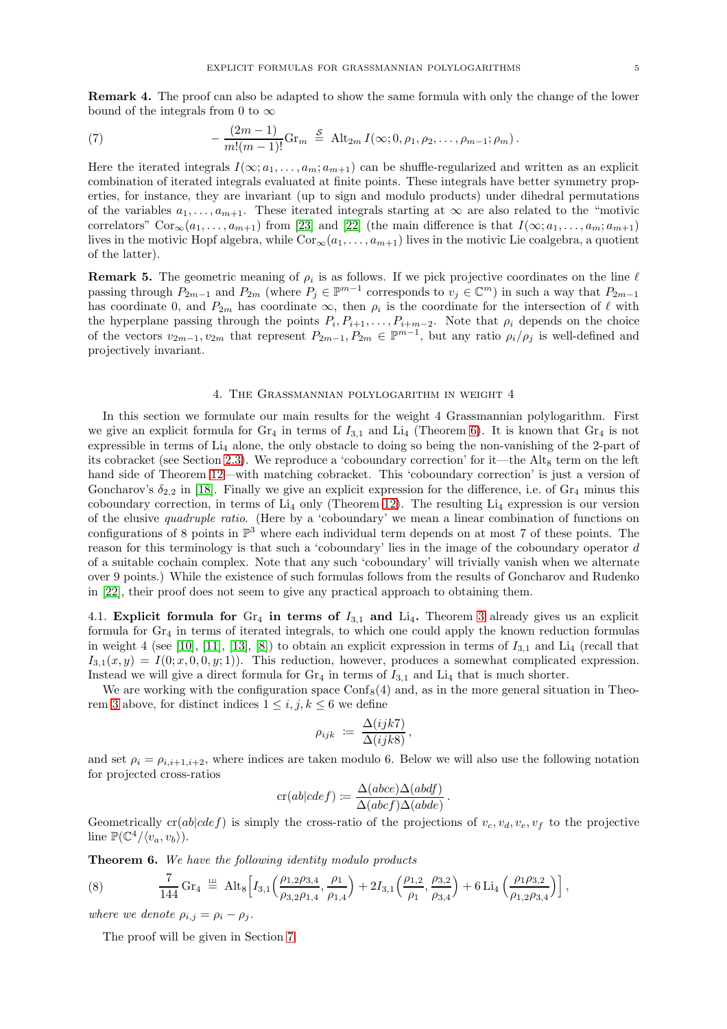Remark 4. The proof can also be adapted to show the same formula with only the change of the lower bound of the integrals from 0 to  $\infty$ 

<span id="page-4-2"></span>(7) 
$$
-\frac{(2m-1)}{m!(m-1)!} \text{Gr}_m \stackrel{S}{=} \text{Alt}_{2m} I(\infty; 0, \rho_1, \rho_2, \ldots, \rho_{m-1}; \rho_m).
$$

Here the iterated integrals  $I(\infty; a_1, \ldots, a_m; a_{m+1})$  can be shuffle-regularized and written as an explicit combination of iterated integrals evaluated at finite points. These integrals have better symmetry properties, for instance, they are invariant (up to sign and modulo products) under dihedral permutations of the variables  $a_1, \ldots, a_{m+1}$ . These iterated integrals starting at  $\infty$  are also related to the "motivic correlators" Cor<sub>∞</sub>(a<sub>1</sub>, ..., a<sub>m+1</sub>) from [\[23\]](#page-27-20) and [\[22\]](#page-27-9) (the main difference is that  $I(\infty; a_1, \ldots, a_m; a_{m+1})$ lives in the motivic Hopf algebra, while  $Cor_{\infty}(a_1, \ldots, a_{m+1})$  lives in the motivic Lie coalgebra, a quotient of the latter).

**Remark 5.** The geometric meaning of  $\rho_i$  is as follows. If we pick projective coordinates on the line  $\ell$ passing through  $P_{2m-1}$  and  $P_{2m}$  (where  $P_j \in \mathbb{P}^{m-1}$  corresponds to  $v_j \in \mathbb{C}^m$ ) in such a way that  $P_{2m-1}$ has coordinate 0, and  $P_{2m}$  has coordinate  $\infty$ , then  $\rho_i$  is the coordinate for the intersection of  $\ell$  with the hyperplane passing through the points  $P_i, P_{i+1}, \ldots, P_{i+m-2}$ . Note that  $\rho_i$  depends on the choice of the vectors  $v_{2m-1}, v_{2m}$  that represent  $P_{2m-1}, P_{2m} \in \mathbb{P}^{m-1}$ , but any ratio  $\rho_i/\rho_j$  is well-defined and projectively invariant.

## 4. The Grassmannian polylogarithm in weight 4

In this section we formulate our main results for the weight 4 Grassmannian polylogarithm. First we give an explicit formula for  $Gr_4$  in terms of  $I_{3,1}$  and  $Li_4$  (Theorem [6\)](#page-4-0). It is known that  $Gr_4$  is not expressible in terms of Li<sup>4</sup> alone, the only obstacle to doing so being the non-vanishing of the 2-part of its cobracket (see Section [2.3\)](#page-2-1). We reproduce a 'coboundary correction' for it—the Alt $_8$  term on the left hand side of Theorem [12—](#page-6-0)with matching cobracket. This 'coboundary correction' is just a version of Goncharov's  $\delta_{2,2}$  in [\[18\]](#page-27-21). Finally we give an explicit expression for the difference, i.e. of  $\text{Gr}_4$  minus this coboundary correction, in terms of  $Li_4$  only (Theorem [12\)](#page-6-0). The resulting  $Li_4$  expression is our version of the elusive quadruple ratio. (Here by a 'coboundary' we mean a linear combination of functions on configurations of 8 points in P <sup>3</sup> where each individual term depends on at most 7 of these points. The reason for this terminology is that such a 'coboundary' lies in the image of the coboundary operator d of a suitable cochain complex. Note that any such 'coboundary' will trivially vanish when we alternate over 9 points.) While the existence of such formulas follows from the results of Goncharov and Rudenko in [\[22\]](#page-27-9), their proof does not seem to give any practical approach to obtaining them.

4.1. Explicit formula for  $Gr_4$  in terms of  $I_{3,1}$  and  $Li_4$ . Theorem [3](#page-3-1) already gives us an explicit formula for  $\text{Gr}_4$  in terms of iterated integrals, to which one could apply the known reduction formulas in weight 4 (see [\[10\]](#page-27-22), [\[11\]](#page-27-23), [\[13\]](#page-27-24), [\[8\]](#page-27-25)) to obtain an explicit expression in terms of  $I_{3,1}$  and Li<sub>4</sub> (recall that  $I_{3,1}(x, y) = I(0; x, 0, 0, y; 1)$ . This reduction, however, produces a somewhat complicated expression. Instead we will give a direct formula for  $\text{Gr}_4$  in terms of  $I_{3,1}$  and  $\text{Li}_4$  that is much shorter.

We are working with the configuration space  $\text{Conf}_8(4)$  and, as in the more general situation in Theo-rem [3](#page-3-1) above, for distinct indices  $1 \leq i, j, k \leq 6$  we define

$$
\rho_{ijk} := \frac{\Delta(ijk7)}{\Delta(ijk8)},
$$

and set  $\rho_i = \rho_{i,i+1,i+2}$ , where indices are taken modulo 6. Below we will also use the following notation for projected cross-ratios

$$
cr(ab|cdef) := \frac{\Delta(abce)\Delta(abdf)}{\Delta(abcf)\Delta(abde)}
$$

.

Geometrically  $cr(ab|cdef)$  is simply the cross-ratio of the projections of  $v_c, v_d, v_e, v_f$  to the projective line  $\mathbb{P}(\mathbb{C}^4/\langle v_a, v_b \rangle)$ .

<span id="page-4-0"></span>Theorem 6. We have the following identity modulo products

<span id="page-4-1"></span>(8) 
$$
\frac{7}{144} \,\mathrm{G}r_4 \stackrel{\perp}{=} \mathrm{Alt}_8 \Big[ I_{3,1} \Big( \frac{\rho_{1,2}\rho_{3,4}}{\rho_{3,2}\rho_{1,4}}, \frac{\rho_1}{\rho_{1,4}} \Big) + 2I_{3,1} \Big( \frac{\rho_{1,2}}{\rho_{1}}, \frac{\rho_{3,2}}{\rho_{3,4}} \Big) + 6 \,\mathrm{Li}_4 \Big( \frac{\rho_{1}\rho_{3,2}}{\rho_{1,2}\rho_{3,4}} \Big) \Big],
$$

where we denote  $\rho_{i,j} = \rho_i - \rho_j$ .

The proof will be given in Section [7.](#page-12-0)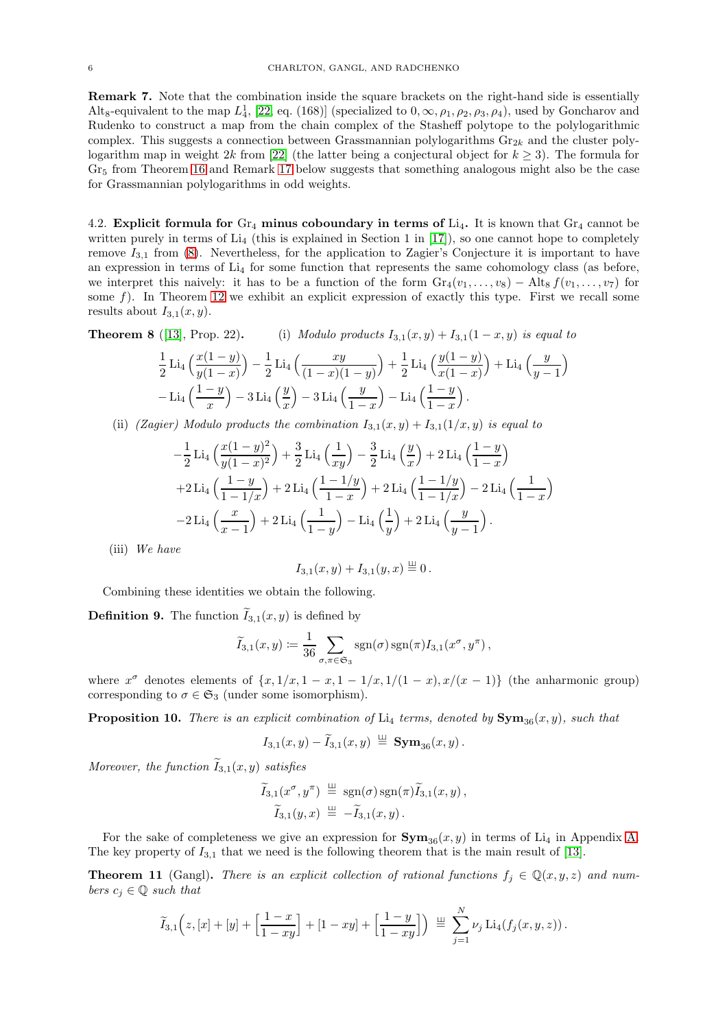<span id="page-5-0"></span>Remark 7. Note that the combination inside the square brackets on the right-hand side is essentially Alt<sub>8</sub>-equivalent to the map  $L_4^1$ , [\[22,](#page-27-9) eq. (168)] (specialized to  $0, \infty, \rho_1, \rho_2, \rho_3, \rho_4$ ), used by Goncharov and Rudenko to construct a map from the chain complex of the Stasheff polytope to the polylogarithmic complex. This suggests a connection between Grassmannian polylogarithms  $\text{Gr}_{2k}$  and the cluster poly-logarithm map in weight 2k from [\[22\]](#page-27-9) (the latter being a conjectural object for  $k \geq 3$ ). The formula for  $Gr<sub>5</sub>$  from Theorem [16](#page-7-0) and Remark [17](#page-7-2) below suggests that something analogous might also be the case for Grassmannian polylogarithms in odd weights.

4.2. Explicit formula for  $Gr_4$  minus coboundary in terms of  $Li_4$ . It is known that  $Gr_4$  cannot be written purely in terms of  $Li<sub>4</sub>$  (this is explained in Section 1 in [\[17\]](#page-27-8)), so one cannot hope to completely remove  $I_{3,1}$  from [\(8\)](#page-4-1). Nevertheless, for the application to Zagier's Conjecture it is important to have an expression in terms of  $Li<sub>4</sub>$  for some function that represents the same cohomology class (as before, we interpret this naively: it has to be a function of the form  $Gr_4(v_1, \ldots, v_8) - Alt_8 f(v_1, \ldots, v_7)$  for some  $f$ ). In Theorem [12](#page-6-0) we exhibit an explicit expression of exactly this type. First we recall some results about  $I_{3,1}(x, y)$ .

**Theorem 8** ([\[13\]](#page-27-24), Prop. 22). (i) Modulo products  $I_{3,1}(x,y) + I_{3,1}(1-x,y)$  is equal to

$$
\frac{1}{2}\operatorname{Li}_4\left(\frac{x(1-y)}{y(1-x)}\right) - \frac{1}{2}\operatorname{Li}_4\left(\frac{xy}{(1-x)(1-y)}\right) + \frac{1}{2}\operatorname{Li}_4\left(\frac{y(1-y)}{x(1-x)}\right) + \operatorname{Li}_4\left(\frac{y}{y-1}\right) - \operatorname{Li}_4\left(\frac{1-y}{x}\right) - 3\operatorname{Li}_4\left(\frac{y}{x}\right) - 3\operatorname{Li}_4\left(\frac{y}{1-x}\right) - \operatorname{Li}_4\left(\frac{1-y}{1-x}\right).
$$

(ii) (Zagier) Modulo products the combination  $I_{3,1}(x,y) + I_{3,1}(1/x,y)$  is equal to

$$
-\frac{1}{2} \operatorname{Li}_4\left(\frac{x(1-y)^2}{y(1-x)^2}\right) + \frac{3}{2} \operatorname{Li}_4\left(\frac{1}{xy}\right) - \frac{3}{2} \operatorname{Li}_4\left(\frac{y}{x}\right) + 2 \operatorname{Li}_4\left(\frac{1-y}{1-x}\right) + 2 \operatorname{Li}_4\left(\frac{1-y}{1-1/x}\right) + 2 \operatorname{Li}_4\left(\frac{1-1/y}{1-x}\right) + 2 \operatorname{Li}_4\left(\frac{1-1/y}{1-1/x}\right) - 2 \operatorname{Li}_4\left(\frac{1}{1-x}\right) - 2 \operatorname{Li}_4\left(\frac{x}{x-1}\right) + 2 \operatorname{Li}_4\left(\frac{1}{1-y}\right) - \operatorname{Li}_4\left(\frac{1}{y}\right) + 2 \operatorname{Li}_4\left(\frac{y}{y-1}\right).
$$

(iii) We have

$$
I_{3,1}(x,y)+I_{3,1}(y,x)\stackrel{\perp}{=}0.
$$

Combining these identities we obtain the following.

**Definition 9.** The function  $\widetilde{I}_{3,1}(x, y)$  is defined by

$$
\widetilde{I}_{3,1}(x,y) := \frac{1}{36} \sum_{\sigma,\pi \in \mathfrak{S}_3} \operatorname{sgn}(\sigma) \operatorname{sgn}(\pi) I_{3,1}(x^{\sigma}, y^{\pi}),
$$

where  $x^{\sigma}$  denotes elements of  $\{x, 1/x, 1-x, 1-1/x, 1/(1-x), x/(x-1)\}$  (the anharmonic group) corresponding to  $\sigma \in \mathfrak{S}_3$  (under some isomorphism).

<span id="page-5-1"></span>**Proposition 10.** There is an explicit combination of  $Li_4$  terms, denoted by  $Sym_{36}(x, y)$ , such that

$$
I_{3,1}(x,y)-\tilde{I}_{3,1}(x,y) \stackrel{\perp\!\!\!\perp}{=} \text{\bf Sym}_{36}(x,y)\,.
$$

Moreover, the function  $I_{3,1}(x, y)$  satisfies

$$
\widetilde{I}_{3,1}(x^{\sigma},y^{\pi}) \stackrel{\perp\perp}{=} \operatorname{sgn}(\sigma)\operatorname{sgn}(\pi)\widetilde{I}_{3,1}(x,y), \n\widetilde{I}_{3,1}(y,x) \stackrel{\perp\perp}{=} -\widetilde{I}_{3,1}(x,y).
$$

For the sake of completeness we give an expression for  $\text{Sym}_{36}(x, y)$  in terms of Li<sub>4</sub> in Appendix [A.](#page-25-0) The key property of  $I_{3,1}$  that we need is the following theorem that is the main result of [\[13\]](#page-27-24).

**Theorem 11** (Gangl). There is an explicit collection of rational functions  $f_i \in \mathbb{Q}(x, y, z)$  and numbers  $c_i \in \mathbb{Q}$  such that

$$
\widetilde{I}_{3,1}\Big(z,[x]+[y]+\Big[\frac{1-x}{1-xy}\Big]+[1-xy]+\Big[\frac{1-y}{1-xy}\Big]\Big)\ \stackrel{\textrm{\tiny{def}}}{=} \ \sum_{j=1}^N\nu_j\,\mathrm{Li}_4(f_j(x,y,z))\,.
$$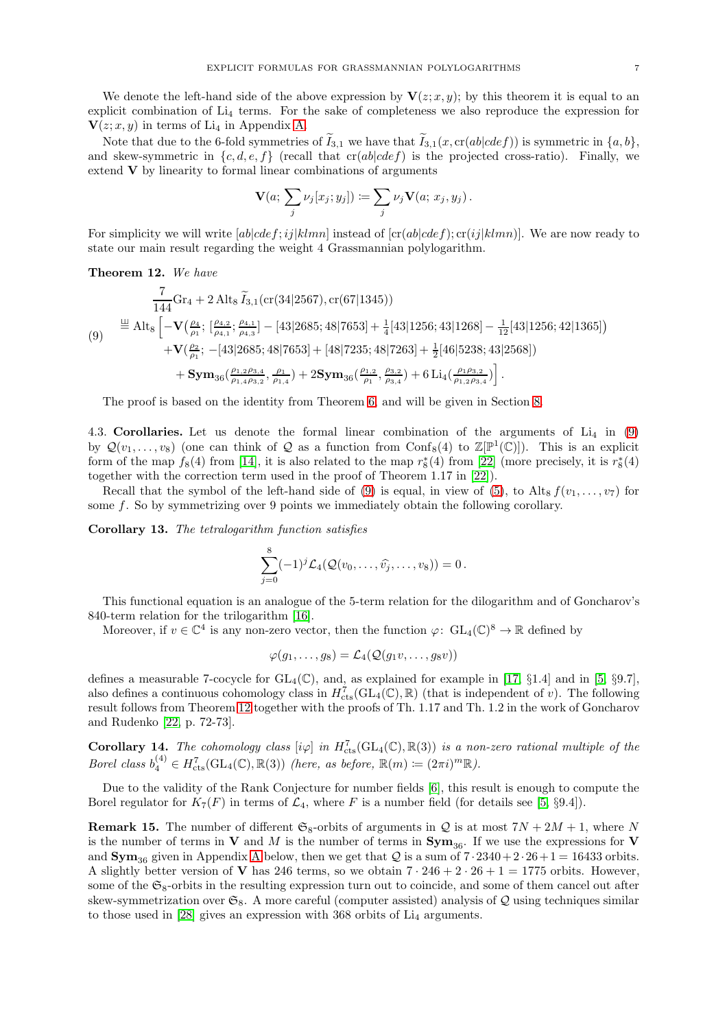We denote the left-hand side of the above expression by  $V(z; x, y)$ ; by this theorem it is equal to an explicit combination of  $Li<sub>4</sub>$  terms. For the sake of completeness we also reproduce the expression for  $\mathbf{V}(z; x, y)$  in terms of Li<sub>4</sub> in Appendix [A.](#page-25-0)

Note that due to the 6-fold symmetries of  $\tilde{I}_{3,1}$  we have that  $\tilde{I}_{3,1}(x, cr(ab|cdef))$  is symmetric in  $\{a, b\}$ , and skew-symmetric in  $\{c, d, e, f\}$  (recall that  $cr(ab|cdef)$  is the projected cross-ratio). Finally, we extend V by linearity to formal linear combinations of arguments

$$
\mathbf{V}(a; \sum_j \nu_j [x_j; y_j]) \coloneqq \sum_j \nu_j \mathbf{V}(a; x_j, y_j).
$$

For simplicity we will write  $[ab|cdef;ij|klmn]$  instead of  $[cr(ab|cdef); cr(ij|klmn)]$ . We are now ready to state our main result regarding the weight 4 Grassmannian polylogarithm.

<span id="page-6-0"></span>Theorem 12. We have

<span id="page-6-2"></span>
$$
\frac{7}{144}\text{Gr}_4 + 2 \text{ Alt}_8 \tilde{I}_{3,1}(\text{cr}(34|2567), \text{cr}(67|1345))
$$
\n
$$
\stackrel{\text{def}}{=} \text{Alt}_8 \left[ -\mathbf{V} \left( \frac{\rho_4}{\rho_1}; \frac{\rho_{4,2}}{\rho_{4,3}}; \frac{\rho_{4,1}}{\rho_{4,3}} \right) - [43|2685; 48|7653] + \frac{1}{4}[43|1256; 43|1268] - \frac{1}{12}[43|1256; 42|1365] \right) + \mathbf{V} \left( \frac{\rho_2}{\rho_1}; \ -[43|2685; 48|7653] + [48|7235; 48|7263] + \frac{1}{2}[46|5238; 43|2568] \right) + \mathbf{Sym}_{36} \left( \frac{\rho_{1,2}\rho_{3,4}}{\rho_{1,4}\rho_{3,2}}, \frac{\rho_1}{\rho_{1,4}} \right) + 2\mathbf{Sym}_{36} \left( \frac{\rho_{1,2}}{\rho_1}, \frac{\rho_{3,2}}{\rho_{3,4}} \right) + 6 \text{ Li}_4 \left( \frac{\rho_{1}\rho_{3,2}}{\rho_{1,2}\rho_{3,4}} \right).
$$

The proof is based on the identity from Theorem [6,](#page-4-0) and will be given in Section [8.](#page-18-0)

4.3. Corollaries. Let us denote the formal linear combination of the arguments of  $Li_4$  in [\(9\)](#page-6-2) by  $\mathcal{Q}(v_1,\ldots,v_8)$  (one can think of  $\mathcal Q$  as a function from Conf<sub>8</sub>(4) to  $\mathbb Z[\mathbb P^1(\mathbb C)]$ ). This is an explicit form of the map  $f_8(4)$  from [\[14\]](#page-27-26), it is also related to the map  $r_8^*(4)$  from [\[22\]](#page-27-9) (more precisely, it is  $r_8^*(4)$ together with the correction term used in the proof of Theorem 1.17 in [\[22\]](#page-27-9)).

Recall that the symbol of the left-hand side of [\(9\)](#page-6-2) is equal, in view of [\(5\)](#page-3-3), to Alt<sub>8</sub>  $f(v_1, \ldots, v_7)$  for some f. So by symmetrizing over 9 points we immediately obtain the following corollary.

Corollary 13. The tetralogarithm function satisfies

$$
\sum_{j=0}^8 (-1)^j \mathcal{L}_4(\mathcal{Q}(v_0,\ldots,\widehat{v_j},\ldots,v_8)) = 0.
$$

This functional equation is an analogue of the 5-term relation for the dilogarithm and of Goncharov's 840-term relation for the trilogarithm [\[16\]](#page-27-14).

Moreover, if  $v \in \mathbb{C}^4$  is any non-zero vector, then the function  $\varphi: GL_4(\mathbb{C})^8 \to \mathbb{R}$  defined by

$$
\varphi(g_1,\ldots,g_8)=\mathcal{L}_4(\mathcal{Q}(g_1v,\ldots,g_8v))
$$

defines a measurable 7-cocycle for  $GL_4(\mathbb{C})$ , and, as explained for example in [\[17,](#page-27-8) §1.4] and in [\[5,](#page-27-11) §9.7], also defines a continuous cohomology class in  $H_{\text{cts}}^{7}(\text{GL}_4(\mathbb{C}), \mathbb{R})$  (that is independent of v). The following result follows from Theorem [12](#page-6-0) together with the proofs of Th. 1.17 and Th. 1.2 in the work of Goncharov and Rudenko [\[22,](#page-27-9) p. 72-73].

<span id="page-6-1"></span>**Corollary 14.** The cohomology class  $[i\varphi]$  in  $H_{\text{cts}}^{7}(\text{GL}_4(\mathbb{C}), \mathbb{R}(3))$  is a non-zero rational multiple of the Borel class  $b_4^{(4)} \in H_{\text{cts}}^7(\text{GL}_4(\mathbb{C}), \mathbb{R}(3))$  (here, as before,  $\mathbb{R}(m) \coloneqq (2\pi i)^m \mathbb{R}$ ).

Due to the validity of the Rank Conjecture for number fields [\[6\]](#page-27-27), this result is enough to compute the Borel regulator for  $K_7(F)$  in terms of  $\mathcal{L}_4$ , where F is a number field (for details see [\[5,](#page-27-11) §9.4]).

**Remark 15.** The number of different  $\mathfrak{S}_8$ -orbits of arguments in Q is at most  $7N + 2M + 1$ , where N is the number of terms in V and M is the number of terms in  $Sym_{36}$ . If we use the expressions for V and  $\text{Sym}_{36}$  given in [A](#page-25-0)ppendix A below, then we get that Q is a sum of  $7 \cdot 2340 + 2 \cdot 26 + 1 = 16433$  orbits. A slightly better version of **V** has 246 terms, so we obtain  $7 \cdot 246 + 2 \cdot 26 + 1 = 1775$  orbits. However, some of the  $\mathfrak{S}_8$ -orbits in the resulting expression turn out to coincide, and some of them cancel out after skew-symmetrization over  $\mathfrak{S}_8$ . A more careful (computer assisted) analysis of Q using techniques similar to those used in  $[28]$  gives an expression with 368 orbits of  $Li<sub>4</sub>$  arguments.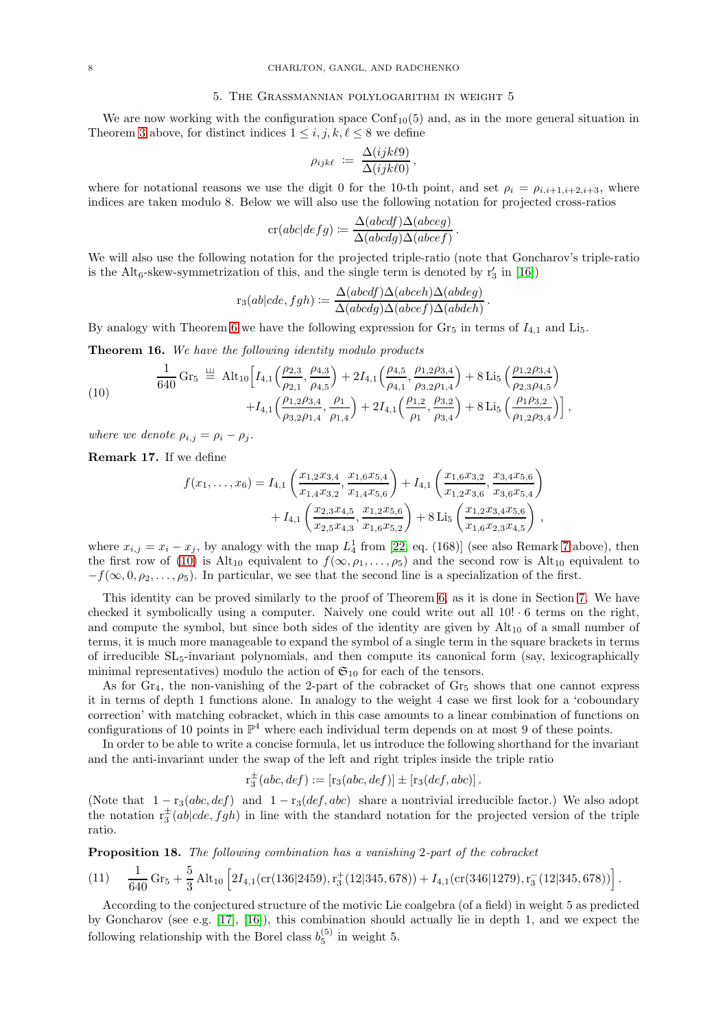### 5. The Grassmannian polylogarithm in weight 5

<span id="page-7-1"></span>We are now working with the configuration space  $\text{Conf}_{10}(5)$  and, as in the more general situation in Theorem [3](#page-3-1) above, for distinct indices  $1 \leq i, j, k, \ell \leq 8$  we define

$$
\rho_{ijk\ell} \; := \; \frac{\Delta(ijk\ell9)}{\Delta(ijk\ell0)} \,,
$$

where for notational reasons we use the digit 0 for the 10-th point, and set  $\rho_i = \rho_{i,i+1,i+2,i+3}$ , where indices are taken modulo 8. Below we will also use the following notation for projected cross-ratios

$$
cr(abc|defg) := \frac{\Delta(abcdf)\Delta(abceg)}{\Delta(abcdg)\Delta(abcef)}.
$$

We will also use the following notation for the projected triple-ratio (note that Goncharov's triple-ratio is the Alt<sub>6</sub>-skew-symmetrization of this, and the single term is denoted by  $r'_3$  in [\[16\]](#page-27-14))

$$
r_3(ab|cde, fgh) \coloneqq \frac{\Delta(abcdf)\Delta(abceh)\Delta(abdeg)}{\Delta(abcdg)\Delta(abcef)\Delta(abdeh)}.
$$

By analogy with Theorem [6](#page-4-0) we have the following expression for  $Gr_5$  in terms of  $I_{4,1}$  and  $Li_5$ .

<span id="page-7-0"></span>Theorem 16. We have the following identity modulo products

<span id="page-7-3"></span>(10) 
$$
\frac{1}{640} \operatorname{Gr}_5 \stackrel{\text{def}}{=} \operatorname{Alt}_{10} \Big[ I_{4,1} \Big( \frac{\rho_{2,3}}{\rho_{2,1}}, \frac{\rho_{4,3}}{\rho_{4,5}} \Big) + 2I_{4,1} \Big( \frac{\rho_{4,5}}{\rho_{4,1}}, \frac{\rho_{1,2}\rho_{3,4}}{\rho_{3,2}\rho_{1,4}} \Big) + 8 \operatorname{Li}_5 \Big( \frac{\rho_{1,2}\rho_{3,4}}{\rho_{2,3}\rho_{4,5}} \Big) + I_{4,1} \Big( \frac{\rho_{1,2}\rho_{3,4}}{\rho_{3,2}\rho_{1,4}}, \frac{\rho_{1}}{\rho_{1,4}} \Big) + 2I_{4,1} \Big( \frac{\rho_{1,2}}{\rho_{1}}, \frac{\rho_{3,2}}{\rho_{3,4}} \Big) + 8 \operatorname{Li}_5 \Big( \frac{\rho_{1}\rho_{3,2}}{\rho_{1,2}\rho_{3,4}} \Big) \Big],
$$

where we denote  $\rho_{i,j} = \rho_i - \rho_j$ .

<span id="page-7-2"></span>Remark 17. If we define

$$
f(x_1,...,x_6) = I_{4,1}\left(\frac{x_{1,2}x_{3,4}}{x_{1,4}x_{3,2}}, \frac{x_{1,6}x_{5,4}}{x_{1,4}x_{5,6}}\right) + I_{4,1}\left(\frac{x_{1,6}x_{3,2}}{x_{1,2}x_{3,6}}, \frac{x_{3,4}x_{5,6}}{x_{3,6}x_{5,4}}\right) + I_{4,1}\left(\frac{x_{2,3}x_{4,5}}{x_{2,5}x_{4,3}}, \frac{x_{1,2}x_{5,6}}{x_{1,6}x_{5,2}}\right) + 8 \operatorname{Li}_5\left(\frac{x_{1,2}x_{3,4}x_{5,6}}{x_{1,6}x_{2,3}x_{4,5}}\right),
$$

where  $x_{i,j} = x_i - x_j$ , by analogy with the map  $L_4^1$  from [\[22,](#page-27-9) eq. (168)] (see also Remark [7](#page-5-0) above), then the first row of [\(10\)](#page-7-3) is Alt<sub>10</sub> equivalent to  $f(\infty, \rho_1, \ldots, \rho_5)$  and the second row is Alt<sub>10</sub> equivalent to  $-f(\infty, 0, \rho_2, \ldots, \rho_5)$ . In particular, we see that the second line is a specialization of the first.

This identity can be proved similarly to the proof of Theorem [6,](#page-4-0) as it is done in Section [7.](#page-12-0) We have checked it symbolically using a computer. Naively one could write out all  $10! \cdot 6$  terms on the right, and compute the symbol, but since both sides of the identity are given by  $\mathrm{Alt}_{10}$  of a small number of terms, it is much more manageable to expand the symbol of a single term in the square brackets in terms of irreducible SL5-invariant polynomials, and then compute its canonical form (say, lexicographically minimal representatives) modulo the action of  $\mathfrak{S}_{10}$  for each of the tensors.

As for  $Gr_4$ , the non-vanishing of the 2-part of the cobracket of  $Gr_5$  shows that one cannot express it in terms of depth 1 functions alone. In analogy to the weight 4 case we first look for a 'coboundary correction' with matching cobracket, which in this case amounts to a linear combination of functions on configurations of 10 points in  $\mathbb{P}^4$  where each individual term depends on at most 9 of these points.

In order to be able to write a concise formula, let us introduce the following shorthand for the invariant and the anti-invariant under the swap of the left and right triples inside the triple ratio

$$
r_3^{\pm}(abc,def):=[r_3(abc,def)] \pm [r_3(def,abc)].
$$

(Note that  $1 - r_3(abc, def)$  and  $1 - r_3(def, abc)$  share a nontrivial irreducible factor.) We also adopt the notation  $r_3^{\pm}(ab|cde, fgh)$  in line with the standard notation for the projected version of the triple ratio.

Proposition 18. The following combination has a vanishing 2-part of the cobracket

<span id="page-7-4"></span>
$$
(11) \quad \frac{1}{640}\,\text{Gr}_5 + \frac{5}{3}\,\text{Alt}_{10}\left[2I_{4,1}(\text{cr}(136|2459), r_3^+(12|345, 678)) + I_{4,1}(\text{cr}(346|1279), r_3^-(12|345, 678))\right].
$$

According to the conjectured structure of the motivic Lie coalgebra (of a field) in weight 5 as predicted by Goncharov (see e.g. [\[17\]](#page-27-8), [\[16\]](#page-27-14)), this combination should actually lie in depth 1, and we expect the following relationship with the Borel class  $b_5^{(5)}$  in weight 5.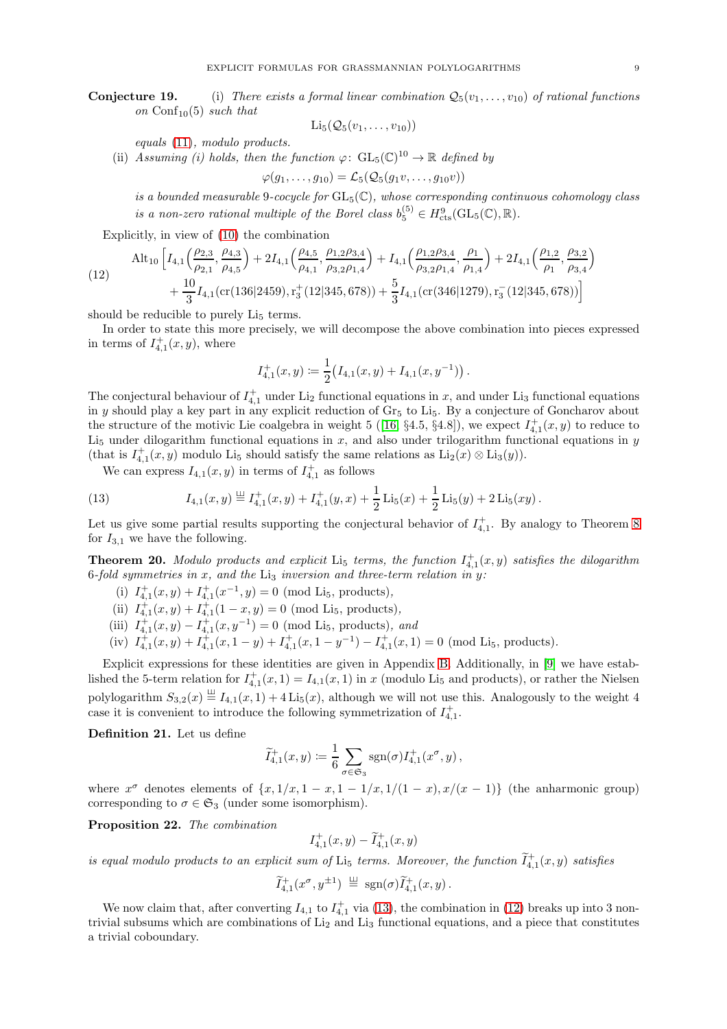**Conjecture 19.** (i) There exists a formal linear combination  $Q_5(v_1, \ldots, v_{10})$  of rational functions on Conf<sub>10</sub>(5) such that

$$
\mathrm{Li}_5(\mathcal{Q}_5(v_1,\ldots,v_{10}))
$$

equals [\(11\)](#page-7-4), modulo products.

(ii) Assuming (i) holds, then the function  $\varphi: GL_5(\mathbb{C})^{10} \to \mathbb{R}$  defined by

$$
\varphi(g_1,\ldots,g_{10})=\mathcal{L}_5(\mathcal{Q}_5(g_1v,\ldots,g_{10}v))
$$

is a bounded measurable 9-cocycle for  $GL_5(\mathbb{C})$ , whose corresponding continuous cohomology class is a non-zero rational multiple of the Borel class  $b_5^{(5)} \in H_{\text{cts}}^9(\text{GL}_5(\mathbb{C}), \mathbb{R})$ .

Explicitly, in view of [\(10\)](#page-7-3) the combination

<span id="page-8-1"></span>(12) 
$$
\text{Alt}_{10}\left[I_{4,1}\left(\frac{\rho_{2,3}}{\rho_{2,1}}, \frac{\rho_{4,3}}{\rho_{4,5}}\right) + 2I_{4,1}\left(\frac{\rho_{4,5}}{\rho_{4,1}}, \frac{\rho_{1,2}\rho_{3,4}}{\rho_{3,2}\rho_{1,4}}\right) + I_{4,1}\left(\frac{\rho_{1,2}\rho_{3,4}}{\rho_{3,2}\rho_{1,4}}, \frac{\rho_{1}}{\rho_{1,4}}\right) + 2I_{4,1}\left(\frac{\rho_{1,2}}{\rho_{1}}, \frac{\rho_{3,2}}{\rho_{3,4}}\right) + \frac{10}{3}I_{4,1}(\text{cr}(136|2459), \text{r}_3^+(12|345,678)) + \frac{5}{3}I_{4,1}(\text{cr}(346|1279), \text{r}_3^-(12|345,678))\right]
$$

should be reducible to purely  $Li<sub>5</sub>$  terms.

In order to state this more precisely, we will decompose the above combination into pieces expressed in terms of  $I<sub>4,1</sub><sup>+</sup>(x,y)$ , where

$$
I_{4,1}^+(x,y) \coloneqq \frac{1}{2} \bigl( I_{4,1}(x,y) + I_{4,1}(x,y^{-1}) \bigr) \, .
$$

The conjectural behaviour of  $I_{4,1}^+$  under Li<sub>2</sub> functional equations in x, and under Li<sub>3</sub> functional equations in y should play a key part in any explicit reduction of  $Gr_5$  to  $Li_5$ . By a conjecture of Goncharov about the structure of the motivic Lie coalgebra in weight 5 ([\[16,](#page-27-14)  $\S 4.5$ ,  $\S 4.8$ ]), we expect  $I_{4,1}^+(x,y)$  to reduce to  $Li<sub>5</sub>$  under dilogarithm functional equations in x, and also under trilogarithm functional equations in y (that is  $I_{4,1}^+(x,y)$  modulo Li<sub>5</sub> should satisfy the same relations as Li<sub>2</sub>(x)  $\otimes$  Li<sub>3</sub>(y)).

<span id="page-8-0"></span>We can express  $I_{4,1}(x, y)$  in terms of  $I_{4,1}^+$  as follows

(13) 
$$
I_{4,1}(x,y) \stackrel{\perp\!\!\!\perp}{=} I_{4,1}^+(x,y) + I_{4,1}^+(y,x) + \frac{1}{2}\operatorname{Li}_5(x) + \frac{1}{2}\operatorname{Li}_5(y) + 2\operatorname{Li}_5(xy).
$$

Let us give some partial results supporting the conjectural behavior of  $I_{4,1}^+$ . By analogy to Theorem 8 for  $I_{3,1}$  we have the following.

**Theorem 20.** Modulo products and explicit  $Li_5$  terms, the function  $I_{4,1}^+(x,y)$  satisfies the dilogarithm 6-fold symmetries in x, and the Li<sub>3</sub> inversion and three-term relation in y:

- (i)  $I_{4,1}^+(x,y) + I_{4,1}^+(x^{-1},y) = 0$  (mod Li<sub>5</sub>, products),
- (ii)  $I_{4,1}^+(x,y) + I_{4,1}^+(1-x,y) = 0$  (mod Li<sub>5</sub>, products),
- (iii)  $I_{4,1}^+(x,y) I_{4,1}^+(x,y^{-1}) = 0$  (mod Li<sub>5</sub>, products), and
- (iv)  $I_{4,1}^+(x,y) + I_{4,1}^+(x,1-y) + I_{4,1}^+(x,1-y^{-1}) I_{4,1}^+(x,1) = 0$  (mod Li<sub>5</sub>, products).

Explicit expressions for these identities are given in Appendix [B.](#page-26-0) Additionally, in [\[9\]](#page-27-29) we have established the 5-term relation for  $I_{4,1}^+(x,1) = I_{4,1}(x,1)$  in x (modulo Li<sub>5</sub> and products), or rather the Nielsen polylogarithm  $S_{3,2}(x) \equiv I_{4,1}(x,1) + 4 \operatorname{Li}_5(x)$ , although we will not use this. Analogously to the weight 4 case it is convenient to introduce the following symmetrization of  $I_{4,1}^+$ .

Definition 21. Let us define

$$
\widetilde{I}_{4,1}^+(x,y) \coloneqq \frac{1}{6} \sum_{\sigma \in \mathfrak{S}_3} \operatorname{sgn}(\sigma) I_{4,1}^+(x^{\sigma},y) ,
$$

where  $x^{\sigma}$  denotes elements of  $\{x, 1/x, 1-x, 1-1/x, 1/(1-x), x/(x-1)\}$  (the anharmonic group) corresponding to  $\sigma \in \mathfrak{S}_3$  (under some isomorphism).

Proposition 22. The combination

$$
I_{4,1}^+(x,y) - \widetilde{I}_{4,1}^+(x,y)
$$

is equal modulo products to an explicit sum of  $\text{Li}_5$  terms. Moreover, the function  $\widetilde{I}^+_{4,1}(x,y)$  satisfies

$$
\widetilde{I}_{4,1}^+(x^{\sigma},y^{\pm 1}) \stackrel{\perp\!\!\!\perp}{=} \operatorname{sgn}(\sigma)\widetilde{I}_{4,1}^+(x,y)\,.
$$

We now claim that, after converting  $I_{4,1}$  to  $I_{4,1}^+$  via [\(13\)](#page-8-0), the combination in [\(12\)](#page-8-1) breaks up into 3 nontrivial subsums which are combinations of Li<sup>2</sup> and Li<sup>3</sup> functional equations, and a piece that constitutes a trivial coboundary.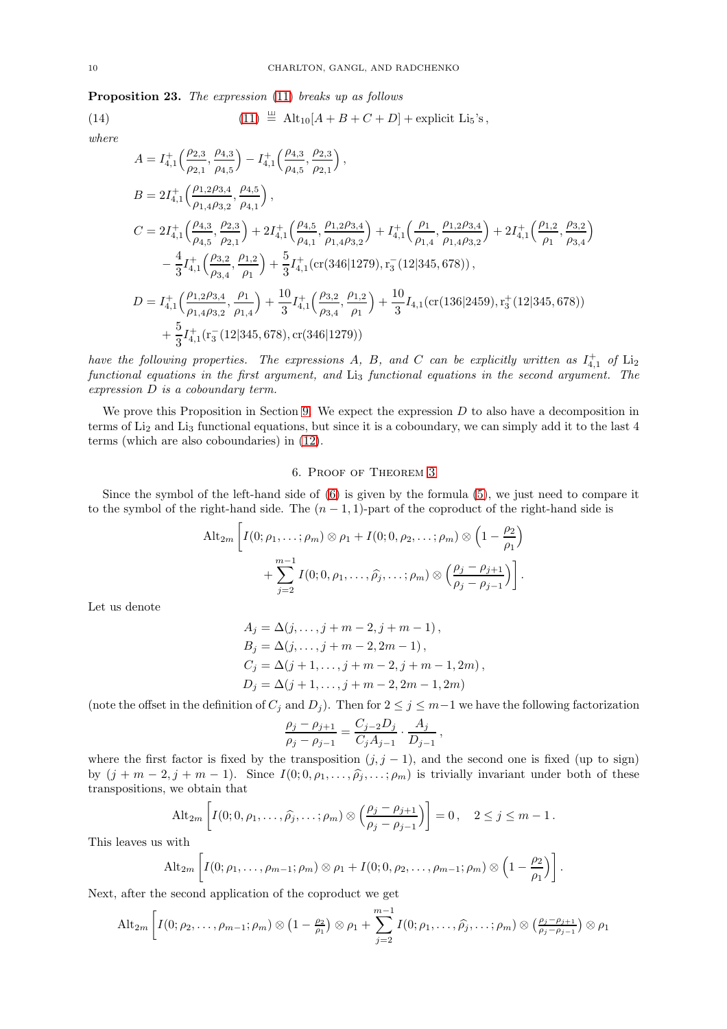<span id="page-9-0"></span>Proposition 23. The expression [\(11\)](#page-7-4) breaks up as follows

(14) 
$$
(11) \stackrel{\perp}{=} Alt_{10}[A + B + C + D] + \text{explicit Li}_5's,
$$

where

<span id="page-9-2"></span>
$$
A = I_{4,1}^{+}\left(\frac{\rho_{2,3}}{\rho_{2,1}}, \frac{\rho_{4,3}}{\rho_{4,5}}\right) - I_{4,1}^{+}\left(\frac{\rho_{4,3}}{\rho_{4,5}}, \frac{\rho_{2,3}}{\rho_{2,1}}\right),
$$
  
\n
$$
B = 2I_{4,1}^{+}\left(\frac{\rho_{1,2}\rho_{3,4}}{\rho_{1,4}\rho_{3,2}}, \frac{\rho_{4,5}}{\rho_{4,1}}\right),
$$
  
\n
$$
C = 2I_{4,1}^{+}\left(\frac{\rho_{4,3}}{\rho_{4,5}}, \frac{\rho_{2,3}}{\rho_{2,1}}\right) + 2I_{4,1}^{+}\left(\frac{\rho_{4,5}}{\rho_{4,1}}, \frac{\rho_{1,2}\rho_{3,4}}{\rho_{1,4}\rho_{3,2}}\right) + I_{4,1}^{+}\left(\frac{\rho_{1}}{\rho_{1,4}}, \frac{\rho_{1,2}\rho_{3,4}}{\rho_{1,4}\rho_{3,2}}\right) + 2I_{4,1}^{+}\left(\frac{\rho_{1,2}}{\rho_{1}}, \frac{\rho_{3,2}}{\rho_{3,4}}\right)
$$
  
\n
$$
-\frac{4}{3}I_{4,1}^{+}\left(\frac{\rho_{3,2}}{\rho_{3,4}}, \frac{\rho_{1,2}}{\rho_{1}}\right) + \frac{5}{3}I_{4,1}^{+}(\text{cr}(346|1279), \text{r}_{3}^{-}(12|345,678)),
$$
  
\n
$$
D = I_{4,1}^{+}\left(\frac{\rho_{1,2}\rho_{3,4}}{\rho_{1,4}\rho_{3,2}}, \frac{\rho_{1}}{\rho_{1,4}}\right) + \frac{10}{3}I_{4,1}^{+}\left(\frac{\rho_{3,2}}{\rho_{3,4}}, \frac{\rho_{1,2}}{\rho_{1}}\right) + \frac{10}{3}I_{4,1}(\text{cr}(136|2459), \text{r}_{3}^{+}(12|345,678))
$$
  
\n
$$
+\frac{5}{3}I_{4,1}^{+}(\text{r}_{3}^{-}(12|345,678), \text{cr}(346|1279))
$$

have the following properties. The expressions A, B, and C can be explicitly written as  $I_{4,1}^+$  of  $Li_2$ functional equations in the first argument, and Li<sub>3</sub> functional equations in the second argument. The expression D is a coboundary term.

We prove this Proposition in Section [9.](#page-19-0) We expect the expression  $D$  to also have a decomposition in terms of Li<sup>2</sup> and Li<sup>3</sup> functional equations, but since it is a coboundary, we can simply add it to the last 4 terms (which are also coboundaries) in [\(12\)](#page-8-1).

### 6. Proof of Theorem [3](#page-3-1)

<span id="page-9-1"></span>Since the symbol of the left-hand side of [\(6\)](#page-3-4) is given by the formula [\(5\)](#page-3-3), we just need to compare it to the symbol of the right-hand side. The  $(n-1, 1)$ -part of the coproduct of the right-hand side is

$$
\mathrm{Alt}_{2m} \left[ I(0; \rho_1, \dots; \rho_m) \otimes \rho_1 + I(0; 0, \rho_2, \dots; \rho_m) \otimes \left( 1 - \frac{\rho_2}{\rho_1} \right) + \sum_{j=2}^{m-1} I(0; 0, \rho_1, \dots, \widehat{\rho_j}, \dots; \rho_m) \otimes \left( \frac{\rho_j - \rho_{j+1}}{\rho_j - \rho_{j-1}} \right) \right].
$$

Let us denote

$$
A_j = \Delta(j, \dots, j + m - 2, j + m - 1),
$$
  
\n
$$
B_j = \Delta(j, \dots, j + m - 2, 2m - 1),
$$
  
\n
$$
C_j = \Delta(j + 1, \dots, j + m - 2, j + m - 1, 2m),
$$
  
\n
$$
D_j = \Delta(j + 1, \dots, j + m - 2, 2m - 1, 2m)
$$

(note the offset in the definition of  $C_j$  and  $D_j$ ). Then for  $2 \leq j \leq m-1$  we have the following factorization

$$
\frac{\rho_j - \rho_{j+1}}{\rho_j - \rho_{j-1}} = \frac{C_{j-2}D_j}{C_jA_{j-1}} \cdot \frac{A_j}{D_{j-1}},
$$

where the first factor is fixed by the transposition  $(j, j - 1)$ , and the second one is fixed (up to sign) by  $(j + m - 2, j + m - 1)$ . Since  $I(0; 0, \rho_1, \ldots, \widehat{\rho}_j, \ldots; \rho_m)$  is trivially invariant under both of these transpositions, we obtain that

$$
\mathrm{Alt}_{2m}\left[I(0;0,\rho_1,\ldots,\widehat{\rho_j},\ldots;\rho_m)\otimes\left(\frac{\rho_j-\rho_{j+1}}{\rho_j-\rho_{j-1}}\right)\right]=0\,,\quad 2\leq j\leq m-1\,.
$$

This leaves us with

$$
\mathrm{Alt}_{2m}\left[I(0;\rho_1,\ldots,\rho_{m-1};\rho_m)\otimes\rho_1+I(0;0,\rho_2,\ldots,\rho_{m-1};\rho_m)\otimes\left(1-\frac{\rho_2}{\rho_1}\right)\right]
$$

.

Next, after the second application of the coproduct we get

$$
\mathrm{Alt}_{2m}\left[I(0;\rho_2,\ldots,\rho_{m-1};\rho_m)\otimes\left(1-\tfrac{\rho_2}{\rho_1}\right)\otimes\rho_1+\sum_{j=2}^{m-1}I(0;\rho_1,\ldots,\widehat{\rho_j},\ldots;\rho_m)\otimes\left(\tfrac{\rho_j-\rho_{j+1}}{\rho_j-\rho_{j-1}}\right)\otimes\rho_1\right]
$$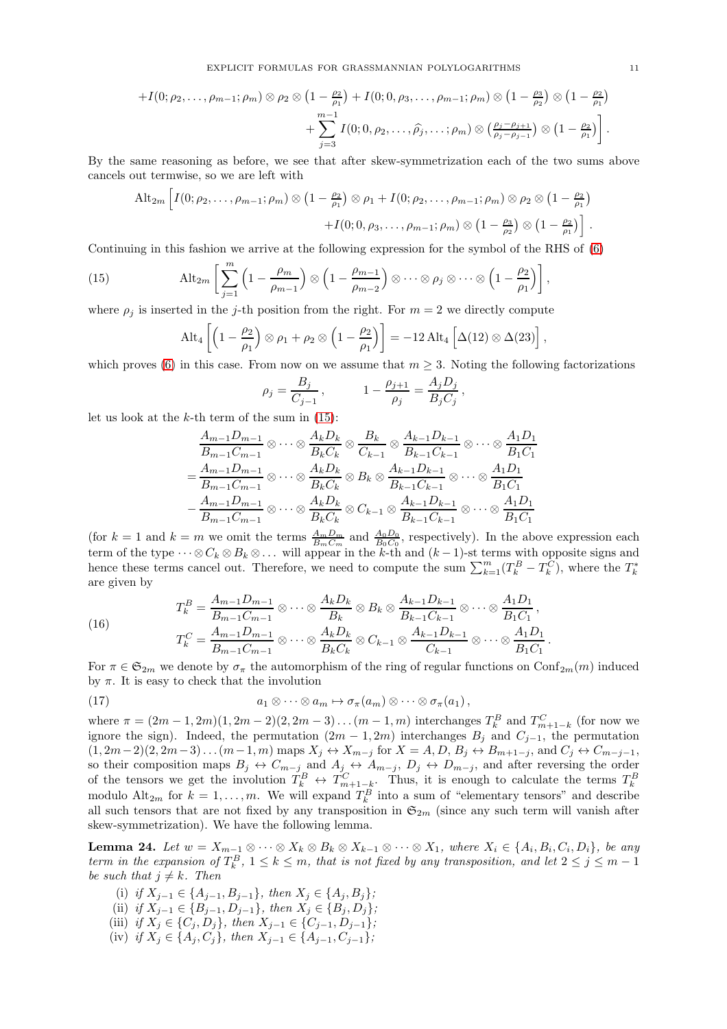$$
+I(0; \rho_2, \ldots, \rho_{m-1}; \rho_m) \otimes \rho_2 \otimes (1 - \frac{\rho_2}{\rho_1}) + I(0; 0, \rho_3, \ldots, \rho_{m-1}; \rho_m) \otimes (1 - \frac{\rho_3}{\rho_2}) \otimes (1 - \frac{\rho_2}{\rho_1}) + \sum_{j=3}^{m-1} I(0; 0, \rho_2, \ldots, \widehat{\rho_j}, \ldots; \rho_m) \otimes (\frac{\rho_j - \rho_{j+1}}{\rho_j - \rho_{j-1}}) \otimes (1 - \frac{\rho_2}{\rho_1}) .
$$

By the same reasoning as before, we see that after skew-symmetrization each of the two sums above cancels out termwise, so we are left with

$$
\mathrm{Alt}_{2m}\left[I(0;\rho_2,\ldots,\rho_{m-1};\rho_m)\otimes\left(1-\frac{\rho_2}{\rho_1}\right)\otimes\rho_1+I(0;\rho_2,\ldots,\rho_{m-1};\rho_m)\otimes\rho_2\otimes\left(1-\frac{\rho_2}{\rho_1}\right)\right.\left.+I(0;0,\rho_3,\ldots,\rho_{m-1};\rho_m)\otimes\left(1-\frac{\rho_3}{\rho_2}\right)\otimes\left(1-\frac{\rho_2}{\rho_1}\right)\right].
$$

Continuing in this fashion we arrive at the following expression for the symbol of the RHS of [\(6\)](#page-3-4)

(15) 
$$
\text{Alt}_{2m} \left[ \sum_{j=1}^{m} \left( 1 - \frac{\rho_m}{\rho_{m-1}} \right) \otimes \left( 1 - \frac{\rho_{m-1}}{\rho_{m-2}} \right) \otimes \cdots \otimes \rho_j \otimes \cdots \otimes \left( 1 - \frac{\rho_2}{\rho_1} \right) \right],
$$

where  $\rho_j$  is inserted in the j-th position from the right. For  $m = 2$  we directly compute

<span id="page-10-0"></span>
$$
\mathrm{Alt}_4\left[\left(1-\frac{\rho_2}{\rho_1}\right)\otimes\rho_1+\rho_2\otimes\left(1-\frac{\rho_2}{\rho_1}\right)\right]=-12\,\mathrm{Alt}_4\left[\Delta(12)\otimes\Delta(23)\right],
$$

which proves [\(6\)](#page-3-4) in this case. From now on we assume that  $m \geq 3$ . Noting the following factorizations

$$
\rho_j = \frac{B_j}{C_{j-1}}, \qquad 1 - \frac{\rho_{j+1}}{\rho_j} = \frac{A_j D_j}{B_j C_j},
$$

let us look at the  $k$ -th term of the sum in  $(15)$ :

<span id="page-10-1"></span>(16)

$$
\frac{A_{m-1}D_{m-1}}{B_{m-1}C_{m-1}} \otimes \cdots \otimes \frac{A_kD_k}{B_kC_k} \otimes \frac{B_k}{C_{k-1}} \otimes \frac{A_{k-1}D_{k-1}}{B_{k-1}C_{k-1}} \otimes \cdots \otimes \frac{A_1D_1}{B_1C_1}
$$

$$
= \frac{A_{m-1}D_{m-1}}{B_{m-1}C_{m-1}} \otimes \cdots \otimes \frac{A_kD_k}{B_kC_k} \otimes B_k \otimes \frac{A_{k-1}D_{k-1}}{B_{k-1}C_{k-1}} \otimes \cdots \otimes \frac{A_1D_1}{B_1C_1}
$$

$$
- \frac{A_{m-1}D_{m-1}}{B_{m-1}C_{m-1}} \otimes \cdots \otimes \frac{A_kD_k}{B_kC_k} \otimes C_{k-1} \otimes \frac{A_{k-1}D_{k-1}}{B_{k-1}C_{k-1}} \otimes \cdots \otimes \frac{A_1D_1}{B_1C_1}
$$

(for  $k = 1$  and  $k = m$  we omit the terms  $\frac{A_m D_m}{B_m C_m}$  and  $\frac{A_0 D_0}{B_0 C_0}$ , respectively). In the above expression each term of the type  $\cdots \otimes C_k \otimes B_k \otimes \ldots$  will appear in the k-th and  $(k-1)$ -st terms with opposite signs and hence these terms cancel out. Therefore, we need to compute the sum  $\sum_{k=1}^{m} (T_k^B - T_k^C)$ , where the  $T_k^*$ are given by

<span id="page-10-2"></span>
$$
T_k^B = \frac{A_{m-1}D_{m-1}}{B_{m-1}C_{m-1}} \otimes \cdots \otimes \frac{A_kD_k}{B_k} \otimes B_k \otimes \frac{A_{k-1}D_{k-1}}{B_{k-1}C_{k-1}} \otimes \cdots \otimes \frac{A_1D_1}{B_1C_1},
$$
  

$$
T_k^C = \frac{A_{m-1}D_{m-1}}{B_{m-1}C_{m-1}} \otimes \cdots \otimes \frac{A_kD_k}{B_kC_k} \otimes C_{k-1} \otimes \frac{A_{k-1}D_{k-1}}{C_{k-1}} \otimes \cdots \otimes \frac{A_1D_1}{B_1C_1}.
$$

For  $\pi \in \mathfrak{S}_{2m}$  we denote by  $\sigma_{\pi}$  the automorphism of the ring of regular functions on  $\text{Conf}_{2m}(m)$  induced by  $\pi$ . It is easy to check that the involution

(17) 
$$
a_1 \otimes \cdots \otimes a_m \mapsto \sigma_\pi(a_m) \otimes \cdots \otimes \sigma_\pi(a_1),
$$

where  $\pi = (2m-1, 2m)(1, 2m-2)(2, 2m-3) \dots (m-1, m)$  interchanges  $T_k^B$  and  $T_{m+1-k}^C$  (for now we ignore the sign). Indeed, the permutation  $(2m-1, 2m)$  interchanges  $B_i$  and  $C_{i-1}$ , the permutation  $(1, 2m-2)(2, 2m-3)\dots(m-1, m)$  maps  $X_j \leftrightarrow X_{m-j}$  for  $X = A, D, B_j \leftrightarrow B_{m+1-j}$ , and  $C_j \leftrightarrow C_{m-j-1}$ , so their composition maps  $B_j$   $\leftrightarrow$   $C_{m-j}$  and  $A_j$   $\leftrightarrow$   $A_{m-j}$ ,  $D_j$   $\leftrightarrow$   $D_{m-j}$ , and after reversing the order of the tensors we get the involution  $T_k^B \leftrightarrow T_{m+1-k}^C$ . Thus, it is enough to calculate the terms  $T_k^B$  modulo  $\text{Alt}_{2m}$  for  $k = 1, ..., m$ . We will expand  $T_k^B$  into a sum of "elementary tensors" and describe all such tensors that are not fixed by any transposition in  $\mathfrak{S}_{2m}$  (since any such term will vanish after skew-symmetrization). We have the following lemma.

**Lemma 24.** Let  $w = X_{m-1} \otimes \cdots \otimes X_k \otimes B_k \otimes X_{k-1} \otimes \cdots \otimes X_1$ , where  $X_i \in \{A_i, B_i, C_i, D_i\}$ , be any term in the expansion of  $T_k^B$ ,  $1 \leq k \leq m$ , that is not fixed by any transposition, and let  $2 \leq j \leq m-1$ be such that  $j \neq k$ . Then

- (i) if  $X_{j-1} \in \{A_{j-1}, B_{j-1}\},\$  then  $X_j \in \{A_j, B_j\}$ ;
- (ii) if  $X_{j-1} \in \{B_{j-1}, D_{j-1}\}$ , then  $X_j \in \{B_j, D_j\}$ ;
- (iii) if  $X_j \in \{C_j, D_j\}$ , then  $X_{j-1} \in \{C_{j-1}, D_{j-1}\}$ ;
- (iv) if  $X_j \in \{A_j, C_j\}$ , then  $X_{j-1} \in \{A_{j-1}, C_{j-1}\}$ ;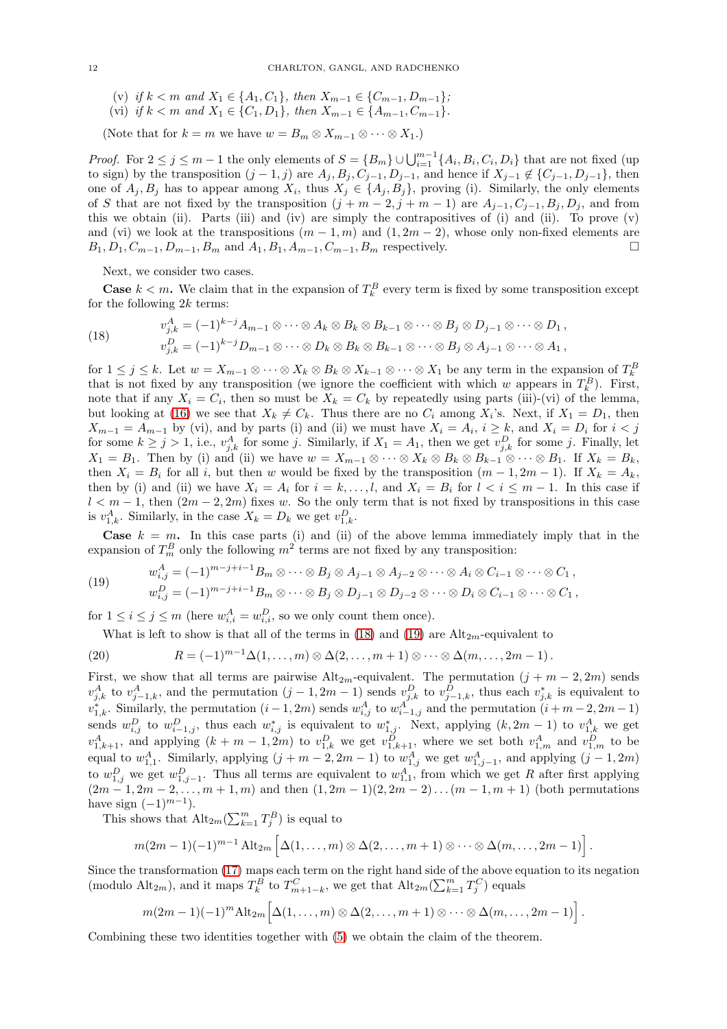- (v) if  $k < m$  and  $X_1 \in \{A_1, C_1\}$ , then  $X_{m-1} \in \{C_{m-1}, D_{m-1}\}$ ;
- (vi) if  $k < m$  and  $X_1 \in \{C_1, D_1\}$ , then  $X_{m-1} \in \{A_{m-1}, C_{m-1}\}.$

(Note that for  $k = m$  we have  $w = B_m \otimes X_{m-1} \otimes \cdots \otimes X_1$ .)

*Proof.* For  $2 \le j \le m-1$  the only elements of  $S = \{B_m\} \cup \bigcup_{i=1}^{m-1} \{A_i, B_i, C_i, D_i\}$  that are not fixed (up to sign) by the transposition  $(j-1, j)$  are  $A_j, B_j, C_{j-1}, D_{j-1}$ , and hence if  $X_{j-1} \notin \{C_{j-1}, D_{j-1}\}$ , then one of  $A_j, B_j$  has to appear among  $X_i$ , thus  $X_j \in \{A_j, B_j\}$ , proving (i). Similarly, the only elements of S that are not fixed by the transposition  $(j + m - 2, j + m - 1)$  are  $A_{j-1}, C_{j-1}, B_j, D_j$ , and from this we obtain (ii). Parts (iii) and (iv) are simply the contrapositives of (i) and (ii). To prove (v) and (vi) we look at the transpositions  $(m-1, m)$  and  $(1, 2m-2)$ , whose only non-fixed elements are  $B_1, D_1, C_{m-1}, D_{m-1}, B_m$  and  $A_1, B_1, A_{m-1}, C_{m-1}, B_m$  respectively.

Next, we consider two cases.

**Case**  $k < m$ . We claim that in the expansion of  $T_k^B$  every term is fixed by some transposition except for the following  $2k$  terms:

<span id="page-11-0"></span>(18) 
$$
v_{j,k}^A = (-1)^{k-j} A_{m-1} \otimes \cdots \otimes A_k \otimes B_k \otimes B_{k-1} \otimes \cdots \otimes B_j \otimes D_{j-1} \otimes \cdots \otimes D_1,
$$

$$
v_{j,k}^D = (-1)^{k-j} D_{m-1} \otimes \cdots \otimes D_k \otimes B_k \otimes B_{k-1} \otimes \cdots \otimes B_j \otimes A_{j-1} \otimes \cdots \otimes A_1,
$$

for  $1 \leq j \leq k$ . Let  $w = X_{m-1} \otimes \cdots \otimes X_k \otimes B_k \otimes X_{k-1} \otimes \cdots \otimes X_1$  be any term in the expansion of  $T_k^B$ that is not fixed by any transposition (we ignore the coefficient with which w appears in  $T_k^B$ ). First, note that if any  $X_i = C_i$ , then so must be  $X_k = C_k$  by repeatedly using parts (iii)-(vi) of the lemma, but looking at [\(16\)](#page-10-1) we see that  $X_k \neq C_k$ . Thus there are no  $C_i$  among  $X_i$ 's. Next, if  $X_1 = D_1$ , then  $X_{m-1} = A_{m-1}$  by (vi), and by parts (i) and (ii) we must have  $X_i = A_i$ ,  $i \geq k$ , and  $X_i = D_i$  for  $i < j$ for some  $k \geq j > 1$ , i.e.,  $v_{j,k}^A$  for some j. Similarly, if  $X_1 = A_1$ , then we get  $v_{j,k}^D$  for some j. Finally, let  $X_1 = B_1$ . Then by (i) and (ii) we have  $w = X_{m-1} \otimes \cdots \otimes X_k \otimes B_k \otimes B_{k-1} \otimes \cdots \otimes B_1$ . If  $X_k = B_k$ , then  $X_i = B_i$  for all i, but then w would be fixed by the transposition  $(m - 1, 2m - 1)$ . If  $X_k = A_k$ , then by (i) and (ii) we have  $X_i = A_i$  for  $i = k, \ldots, l$ , and  $X_i = B_i$  for  $l < i \leq m-1$ . In this case if  $l < m-1$ , then  $(2m-2, 2m)$  fixes w. So the only term that is not fixed by transpositions in this case is  $v_{1,k}^A$ . Similarly, in the case  $X_k = D_k$  we get  $v_{1,k}^D$ .

**Case**  $k = m$ . In this case parts (i) and (ii) of the above lemma immediately imply that in the expansion of  $T_m^B$  only the following  $m^2$  terms are not fixed by any transposition:

(19) 
$$
w_{i,j}^A = (-1)^{m-j+i-1} B_m \otimes \cdots \otimes B_j \otimes A_{j-1} \otimes A_{j-2} \otimes \cdots \otimes A_i \otimes C_{i-1} \otimes \cdots \otimes C_1,
$$

<span id="page-11-1"></span>
$$
w_{i,j}^D = (-1)^{m-j+i-1} B_m \otimes \cdots \otimes B_j \otimes D_{j-1} \otimes D_{j-2} \otimes \cdots \otimes D_i \otimes C_{i-1} \otimes \cdots \otimes C_1,
$$

for  $1 \leq i \leq j \leq m$  (here  $w_{i,i}^A = w_{i,i}^D$ , so we only count them once).

<span id="page-11-2"></span>What is left to show is that all of the terms in [\(18\)](#page-11-0) and [\(19\)](#page-11-1) are  $\text{Alt}_{2m}$ -equivalent to

(20) 
$$
R = (-1)^{m-1} \Delta(1,\ldots,m) \otimes \Delta(2,\ldots,m+1) \otimes \cdots \otimes \Delta(m,\ldots,2m-1).
$$

First, we show that all terms are pairwise  $\text{Alt}_{2m}$ -equivalent. The permutation  $(j + m - 2, 2m)$  sends  $v_{j,k}^A$  to  $v_{j-1,k}^A$ , and the permutation  $(j-1, 2m-1)$  sends  $v_{j,k}^D$  to  $v_{j-1,k}^D$ , thus each  $v_{j,k}^*$  is equivalent to  $v_{1,k}^*$ . Similarly, the permutation  $(i-1, 2m)$  sends  $w_{i,j}^A$  to  $w_{i-1,j}^A$  and the permutation  $(i+m-2, 2m-1)$ sends  $w_{i,j}^D$  to  $w_{i-1,j}^D$ , thus each  $w_{i,j}^*$  is equivalent to  $w_{1,j}^*$ . Next, applying  $(k, 2m-1)$  to  $v_{1,k}^A$  we get  $v_{1,k+1}^A$ , and applying  $(k+m-1,2m)$  to  $v_{1,k}^D$  we get  $v_{1,k+1}^D$ , where we set both  $v_{1,m}^A$  and  $v_{1,m}^D$  to be equal to  $w_{1,1}^A$ . Similarly, applying  $(j + m - 2, 2m - 1)$  to  $w_{1,j}^A$  we get  $w_{1,j-1}^A$ , and applying  $(j - 1, 2m)$ to  $w_{1,j}^D$  we get  $w_{1,j-1}^D$ . Thus all terms are equivalent to  $w_{1,1}^A$ , from which we get R after first applying  $(2m-1, 2m-2, \ldots, m+1, m)$  and then  $(1, 2m-1)(2, 2m-2) \ldots (m-1, m+1)$  (both permutations have sign  $(-1)^{m-1}$ ).

This shows that  $\text{Alt}_{2m}(\sum_{k=1}^{m}T_j^B)$  is equal to

$$
m(2m-1)(-1)^{m-1}\operatorname{Alt}_{2m}\left[\Delta(1,\ldots,m)\otimes\Delta(2,\ldots,m+1)\otimes\cdots\otimes\Delta(m,\ldots,2m-1)\right].
$$

Since the transformation [\(17\)](#page-10-2) maps each term on the right hand side of the above equation to its negation (modulo Alt<sub>2m</sub>), and it maps  $T_k^B$  to  $T_{m+1-k}^C$ , we get that  $\text{Alt}_{2m}(\sum_{k=1}^m T_j^C)$  equals

$$
m(2m-1)(-1)^m\mathrm{Alt}_{2m}\Big[\Delta(1,\ldots,m)\otimes\Delta(2,\ldots,m+1)\otimes\cdots\otimes\Delta(m,\ldots,2m-1)\Big].
$$

Combining these two identities together with [\(5\)](#page-3-3) we obtain the claim of the theorem.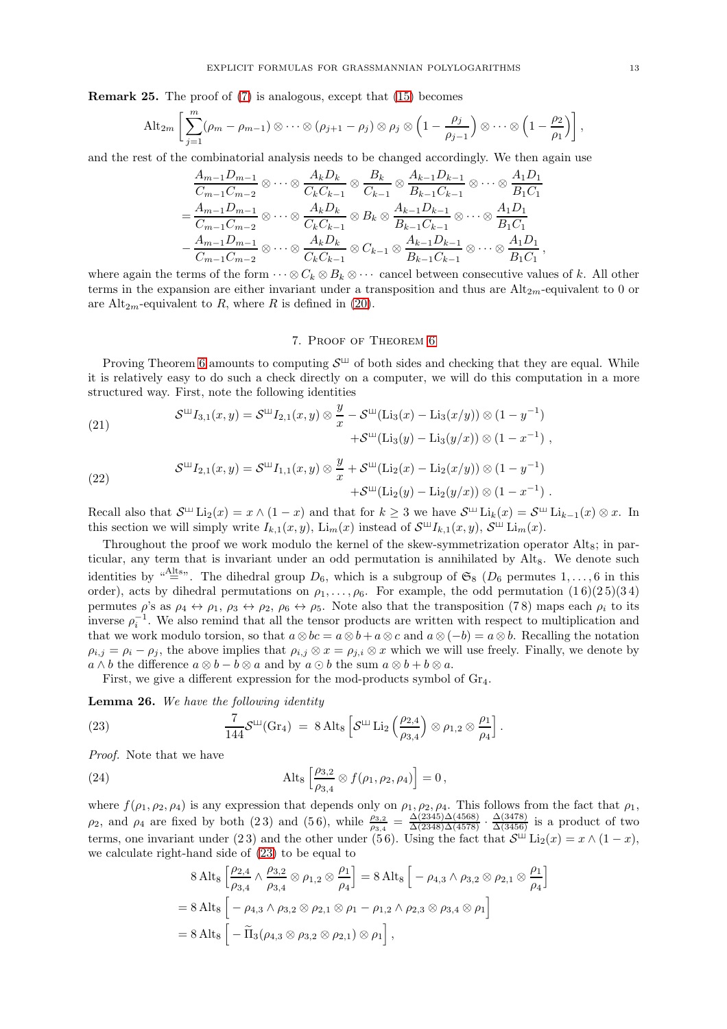Remark 25. The proof of [\(7\)](#page-4-2) is analogous, except that [\(15\)](#page-10-0) becomes

$$
\mathrm{Alt}_{2m} \left[ \sum_{j=1}^{m} (\rho_m - \rho_{m-1}) \otimes \cdots \otimes (\rho_{j+1} - \rho_j) \otimes \rho_j \otimes \left(1 - \frac{\rho_j}{\rho_{j-1}}\right) \otimes \cdots \otimes \left(1 - \frac{\rho_2}{\rho_1}\right) \right],
$$

and the rest of the combinatorial analysis needs to be changed accordingly. We then again use

$$
\frac{A_{m-1}D_{m-1}}{C_{m-1}C_{m-2}} \otimes \cdots \otimes \frac{A_kD_k}{C_kC_{k-1}} \otimes \frac{B_k}{C_{k-1}} \otimes \frac{A_{k-1}D_{k-1}}{B_{k-1}C_{k-1}} \otimes \cdots \otimes \frac{A_1D_1}{B_1C_1}
$$

$$
= \frac{A_{m-1}D_{m-1}}{C_{m-1}C_{m-2}} \otimes \cdots \otimes \frac{A_kD_k}{C_kC_{k-1}} \otimes B_k \otimes \frac{A_{k-1}D_{k-1}}{B_{k-1}C_{k-1}} \otimes \cdots \otimes \frac{A_1D_1}{B_1C_1}
$$

$$
- \frac{A_{m-1}D_{m-1}}{C_{m-1}C_{m-2}} \otimes \cdots \otimes \frac{A_kD_k}{C_kC_{k-1}} \otimes C_{k-1} \otimes \frac{A_{k-1}D_{k-1}}{B_{k-1}C_{k-1}} \otimes \cdots \otimes \frac{A_1D_1}{B_1C_1},
$$

where again the terms of the form  $\cdots \otimes C_k \otimes B_k \otimes \cdots$  cancel between consecutive values of k. All other terms in the expansion are either invariant under a transposition and thus are  $Alt_{2m}$ -equivalent to 0 or are Alt<sub>2m</sub>-equivalent to R, where R is defined in [\(20\)](#page-11-2).

# 7. Proof of Theorem [6](#page-4-0)

<span id="page-12-0"></span>Proving Theorem [6](#page-4-0) amounts to computing  $S^{\sqcup}$  of both sides and checking that they are equal. While it is relatively easy to do such a check directly on a computer, we will do this computation in a more structured way. First, note the following identities

<span id="page-12-2"></span>(21) 
$$
\mathcal{S}^{\mathfrak{U}}I_{3,1}(x,y) = \mathcal{S}^{\mathfrak{U}}I_{2,1}(x,y) \otimes \frac{y}{x} - \mathcal{S}^{\mathfrak{U}}(\text{Li}_{3}(x) - \text{Li}_{3}(x/y)) \otimes (1 - y^{-1}) + \mathcal{S}^{\mathfrak{U}}(\text{Li}_{3}(y) - \text{Li}_{3}(y/x)) \otimes (1 - x^{-1}),
$$

<span id="page-12-3"></span>(22) 
$$
\mathcal{S}^{\mathfrak{U}}I_{2,1}(x,y) = \mathcal{S}^{\mathfrak{U}}I_{1,1}(x,y) \otimes \frac{y}{x} + \mathcal{S}^{\mathfrak{U}}(\text{Li}_{2}(x) - \text{Li}_{2}(x/y)) \otimes (1 - y^{-1}) + \mathcal{S}^{\mathfrak{U}}(\text{Li}_{2}(y) - \text{Li}_{2}(y/x)) \otimes (1 - x^{-1}).
$$

Recall also that  $S^{\sqcup}$   $\text{Li}_2(x) = x \wedge (1-x)$  and that for  $k \geq 3$  we have  $S^{\sqcup}$   $\text{Li}_k(x) = S^{\sqcup}$   $\text{Li}_{k-1}(x) \otimes x$ . In this section we will simply write  $I_{k,1}(x,y)$ ,  $\text{Li}_{m}(x)$  instead of  $\mathcal{S}^{\sqcup}I_{k,1}(x,y)$ ,  $\mathcal{S}^{\sqcup} \text{Li}_{m}(x)$ .

Throughout the proof we work modulo the kernel of the skew-symmetrization operator  $\text{Alt}_8$ ; in particular, any term that is invariant under an odd permutation is annihilated by Alt<sub>8</sub>. We denote such identities by "<sup>Alts</sup>". The dihedral group  $D_6$ , which is a subgroup of  $\mathfrak{S}_8$  ( $D_6$  permutes 1,..., 6 in this order), acts by dihedral permutations on  $\rho_1, \ldots, \rho_6$ . For example, the odd permutation  $(1\,6)(2\,5)(3\,4)$ permutes  $\rho$ 's as  $\rho_4 \leftrightarrow \rho_1$ ,  $\rho_3 \leftrightarrow \rho_2$ ,  $\rho_6 \leftrightarrow \rho_5$ . Note also that the transposition (78) maps each  $\rho_i$  to its inverse  $\rho_i^{-1}$ . We also remind that all the tensor products are written with respect to multiplication and that we work modulo torsion, so that  $a \otimes bc = a \otimes b + a \otimes c$  and  $a \otimes (-b) = a \otimes b$ . Recalling the notation  $\rho_{i,j} = \rho_i - \rho_j$ , the above implies that  $\rho_{i,j} \otimes x = \rho_{j,i} \otimes x$  which we will use freely. Finally, we denote by  $a \wedge b$  the difference  $a \otimes b - b \otimes a$  and by  $a \odot b$  the sum  $a \otimes b + b \otimes a$ .

<span id="page-12-1"></span>First, we give a different expression for the mod-products symbol of  $Gr_4$ .

<span id="page-12-5"></span>Lemma 26. We have the following identity

(23) 
$$
\frac{7}{144} \mathcal{S}^{LL}(\text{Gr}_4) = 8 \text{ Alt}_8 \left[ \mathcal{S}^{LL} \text{Li}_2 \left( \frac{\rho_{2,4}}{\rho_{3,4}} \right) \otimes \rho_{1,2} \otimes \frac{\rho_1}{\rho_4} \right].
$$

Proof. Note that we have

(24) 
$$
\text{Alt}_8 \left[ \frac{\rho_{3,2}}{\rho_{3,4}} \otimes f(\rho_1, \rho_2, \rho_4) \right] = 0,
$$

where  $f(\rho_1, \rho_2, \rho_4)$  is any expression that depends only on  $\rho_1, \rho_2, \rho_4$ . This follows from the fact that  $\rho_1$ ,  $ρ_2$ , and  $ρ_4$  are fixed by both (23) and (56), while  $\frac{ρ_{3,2}}{ρ_{3,4}} = \frac{\Delta(2345)\Delta(4568)}{\Delta(2348)\Delta(4578)} \cdot \frac{\Delta(3478)}{\Delta(3456)}$  is a product of two terms, one invariant under (23) and the other under (56). Using the fact that  $S^{\perp\!\!\perp}$  Li<sub>2</sub>(x) = x  $\wedge$  (1 - x), we calculate right-hand side of [\(23\)](#page-12-1) to be equal to

<span id="page-12-4"></span>
$$
8 \text{ Alt}_{8} \left[ \frac{\rho_{2,4}}{\rho_{3,4}} \wedge \frac{\rho_{3,2}}{\rho_{3,4}} \otimes \rho_{1,2} \otimes \frac{\rho_{1}}{\rho_{4}} \right] = 8 \text{ Alt}_{8} \left[ -\rho_{4,3} \wedge \rho_{3,2} \otimes \rho_{2,1} \otimes \frac{\rho_{1}}{\rho_{4}} \right]
$$
  
= 8 Alt<sub>8</sub>  $\left[ -\rho_{4,3} \wedge \rho_{3,2} \otimes \rho_{2,1} \otimes \rho_{1} - \rho_{1,2} \wedge \rho_{2,3} \otimes \rho_{3,4} \otimes \rho_{1} \right]$   
= 8 Alt<sub>8</sub>  $\left[ -\widetilde{\Pi}_{3}(\rho_{4,3} \otimes \rho_{3,2} \otimes \rho_{2,1}) \otimes \rho_{1} \right],$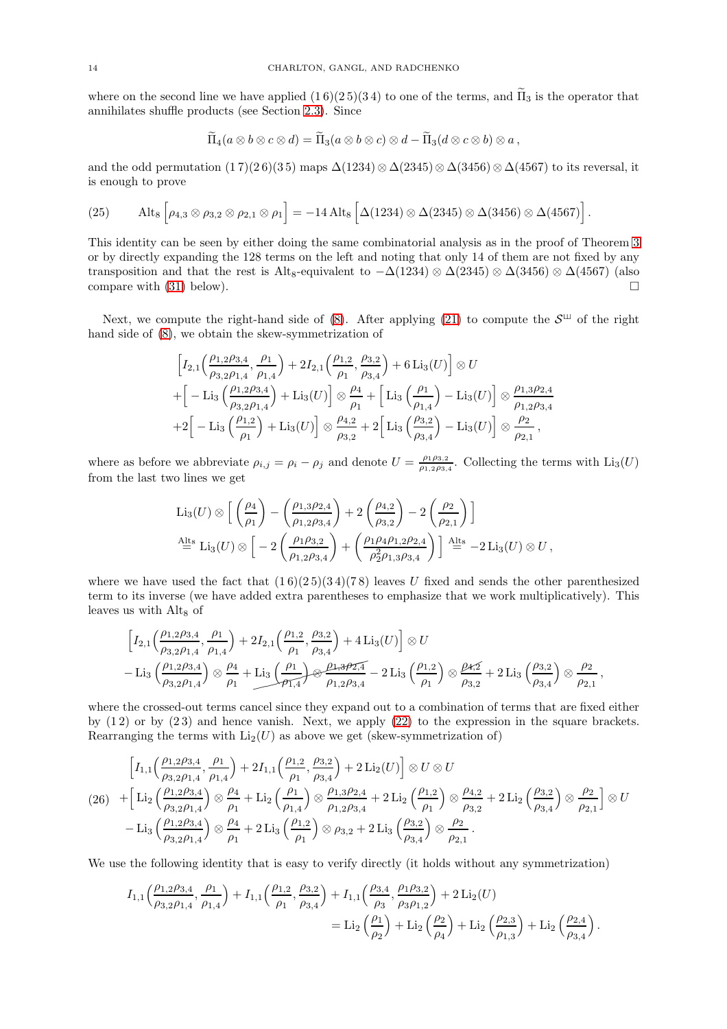where on the second line we have applied  $(1\,6)(2\,5)(3\,4)$  to one of the terms, and  $\widetilde{\Pi}_3$  is the operator that annihilates shuffle products (see Section [2.3\)](#page-2-1). Since

$$
\widetilde{\Pi}_4(a\otimes b\otimes c\otimes d)=\widetilde{\Pi}_3(a\otimes b\otimes c)\otimes d-\widetilde{\Pi}_3(d\otimes c\otimes b)\otimes a\,,
$$

and the odd permutation (1 7)(2 6)(3 5) maps  $\Delta(1234) \otimes \Delta(2345) \otimes \Delta(3456) \otimes \Delta(4567)$  to its reversal, it is enough to prove

.

<span id="page-13-1"></span>(25) 
$$
\text{Alt}_8\left[\rho_{4,3}\otimes\rho_{3,2}\otimes\rho_{2,1}\otimes\rho_1\right] = -14 \text{ Alt}_8\left[\Delta(1234)\otimes\Delta(2345)\otimes\Delta(3456)\otimes\Delta(4567)\right]
$$

This identity can be seen by either doing the same combinatorial analysis as in the proof of Theorem [3](#page-3-1) or by directly expanding the 128 terms on the left and noting that only 14 of them are not fixed by any transposition and that the rest is Alt<sub>8</sub>-equivalent to  $-\Delta(1234) \otimes \Delta(2345) \otimes \Delta(3456) \otimes \Delta(4567)$  (also compare with [\(31\)](#page-15-0) below).

Next, we compute the right-hand side of [\(8\)](#page-4-1). After applying [\(21\)](#page-12-2) to compute the  $S^{\sqcup}$  of the right hand side of [\(8\)](#page-4-1), we obtain the skew-symmetrization of

$$
\begin{split}\n& \left[I_{2,1}\left(\frac{\rho_{1,2}\rho_{3,4}}{\rho_{3,2}\rho_{1,4}},\frac{\rho_{1}}{\rho_{1,4}}\right)+2I_{2,1}\left(\frac{\rho_{1,2}}{\rho_{1}},\frac{\rho_{3,2}}{\rho_{3,4}}\right)+6\operatorname{Li}_{3}(U)\right]\otimes U \\
&+\left[-\operatorname{Li}_{3}\left(\frac{\rho_{1,2}\rho_{3,4}}{\rho_{3,2}\rho_{1,4}}\right)+\operatorname{Li}_{3}(U)\right]\otimes\frac{\rho_{4}}{\rho_{1}}+\left[\operatorname{Li}_{3}\left(\frac{\rho_{1}}{\rho_{1,4}}\right)-\operatorname{Li}_{3}(U)\right]\otimes\frac{\rho_{1,3}\rho_{2,4}}{\rho_{1,2}\rho_{3,4}} \\
&+2\left[-\operatorname{Li}_{3}\left(\frac{\rho_{1,2}}{\rho_{1}}\right)+\operatorname{Li}_{3}(U)\right]\otimes\frac{\rho_{4,2}}{\rho_{3,2}}+2\left[\operatorname{Li}_{3}\left(\frac{\rho_{3,2}}{\rho_{3,4}}\right)-\operatorname{Li}_{3}(U)\right]\otimes\frac{\rho_{2}}{\rho_{2,1}}\right],\n\end{split}
$$

where as before we abbreviate  $\rho_{i,j} = \rho_i - \rho_j$  and denote  $U = \frac{\rho_1 \rho_{3,2}}{\rho_{1,2}\rho_{3,3}}$  $\frac{\rho_1 \rho_3}{\rho_1 \rho_2 \rho_3}$ . Collecting the terms with  $\text{Li}_3(U)$ from the last two lines we get

$$
\text{Li}_3(U) \otimes \Big[ \left( \frac{\rho_4}{\rho_1} \right) - \left( \frac{\rho_{1,3}\rho_{2,4}}{\rho_{1,2}\rho_{3,4}} \right) + 2 \left( \frac{\rho_{4,2}}{\rho_{3,2}} \right) - 2 \left( \frac{\rho_2}{\rho_{2,1}} \right) \Big]
$$
\n
$$
\stackrel{\text{Alts}}{=} \text{Li}_3(U) \otimes \Big[ -2 \left( \frac{\rho_{1}\rho_{3,2}}{\rho_{1,2}\rho_{3,4}} \right) + \left( \frac{\rho_{1}\rho_{4}\rho_{1,2}\rho_{2,4}}{\rho_{2}^{2}\rho_{1,3}\rho_{3,4}} \right) \Big] \stackrel{\text{Alts}}{=} -2 \text{Li}_3(U) \otimes U,
$$

where we have used the fact that  $(16)(25)(34)(78)$  leaves U fixed and sends the other parenthesized term to its inverse (we have added extra parentheses to emphasize that we work multiplicatively). This leaves us with Alt<sub>8</sub> of

$$
\left[I_{2,1}\left(\frac{\rho_{1,2}\rho_{3,4}}{\rho_{3,2}\rho_{1,4}},\frac{\rho_{1}}{\rho_{1,4}}\right)+2I_{2,1}\left(\frac{\rho_{1,2}}{\rho_{1}},\frac{\rho_{3,2}}{\rho_{3,4}}\right)+4\operatorname{Li}_{3}(U)\right]\otimes U\right.-\operatorname{Li}_{3}\left(\frac{\rho_{1,2}\rho_{3,4}}{\rho_{3,2}\rho_{1,4}}\right)\otimes\frac{\rho_{4}}{\rho_{1}}+\operatorname{Li}_{3}\left(\frac{\rho_{1}}{\rho_{1,4}}\right)\otimes\frac{\rho_{2,3}\rho_{2,4}}{\rho_{1,2}\rho_{3,4}}-2\operatorname{Li}_{3}\left(\frac{\rho_{1,2}}{\rho_{1}}\right)\otimes\frac{\rho_{4,2}}{\rho_{3,2}}+2\operatorname{Li}_{3}\left(\frac{\rho_{3,2}}{\rho_{3,4}}\right)\otimes\frac{\rho_{2}}{\rho_{2,1}}\,,
$$

where the crossed-out terms cancel since they expand out to a combination of terms that are fixed either by (1 2) or by (2 3) and hence vanish. Next, we apply [\(22\)](#page-12-3) to the expression in the square brackets. Rearranging the terms with  $Li_2(U)$  as above we get (skew-symmetrization of)

<span id="page-13-0"></span>
$$
\left[ I_{1,1}\left(\frac{\rho_{1,2}\rho_{3,4}}{\rho_{3,2}\rho_{1,4}}, \frac{\rho_{1}}{\rho_{1,4}}\right) + 2I_{1,1}\left(\frac{\rho_{1,2}}{\rho_{1}}, \frac{\rho_{3,2}}{\rho_{3,4}}\right) + 2 \operatorname{Li}_{2}(U) \right] \otimes U \otimes U
$$
\n
$$
(26)\quad + \left[ \operatorname{Li}_{2}\left(\frac{\rho_{1,2}\rho_{3,4}}{\rho_{3,2}\rho_{1,4}}\right) \otimes \frac{\rho_{4}}{\rho_{1}} + \operatorname{Li}_{2}\left(\frac{\rho_{1}}{\rho_{1,4}}\right) \otimes \frac{\rho_{1,3}\rho_{2,4}}{\rho_{1,2}\rho_{3,4}} + 2 \operatorname{Li}_{2}\left(\frac{\rho_{1,2}}{\rho_{1}}\right) \otimes \frac{\rho_{4,2}}{\rho_{3,2}} + 2 \operatorname{Li}_{2}\left(\frac{\rho_{3,2}}{\rho_{3,4}}\right) \otimes \frac{\rho_{2}}{\rho_{2,1}} \right] \otimes U
$$
\n
$$
- \operatorname{Li}_{3}\left(\frac{\rho_{1,2}\rho_{3,4}}{\rho_{3,2}\rho_{1,4}}\right) \otimes \frac{\rho_{4}}{\rho_{1}} + 2 \operatorname{Li}_{3}\left(\frac{\rho_{1,2}}{\rho_{1}}\right) \otimes \rho_{3,2} + 2 \operatorname{Li}_{3}\left(\frac{\rho_{3,2}}{\rho_{3,4}}\right) \otimes \frac{\rho_{2}}{\rho_{2,1}}.
$$

We use the following identity that is easy to verify directly (it holds without any symmetrization)

$$
I_{1,1}\left(\frac{\rho_{1,2}\rho_{3,4}}{\rho_{3,2}\rho_{1,4}},\frac{\rho_{1}}{\rho_{1,4}}\right)+I_{1,1}\left(\frac{\rho_{1,2}}{\rho_{1}},\frac{\rho_{3,2}}{\rho_{3,4}}\right)+I_{1,1}\left(\frac{\rho_{3,4}}{\rho_{3}},\frac{\rho_{1}\rho_{3,2}}{\rho_{3}\rho_{1,2}}\right)+2\operatorname{Li}_{2}(U) = \operatorname{Li}_{2}\left(\frac{\rho_{1}}{\rho_{2}}\right)+\operatorname{Li}_{2}\left(\frac{\rho_{2}}{\rho_{4}}\right)+\operatorname{Li}_{2}\left(\frac{\rho_{2,3}}{\rho_{1,3}}\right)+\operatorname{Li}_{2}\left(\frac{\rho_{2,4}}{\rho_{3,4}}\right).
$$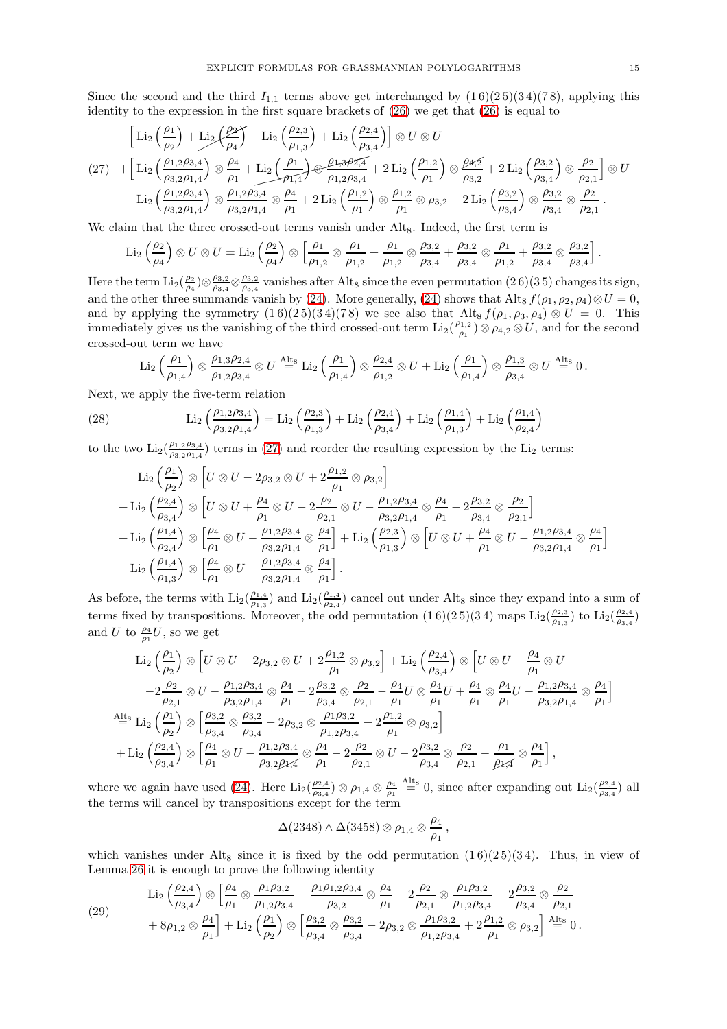Since the second and the third  $I_{1,1}$  terms above get interchanged by  $(1\,6)(2\,5)(3\,4)(7\,8)$ , applying this identity to the expression in the first square brackets of  $(26)$  we get that  $(26)$  is equal to

<span id="page-14-0"></span>
$$
\begin{split} \left[\text{Li}_2\left(\frac{\rho_1}{\rho_2}\right)+\text{Li}_2\left(\frac{\rho_2}{\rho_4}\right)+\text{Li}_2\left(\frac{\rho_{2,3}}{\rho_{1,3}}\right)+\text{Li}_2\left(\frac{\rho_{2,4}}{\rho_{3,4}}\right)\right]\otimes U\otimes U\\ (27)\quad &+\left[\text{Li}_2\left(\frac{\rho_{1,2}\rho_{3,4}}{\rho_{3,2}\rho_{1,4}}\right)\otimes\frac{\rho_4}{\rho_1}+\text{Li}_2\left(\frac{\rho_1}{\rho_{1,4}}\right)\otimes\frac{\rho_{1,3}\rho_{2,4}}{\rho_{1,2}\rho_{3,4}}+2\text{Li}_2\left(\frac{\rho_{1,2}}{\rho_1}\right)\otimes\frac{\rho_{4,5}}{\rho_{3,2}}+2\text{Li}_2\left(\frac{\rho_{3,2}}{\rho_{3,4}}\right)\otimes\frac{\rho_2}{\rho_{2,1}}\right]\otimes U\\ &-\text{Li}_2\left(\frac{\rho_{1,2}\rho_{3,4}}{\rho_{3,2}\rho_{1,4}}\right)\otimes\frac{\rho_{1,2}\rho_{3,4}}{\rho_{3,2}\rho_{1,4}}\otimes\frac{\rho_4}{\rho_1}+2\text{Li}_2\left(\frac{\rho_{1,2}}{\rho_1}\right)\otimes\frac{\rho_{1,2}}{\rho_1}\otimes\rho_{3,2}+2\text{Li}_2\left(\frac{\rho_{3,2}}{\rho_{3,4}}\right)\otimes\frac{\rho_{3,2}}{\rho_{3,4}}\otimes\frac{\rho_2}{\rho_{2,1}}\,. \end{split}
$$

We claim that the three crossed-out terms vanish under Alt<sub>8</sub>. Indeed, the first term is

$$
\text{Li}_2\left(\frac{\rho_2}{\rho_4}\right) \otimes U \otimes U = \text{Li}_2\left(\frac{\rho_2}{\rho_4}\right) \otimes \left[\frac{\rho_1}{\rho_{1,2}} \otimes \frac{\rho_1}{\rho_{1,2}} + \frac{\rho_1}{\rho_{1,2}} \otimes \frac{\rho_{3,2}}{\rho_{3,4}} + \frac{\rho_{3,2}}{\rho_{3,4}} \otimes \frac{\rho_1}{\rho_{1,2}} + \frac{\rho_{3,2}}{\rho_{3,4}} \otimes \frac{\rho_{3,2}}{\rho_{3,4}}\right].
$$

Here the term  $\text{Li}_2(\frac{\rho_2}{\rho_4}) \otimes \frac{\rho_{3,2}}{\rho_{3,4}}$  $\frac{\rho_{3,2}}{\rho_{3,4}} \otimes \frac{\rho_{3,2}}{\rho_{3,4}}$  $\frac{\rho_{3,2}}{\rho_{3,4}}$  vanishes after Alt<sub>8</sub> since the even permutation (26)(35) changes its sign, and the other three summands vanish by [\(24\)](#page-12-4). More generally, (24) shows that Alt<sub>8</sub>  $f(\rho_1, \rho_2, \rho_4) \otimes U = 0$ , and by applying the symmetry  $(1\,6)(2\,5)(3\,4)(7\,8)$  we see also that Alt<sub>8</sub>  $f(\rho_1, \rho_3, \rho_4) \otimes U = 0$ . This immediately gives us the vanishing of the third crossed-out term  $\text{Li}_2(\frac{\rho_{1,2}}{\rho_1})$  $(\rho_1, \rho_2) \otimes \rho_{4,2} \otimes U$ , and for the second crossed-out term we have

<span id="page-14-2"></span>
$$
\text{Li}_2\left(\frac{\rho_1}{\rho_{1,4}}\right) \otimes \frac{\rho_{1,3}\rho_{2,4}}{\rho_{1,2}\rho_{3,4}} \otimes U \stackrel{\text{Alts}}{=} \text{Li}_2\left(\frac{\rho_1}{\rho_{1,4}}\right) \otimes \frac{\rho_{2,4}}{\rho_{1,2}} \otimes U + \text{Li}_2\left(\frac{\rho_1}{\rho_{1,4}}\right) \otimes \frac{\rho_{1,3}}{\rho_{3,4}} \otimes U \stackrel{\text{Alts}}{=} 0.
$$

Next, we apply the five-term relation

(28) 
$$
\operatorname{Li}_2\left(\frac{\rho_{1,2}\rho_{3,4}}{\rho_{3,2}\rho_{1,4}}\right) = \operatorname{Li}_2\left(\frac{\rho_{2,3}}{\rho_{1,3}}\right) + \operatorname{Li}_2\left(\frac{\rho_{2,4}}{\rho_{3,4}}\right) + \operatorname{Li}_2\left(\frac{\rho_{1,4}}{\rho_{1,3}}\right) + \operatorname{Li}_2\left(\frac{\rho_{1,4}}{\rho_{2,4}}\right)
$$

to the two  $\text{Li}_2(\frac{\rho_{1,2}\rho_{3,4}}{\rho_{2,2}\rho_{1,4}})$  $\frac{\rho_{1,2}\rho_{3,4}}{\rho_{3,2}\rho_{1,4}}$  terms in [\(27\)](#page-14-0) and reorder the resulting expression by the Li<sub>2</sub> terms:

$$
\begin{split} &\text{Li}_2\left(\frac{\rho_1}{\rho_2}\right)\otimes\left[U\otimes U-2\rho_{3,2}\otimes U+2\frac{\rho_{1,2}}{\rho_1}\otimes\rho_{3,2}\right]\\ &+\text{Li}_2\left(\frac{\rho_{2,4}}{\rho_{3,4}}\right)\otimes\left[U\otimes U+\frac{\rho_4}{\rho_1}\otimes U-2\frac{\rho_2}{\rho_{2,1}}\otimes U-\frac{\rho_{1,2}\rho_{3,4}}{\rho_{3,2}\rho_{1,4}}\otimes\frac{\rho_4}{\rho_1}-2\frac{\rho_{3,2}}{\rho_{3,4}}\otimes\frac{\rho_2}{\rho_{2,1}}\right]\\ &+\text{Li}_2\left(\frac{\rho_{1,4}}{\rho_{2,4}}\right)\otimes\left[\frac{\rho_4}{\rho_1}\otimes U-\frac{\rho_{1,2}\rho_{3,4}}{\rho_{3,2}\rho_{1,4}}\otimes\frac{\rho_4}{\rho_1}\right]+\text{Li}_2\left(\frac{\rho_{2,3}}{\rho_{1,3}}\right)\otimes\left[U\otimes U+\frac{\rho_4}{\rho_1}\otimes U-\frac{\rho_{1,2}\rho_{3,4}}{\rho_{3,2}\rho_{1,4}}\otimes\frac{\rho_4}{\rho_1}\right]\\ &+\text{Li}_2\left(\frac{\rho_{1,4}}{\rho_{1,3}}\right)\otimes\left[\frac{\rho_4}{\rho_1}\otimes U-\frac{\rho_{1,2}\rho_{3,4}}{\rho_{3,2}\rho_{1,4}}\otimes\frac{\rho_4}{\rho_1}\right]. \end{split}
$$

As before, the terms with  $\text{Li}_2(\frac{\rho_{1,4}}{\rho_{1,2}})$  $\frac{\rho_{1,4}}{\rho_{1,3}}$ ) and  $\text{Li}_2(\frac{\rho_{1,4}}{\rho_{2,4}})$  $\frac{\rho_{1,4}}{\rho_{2,4}}$  cancel out under Alt<sub>8</sub> since they expand into a sum of terms fixed by transpositions. Moreover, the odd permutation  $(16)(25)(34)$  maps  $\text{Li}_2(\frac{\rho_{2,3}}{\rho_{1,3}})$  $\frac{\rho_{2,3}}{\rho_{1,3}}$ ) to  $\text{Li}_2(\frac{\rho_{2,4}}{\rho_{3,4}})$  $\frac{\rho_{2,4}}{\rho_{3,4}})$ and U to  $\frac{\rho_4}{\rho_1}U$ , so we get

$$
\begin{split} \text{Li}_2\left(\frac{\rho_1}{\rho_2}\right) &\otimes \left[U \otimes U - 2\rho_{3,2} \otimes U + 2\frac{\rho_{1,2}}{\rho_1} \otimes \rho_{3,2}\right] + \text{Li}_2\left(\frac{\rho_{2,4}}{\rho_{3,4}}\right) \otimes \left[U \otimes U + \frac{\rho_4}{\rho_1} \otimes U\right] \\ &- 2\frac{\rho_2}{\rho_{2,1}} \otimes U - \frac{\rho_{1,2}\rho_{3,4}}{\rho_{3,2}\rho_{1,4}} \otimes \frac{\rho_4}{\rho_1} - 2\frac{\rho_{3,2}}{\rho_{3,4}} \otimes \frac{\rho_2}{\rho_{2,1}} - \frac{\rho_4}{\rho_1}U \otimes \frac{\rho_4}{\rho_1}U + \frac{\rho_4}{\rho_1} \otimes \frac{\rho_4}{\rho_1}U - \frac{\rho_{1,2}\rho_{3,4}}{\rho_{3,2}\rho_{1,4}} \otimes \frac{\rho_4}{\rho_1}\right] \\ \stackrel{\text{Alts}}{=} \text{Li}_2\left(\frac{\rho_1}{\rho_2}\right) &\otimes \left[\frac{\rho_{3,2}}{\rho_{3,4}} \otimes \frac{\rho_{3,2}}{\rho_{3,4}} - 2\rho_{3,2} \otimes \frac{\rho_{1}\rho_{3,2}}{\rho_{1,2}\rho_{3,4}} + 2\frac{\rho_{1,2}}{\rho_1} \otimes \rho_{3,2}\right] \\ &+ \text{Li}_2\left(\frac{\rho_{2,4}}{\rho_{3,4}}\right) &\otimes \left[\frac{\rho_4}{\rho_1} \otimes U - \frac{\rho_{1,2}\rho_{3,4}}{\rho_{3,2}\rho_{4,4}} \otimes \frac{\rho_4}{\rho_1} - 2\frac{\rho_2}{\rho_{2,1}} \otimes U - 2\frac{\rho_{3,2}}{\rho_{3,4}} \otimes \frac{\rho_2}{\rho_{2,1}} - \frac{\rho_1}{\rho_{4,4}} \otimes \frac{\rho_4}{\rho_1}\right], \end{split}
$$

where we again have used [\(24\)](#page-12-4). Here  $\text{Li}_2(\frac{\rho_{2,4}}{\rho_{3,4}})$  $\frac{\rho_{2,4}}{\rho_{3,4}}$ )  $\otimes$   $\rho_{1,4}$   $\otimes$   $\frac{\rho_4}{\rho_1}$   $\stackrel{\text{Alt}_8}{=}$  0, since after expanding out  $\text{Li}_2(\frac{\rho_{2,4}}{\rho_{3,4}})$  $\frac{\rho_{2,4}}{\rho_{3,4}}$ ) all the terms will cancel by transpositions except for the term

$$
\Delta(2348)\wedge \Delta(3458)\otimes \rho_{1,4}\otimes \frac{\rho_4}{\rho_1}\,,
$$

which vanishes under Alt<sub>8</sub> since it is fixed by the odd permutation  $(1\,6)(2\,5)(3\,4)$ . Thus, in view of Lemma [26](#page-12-5) it is enough to prove the following identity

<span id="page-14-1"></span>(29) 
$$
\text{Li}_2\left(\frac{\rho_{2,4}}{\rho_{3,4}}\right) \otimes \left[\frac{\rho_4}{\rho_1} \otimes \frac{\rho_1 \rho_{3,2}}{\rho_{1,2} \rho_{3,4}} - \frac{\rho_1 \rho_{1,2} \rho_{3,4}}{\rho_{3,2}} \otimes \frac{\rho_4}{\rho_1} - 2 \frac{\rho_2}{\rho_{2,1}} \otimes \frac{\rho_{1} \rho_{3,2}}{\rho_{1,2} \rho_{3,4}} - 2 \frac{\rho_{3,2}}{\rho_{3,4}} \otimes \frac{\rho_2}{\rho_{2,1}} + 8\rho_{1,2} \otimes \frac{\rho_4}{\rho_1} \right] + \text{Li}_2\left(\frac{\rho_1}{\rho_2}\right) \otimes \left[\frac{\rho_{3,2}}{\rho_{3,4}} \otimes \frac{\rho_{3,2}}{\rho_{3,4}} - 2\rho_{3,2} \otimes \frac{\rho_1 \rho_{3,2}}{\rho_{1,2} \rho_{3,4}} + 2 \frac{\rho_{1,2}}{\rho_1} \otimes \rho_{3,2} \right] \stackrel{\text{Alts}}{=} 0.
$$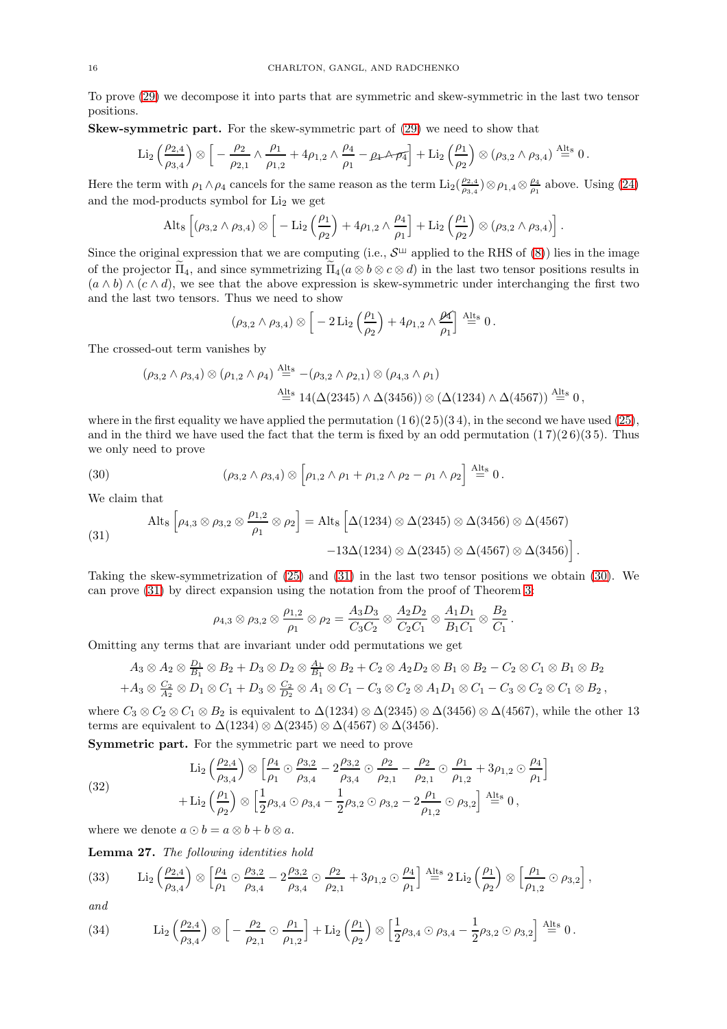To prove [\(29\)](#page-14-1) we decompose it into parts that are symmetric and skew-symmetric in the last two tensor positions.

Skew-symmetric part. For the skew-symmetric part of [\(29\)](#page-14-1) we need to show that

$$
\operatorname{Li}_2\left(\frac{\rho_{2,4}}{\rho_{3,4}}\right)\otimes\left[\right. -\frac{\rho_2}{\rho_{2,1}}\wedge\frac{\rho_1}{\rho_{1,2}}+4\rho_{1,2}\wedge\frac{\rho_4}{\rho_1}-\rho_1\wedge\pi_1\right]+\operatorname{Li}_2\left(\frac{\rho_1}{\rho_2}\right)\otimes\left(\rho_{3,2}\wedge\rho_{3,4}\right)\stackrel{\text{Alt}_8}{=}0\,.
$$

Here the term with  $\rho_1 \wedge \rho_4$  cancels for the same reason as the term  $\text{Li}_2(\frac{\rho_{2,4}}{\rho_{2,4}})$  $\frac{\rho_{2,4}}{\rho_{3,4}}$ )  $\otimes$   $\rho_{1,4}$   $\otimes$   $\frac{\rho_4}{\rho_1}$  above. Using [\(24\)](#page-12-4) and the mod-products symbol for Li<sub>2</sub> we get

$$
\mathrm{Alt}_8\left[(\rho_{3,2}\wedge\rho_{3,4})\otimes\left[-\mathrm{Li}_2\left(\frac{\rho_1}{\rho_2}\right)+4\rho_{1,2}\wedge\frac{\rho_4}{\rho_1}\right]+\mathrm{Li}_2\left(\frac{\rho_1}{\rho_2}\right)\otimes(\rho_{3,2}\wedge\rho_{3,4})\right].
$$

Since the original expression that we are computing (i.e.,  $\mathcal{S}^{\perp\!\!\perp}$  applied to the RHS of [\(8\)](#page-4-1)) lies in the image of the projector  $\tilde{\Pi}_4$ , and since symmetrizing  $\tilde{\Pi}_4(a \otimes b \otimes c \otimes d)$  in the last two tensor positions results in  $(a \wedge b) \wedge (c \wedge d)$ , we see that the above expression is skew-symmetric under interchanging the first two and the last two tensors. Thus we need to show

$$
(\rho_{3,2} \wedge \rho_{3,4}) \otimes \left[ -2 \operatorname{Li}_2\left(\frac{\rho_1}{\rho_2}\right) + 4 \rho_{1,2} \wedge \frac{\rho_4}{\rho_1} \right] \stackrel{\text{Alts}}{=} 0.
$$

The crossed-out term vanishes by

$$
(\rho_{3,2} \wedge \rho_{3,4}) \otimes (\rho_{1,2} \wedge \rho_{4}) \stackrel{\text{Alts}}{=} -(\rho_{3,2} \wedge \rho_{2,1}) \otimes (\rho_{4,3} \wedge \rho_{1})
$$
  

$$
\stackrel{\text{Alts}}{=} 14(\Delta(2345) \wedge \Delta(3456)) \otimes (\Delta(1234) \wedge \Delta(4567)) \stackrel{\text{Alts}}{=} 0,
$$

where in the first equality we have applied the permutation  $(1\,6)(2\,5)(3\,4)$ , in the second we have used  $(25)$ , and in the third we have used the fact that the term is fixed by an odd permutation  $(17)(26)(35)$ . Thus we only need to prove

<span id="page-15-1"></span>(30) 
$$
(\rho_{3,2} \wedge \rho_{3,4}) \otimes [\rho_{1,2} \wedge \rho_1 + \rho_{1,2} \wedge \rho_2 - \rho_1 \wedge \rho_2] \stackrel{\text{Alts}}{=} 0.
$$

We claim that

<span id="page-15-0"></span>(31) 
$$
\operatorname{Alt}_8\left[\rho_{4,3}\otimes\rho_{3,2}\otimes\frac{\rho_{1,2}}{\rho_1}\otimes\rho_2\right] = \operatorname{Alt}_8\left[\Delta(1234)\otimes\Delta(2345)\otimes\Delta(3456)\otimes\Delta(4567)\right] - 13\Delta(1234)\otimes\Delta(2345)\otimes\Delta(4567)\otimes\Delta(3456)\right].
$$

Taking the skew-symmetrization of [\(25\)](#page-13-1) and [\(31\)](#page-15-0) in the last two tensor positions we obtain [\(30\)](#page-15-1). We can prove [\(31\)](#page-15-0) by direct expansion using the notation from the proof of Theorem [3:](#page-3-1)

$$
\rho_{4,3} \otimes \rho_{3,2} \otimes \frac{\rho_{1,2}}{\rho_1} \otimes \rho_2 = \frac{A_3 D_3}{C_3 C_2} \otimes \frac{A_2 D_2}{C_2 C_1} \otimes \frac{A_1 D_1}{B_1 C_1} \otimes \frac{B_2}{C_1}.
$$

Omitting any terms that are invariant under odd permutations we get

$$
A_3 \otimes A_2 \otimes \frac{D_1}{B_1} \otimes B_2 + D_3 \otimes D_2 \otimes \frac{A_1}{B_1} \otimes B_2 + C_2 \otimes A_2 D_2 \otimes B_1 \otimes B_2 - C_2 \otimes C_1 \otimes B_1 \otimes B_2
$$
  
+
$$
A_3 \otimes \frac{C_2}{A_2} \otimes D_1 \otimes C_1 + D_3 \otimes \frac{C_2}{D_2} \otimes A_1 \otimes C_1 - C_3 \otimes C_2 \otimes A_1 D_1 \otimes C_1 - C_3 \otimes C_2 \otimes C_1 \otimes B_2,
$$

where  $C_3 \otimes C_2 \otimes C_1 \otimes B_2$  is equivalent to  $\Delta(1234) \otimes \Delta(2345) \otimes \Delta(3456) \otimes \Delta(4567)$ , while the other 13 terms are equivalent to  $\Delta(1234) \otimes \Delta(2345) \otimes \Delta(4567) \otimes \Delta(3456)$ .

Symmetric part. For the symmetric part we need to prove

<span id="page-15-4"></span>(32) 
$$
\text{Li}_2\left(\frac{\rho_{2,4}}{\rho_{3,4}}\right) \otimes \left[\frac{\rho_4}{\rho_1} \odot \frac{\rho_{3,2}}{\rho_{3,4}} - 2\frac{\rho_{3,2}}{\rho_{3,4}} \odot \frac{\rho_2}{\rho_{2,1}} - \frac{\rho_2}{\rho_{2,1}} \odot \frac{\rho_1}{\rho_{1,2}} + 3\rho_{1,2} \odot \frac{\rho_4}{\rho_1}\right] + \text{Li}_2\left(\frac{\rho_1}{\rho_2}\right) \otimes \left[\frac{1}{2}\rho_{3,4} \odot \rho_{3,4} - \frac{1}{2}\rho_{3,2} \odot \rho_{3,2} - 2\frac{\rho_1}{\rho_{1,2}} \odot \rho_{3,2}\right] \stackrel{\text{Alts}}{=} 0,
$$

where we denote  $a \odot b = a \otimes b + b \otimes a$ .

Lemma 27. The following identities hold

<span id="page-15-2"></span>(33) Li<sub>2</sub> 
$$
\left(\frac{\rho_{2,4}}{\rho_{3,4}}\right) \otimes \left[\frac{\rho_4}{\rho_1} \odot \frac{\rho_{3,2}}{\rho_{3,4}} - 2\frac{\rho_{3,2}}{\rho_{3,4}} \odot \frac{\rho_2}{\rho_{2,1}} + 3\rho_{1,2} \odot \frac{\rho_4}{\rho_1}\right] \stackrel{\text{Alts}}{=} 2 \text{Li}_2\left(\frac{\rho_1}{\rho_2}\right) \otimes \left[\frac{\rho_1}{\rho_{1,2}} \odot \rho_{3,2}\right],
$$

and

<span id="page-15-3"></span>(34) Li<sub>2</sub> 
$$
\left(\frac{\rho_{2,4}}{\rho_{3,4}}\right) \otimes \left[-\frac{\rho_2}{\rho_{2,1}} \odot \frac{\rho_1}{\rho_{1,2}}\right] + \text{Li}_2\left(\frac{\rho_1}{\rho_2}\right) \otimes \left[\frac{1}{2}\rho_{3,4} \odot \rho_{3,4} - \frac{1}{2}\rho_{3,2} \odot \rho_{3,2}\right] \stackrel{\text{Alts}}{=} 0.
$$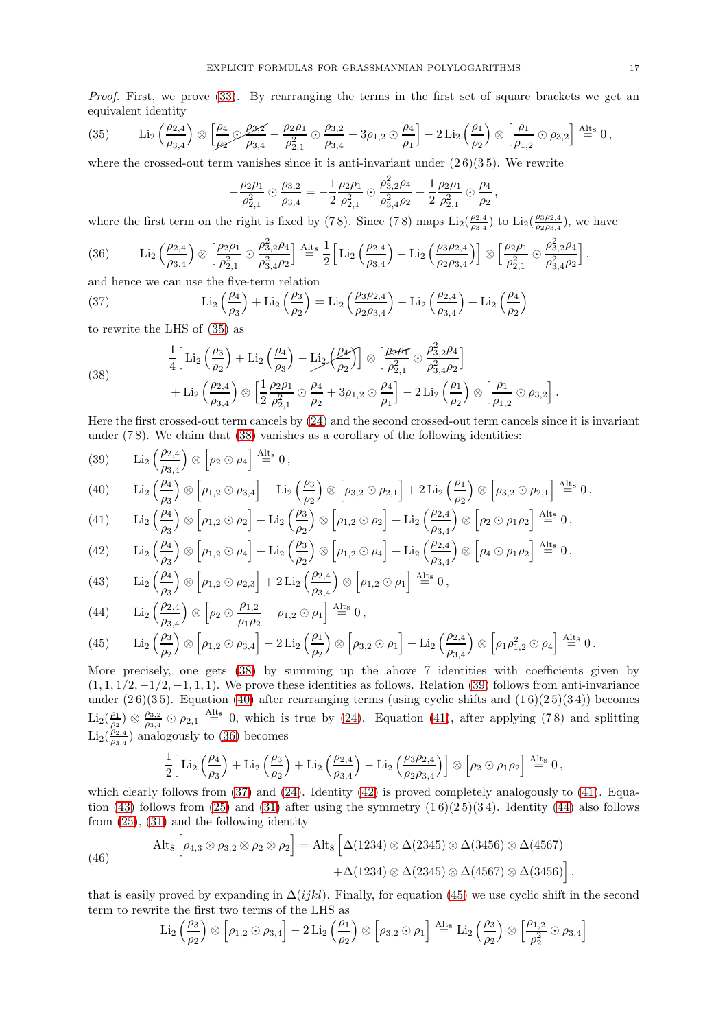Proof. First, we prove [\(33\)](#page-15-2). By rearranging the terms in the first set of square brackets we get an equivalent identity

<span id="page-16-0"></span>(35) Li<sub>2</sub> 
$$
\left(\frac{\rho_{2,4}}{\rho_{3,4}}\right) \otimes \left[\frac{\rho_4}{\rho_2} \mathcal{D} \frac{\rho_{3,2}}{\rho_{3,4}} - \frac{\rho_{2}\rho_1}{\rho_{2,1}^2} \odot \frac{\rho_{3,2}}{\rho_{3,4}} + 3\rho_{1,2} \odot \frac{\rho_4}{\rho_1}\right] - 2 \operatorname{Li}_2\left(\frac{\rho_1}{\rho_2}\right) \otimes \left[\frac{\rho_1}{\rho_{1,2}} \odot \rho_{3,2}\right] \stackrel{\text{Alts}}{=} 0,
$$

where the crossed-out term vanishes since it is anti-invariant under  $(26)(35)$ . We rewrite

$$
-\frac{\rho_2\rho_1}{\rho_{2,1}^2}\odot\frac{\rho_{3,2}}{\rho_{3,4}}=-\frac{1}{2}\frac{\rho_2\rho_1}{\rho_{2,1}^2}\odot\frac{\rho_{3,2}^2\rho_4}{\rho_{3,4}^2\rho_2}+\frac{1}{2}\frac{\rho_2\rho_1}{\rho_{2,1}^2}\odot\frac{\rho_4}{\rho_2},
$$

where the first term on the right is fixed by (78). Since (78) maps  $\text{Li}_2(\frac{\rho_{2,4}}{\rho_{2,4}})$  $\frac{\rho_{2,4}}{\rho_{3,4}}$ ) to  $\text{Li}_2(\frac{\rho_3\rho_{2,4}}{\rho_2\rho_{3,4}})$  $\frac{\rho_3 \rho_{2,4}}{\rho_2 \rho_{3,4}}$ ), we have

<span id="page-16-5"></span>(36) 
$$
\text{Li}_2\left(\frac{\rho_{2,4}}{\rho_{3,4}}\right) \otimes \left[\frac{\rho_2 \rho_1}{\rho_{2,1}^2} \odot \frac{\rho_{3,2}^2 \rho_4}{\rho_{3,4}^2 \rho_2}\right] \stackrel{\text{Alt}_8}{=} \frac{1}{2} \left[\text{Li}_2\left(\frac{\rho_{2,4}}{\rho_{3,4}}\right) - \text{Li}_2\left(\frac{\rho_{3}\rho_{2,4}}{\rho_{2}\rho_{3,4}}\right)\right] \otimes \left[\frac{\rho_{2}\rho_1}{\rho_{2,1}^2} \odot \frac{\rho_{3,2}^2 \rho_4}{\rho_{3,4}^2 \rho_2}\right],
$$

and hence we can use the five-term relation

<span id="page-16-6"></span>(37) 
$$
\text{Li}_2\left(\frac{\rho_4}{\rho_3}\right) + \text{Li}_2\left(\frac{\rho_3}{\rho_2}\right) = \text{Li}_2\left(\frac{\rho_3 \rho_{2,4}}{\rho_2 \rho_{3,4}}\right) - \text{Li}_2\left(\frac{\rho_{2,4}}{\rho_{3,4}}\right) + \text{Li}_2\left(\frac{\rho_4}{\rho_2}\right)
$$

to rewrite the LHS of [\(35\)](#page-16-0) as

<span id="page-16-1"></span>(38) 
$$
\frac{1}{4} \Big[ \mathrm{Li}_2\left(\frac{\rho_3}{\rho_2}\right) + \mathrm{Li}_2\left(\frac{\rho_4}{\rho_3}\right) - \mathrm{Li}_2\left(\frac{\rho_4}{\rho_2}\right) \Big] \otimes \Big[\frac{\rho_2 \rho_T}{\rho_{2,1}^2} \odot \frac{\rho_{3,2}^2 \rho_4}{\rho_{3,4}^2 \rho_2} \Big] + \mathrm{Li}_2\left(\frac{\rho_{2,4}}{\rho_{3,4}}\right) \otimes \Big[\frac{1}{2} \frac{\rho_2 \rho_1}{\rho_{2,1}^2} \odot \frac{\rho_4}{\rho_2} + 3\rho_{1,2} \odot \frac{\rho_4}{\rho_1} \Big] - 2 \mathrm{Li}_2\left(\frac{\rho_1}{\rho_2}\right) \otimes \Big[\frac{\rho_1}{\rho_{1,2}} \odot \rho_{3,2}\Big].
$$

Here the first crossed-out term cancels by [\(24\)](#page-12-4) and the second crossed-out term cancels since it is invariant under  $(78)$ . We claim that  $(38)$  vanishes as a corollary of the following identities:

<span id="page-16-2"></span>(39) 
$$
\operatorname{Li}_2\left(\frac{\rho_{2,4}}{\rho_{3,4}}\right) \otimes \left[\rho_2 \odot \rho_4\right] \stackrel{\text{Alt}_8}{=} 0,
$$

<span id="page-16-3"></span>(40) Li<sub>2</sub> 
$$
\left(\frac{\rho_4}{\rho_3}\right) \otimes \left[\rho_{1,2} \odot \rho_{3,4}\right] - \text{Li}_2\left(\frac{\rho_3}{\rho_2}\right) \otimes \left[\rho_{3,2} \odot \rho_{2,1}\right] + 2 \text{Li}_2\left(\frac{\rho_1}{\rho_2}\right) \otimes \left[\rho_{3,2} \odot \rho_{2,1}\right] \stackrel{\text{Alts}}{=} 0,
$$

<span id="page-16-4"></span>(41) 
$$
\operatorname{Li}_2\left(\frac{\rho_4}{\rho_3}\right) \otimes \left[\rho_{1,2}\odot\rho_2\right] + \operatorname{Li}_2\left(\frac{\rho_3}{\rho_2}\right) \otimes \left[\rho_{1,2}\odot\rho_2\right] + \operatorname{Li}_2\left(\frac{\rho_{2,4}}{\rho_{3,4}}\right) \otimes \left[\rho_2\odot\rho_1\rho_2\right] \stackrel{\text{Alts}}{=} 0,
$$

<span id="page-16-7"></span>(42) Li<sub>2</sub> 
$$
\left(\frac{\rho_4}{\rho_3}\right) \otimes \left[\rho_{1,2} \odot \rho_4\right] + \text{Li}_2\left(\frac{\rho_3}{\rho_2}\right) \otimes \left[\rho_{1,2} \odot \rho_4\right] + \text{Li}_2\left(\frac{\rho_{2,4}}{\rho_{3,4}}\right) \otimes \left[\rho_4 \odot \rho_1 \rho_2\right] \stackrel{\text{Alts}}{=} 0,
$$

<span id="page-16-8"></span>(43) Li<sub>2</sub> 
$$
\left(\frac{\rho_4}{\rho_3}\right) \otimes \left[\rho_{1,2} \odot \rho_{2,3}\right] + 2 \operatorname{Li}_2\left(\frac{\rho_{2,4}}{\rho_{3,4}}\right) \otimes \left[\rho_{1,2} \odot \rho_1\right] \stackrel{\text{Alts}}{=} 0,
$$

<span id="page-16-9"></span>(44) Li<sub>2</sub> 
$$
\left(\frac{\rho_{2,4}}{\rho_{3,4}}\right) \otimes \left[\rho_2 \odot \frac{\rho_{1,2}}{\rho_1 \rho_2} - \rho_{1,2} \odot \rho_1\right] \stackrel{\text{Alts}}{=} 0,
$$

<span id="page-16-10"></span>(45) 
$$
\text{Li}_2\left(\frac{\rho_3}{\rho_2}\right) \otimes \left[\rho_{1,2}\odot\rho_{3,4}\right] - 2\text{Li}_2\left(\frac{\rho_1}{\rho_2}\right) \otimes \left[\rho_{3,2}\odot\rho_1\right] + \text{Li}_2\left(\frac{\rho_{2,4}}{\rho_{3,4}}\right) \otimes \left[\rho_1\rho_{1,2}^2\odot\rho_4\right] \stackrel{\text{Alt}_8}{=} 0.
$$

More precisely, one gets  $(38)$  by summing up the above 7 identities with coefficients given by  $(1, 1, 1/2, -1/2, -1, 1, 1)$ . We prove these identities as follows. Relation [\(39\)](#page-16-2) follows from anti-invariance under  $(2\,6)(3\,5)$ . Equation [\(40\)](#page-16-3) after rearranging terms (using cyclic shifts and  $(1\,6)(2\,5)(3\,4)$ ) becomes  $\text{Li}_2(\frac{\rho_1}{\rho_2}) \otimes \frac{\rho_{3,2}}{\rho_{3,4}}$  $\frac{\rho_{3,2}}{\rho_{3,4}}$   $\odot$   $\rho_{2,1}$   $\stackrel{\text{Alts}}{=}$  0, which is true by [\(24\)](#page-12-4). Equation [\(41\)](#page-16-4), after applying (78) and splitting  $\text{Li}_2(\frac{\rho_{2,4}}{\rho_{2,4}})$  $\frac{\rho_{2,4}}{\rho_{3,4}}$ ) analogously to [\(36\)](#page-16-5) becomes

$$
\frac{1}{2}\Big[\text{Li}_2\left(\frac{\rho_4}{\rho_3}\right)+\text{Li}_2\left(\frac{\rho_3}{\rho_2}\right)+\text{Li}_2\left(\frac{\rho_{2,4}}{\rho_{3,4}}\right)-\text{Li}_2\left(\frac{\rho_3\rho_{2,4}}{\rho_2\rho_{3,4}}\right)\Big]\otimes \left[\rho_2\odot\rho_1\rho_2\right]\stackrel{\text{Alts}}{=}0\,,
$$

which clearly follows from  $(37)$  and  $(24)$ . Identity  $(42)$  is proved completely analogously to  $(41)$ . Equa-tion [\(43\)](#page-16-8) follows from [\(25\)](#page-13-1) and [\(31\)](#page-15-0) after using the symmetry  $(1\,6)(2\,5)(3\,4)$ . Identity [\(44\)](#page-16-9) also follows from  $(25)$ ,  $(31)$  and the following identity

(46) 
$$
\operatorname{Alt}_8 \left[ \rho_{4,3} \otimes \rho_{3,2} \otimes \rho_2 \otimes \rho_2 \right] = \operatorname{Alt}_8 \left[ \Delta(1234) \otimes \Delta(2345) \otimes \Delta(3456) \otimes \Delta(4567) + \Delta(1234) \otimes \Delta(2345) \otimes \Delta(4567) \otimes \Delta(3456) \right],
$$

that is easily proved by expanding in  $\Delta(ijkl)$ . Finally, for equation [\(45\)](#page-16-10) we use cyclic shift in the second term to rewrite the first two terms of the LHS as

$$
\text{Li}_2\left(\frac{\rho_3}{\rho_2}\right)\otimes\left[\rho_{1,2}\odot\rho_{3,4}\right]-2\text{Li}_2\left(\frac{\rho_1}{\rho_2}\right)\otimes\left[\rho_{3,2}\odot\rho_1\right]\stackrel{\text{Alts}}{=} \text{Li}_2\left(\frac{\rho_3}{\rho_2}\right)\otimes\left[\frac{\rho_{1,2}}{\rho_2^2}\odot\rho_{3,4}\right]
$$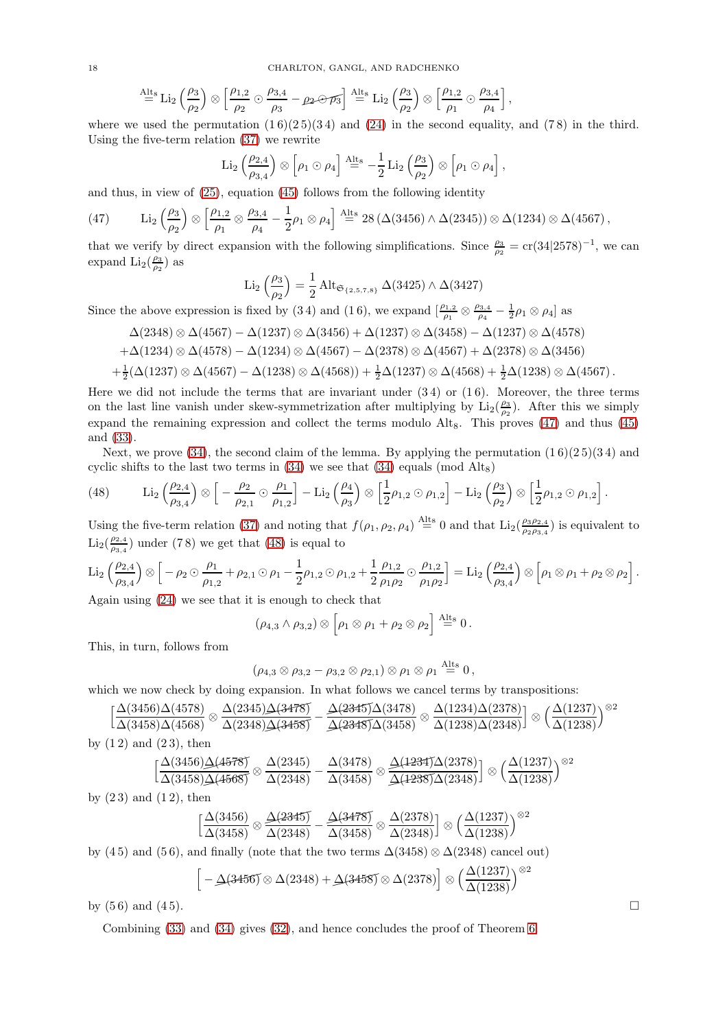$$
\stackrel{\text{Alts}}{=} \text{Li}_2\left(\frac{\rho_3}{\rho_2}\right) \otimes \left[\frac{\rho_{1,2}}{\rho_2} \odot \frac{\rho_{3,4}}{\rho_3} - \rho_2 \odot \overline{\rho_3}\right] \stackrel{\text{Alts}}{=} \text{Li}_2\left(\frac{\rho_3}{\rho_2}\right) \otimes \left[\frac{\rho_{1,2}}{\rho_1} \odot \frac{\rho_{3,4}}{\rho_4}\right],
$$

where we used the permutation  $(16)(25)(34)$  and  $(24)$  in the second equality, and  $(78)$  in the third. Using the five-term relation [\(37\)](#page-16-6) we rewrite

$$
\operatorname{Li}_2\left(\frac{\rho_{2,4}}{\rho_{3,4}}\right)\otimes \left[\rho_1\odot\rho_4\right]\stackrel{\text{Alt}_8}{=}-\frac{1}{2}\operatorname{Li}_2\left(\frac{\rho_3}{\rho_2}\right)\otimes \left[\rho_1\odot\rho_4\right],
$$

and thus, in view of [\(25\)](#page-13-1), equation [\(45\)](#page-16-10) follows from the following identity

<span id="page-17-0"></span>(47) Li<sub>2</sub> 
$$
\left(\frac{\rho_3}{\rho_2}\right) \otimes \left[\frac{\rho_{1,2}}{\rho_1} \otimes \frac{\rho_{3,4}}{\rho_4} - \frac{1}{2}\rho_1 \otimes \rho_4\right]
$$
<sup>Alts</sup> 28  $(\Delta(3456) \wedge \Delta(2345)) \otimes \Delta(1234) \otimes \Delta(4567)$ ,

that we verify by direct expansion with the following simplifications. Since  $\frac{\rho_3}{\rho_2} = cr(34|2578)^{-1}$ , we can expand  $\text{Li}_2(\frac{\rho_3}{\rho_2})$  as

Li<sub>2</sub> 
$$
\left(\frac{\rho_3}{\rho_2}\right) = \frac{1}{2} \operatorname{Alt}_{\mathfrak{S}_{\{2,5,7,8\}}}\Delta(3425) \wedge \Delta(3427)
$$

Since the above expression is fixed by (34) and (16), we expand  $\left[\frac{\rho_{1,2}}{\rho_1} \otimes \frac{\rho_{3,4}}{\rho_4}\right]$  $\frac{\rho_{3,4}}{\rho_4} - \frac{1}{2} \rho_1 \otimes \rho_4]$  as

$$
\Delta(2348)\otimes\Delta(4567)-\Delta(1237)\otimes\Delta(3456)+\Delta(1237)\otimes\Delta(3458)-\Delta(1237)\otimes\Delta(4578)
$$

$$
+\Delta(1234)\otimes\Delta(4578)-\Delta(1234)\otimes\Delta(4567)-\Delta(2378)\otimes\Delta(4567)+\Delta(2378)\otimes\Delta(3456)
$$

$$
+\frac{1}{2}(\Delta(1237) \otimes \Delta(4567) - \Delta(1238) \otimes \Delta(4568)) + \frac{1}{2}\Delta(1237) \otimes \Delta(4568) + \frac{1}{2}\Delta(1238) \otimes \Delta(4567).
$$

Here we did not include the terms that are invariant under  $(3\,4)$  or  $(1\,6)$ . Moreover, the three terms on the last line vanish under skew-symmetrization after multiplying by  $\text{Li}_2(\frac{\rho_3}{\rho_2})$ . After this we simply expand the remaining expression and collect the terms modulo  $Alt_8$ . This proves [\(47\)](#page-17-0) and thus [\(45\)](#page-16-10) and [\(33\)](#page-15-2).

Next, we prove [\(34\)](#page-15-3), the second claim of the lemma. By applying the permutation  $(16)(25)(34)$  and cyclic shifts to the last two terms in  $(34)$  we see that  $(34)$  equals (mod Alt<sub>8</sub>)

<span id="page-17-1"></span>(48) 
$$
\operatorname{Li}_2\left(\frac{\rho_{2,4}}{\rho_{3,4}}\right)\otimes\left[-\frac{\rho_2}{\rho_{2,1}}\odot\frac{\rho_1}{\rho_{1,2}}\right]-\operatorname{Li}_2\left(\frac{\rho_4}{\rho_3}\right)\otimes\left[\frac{1}{2}\rho_{1,2}\odot\rho_{1,2}\right]-\operatorname{Li}_2\left(\frac{\rho_3}{\rho_2}\right)\otimes\left[\frac{1}{2}\rho_{1,2}\odot\rho_{1,2}\right].
$$

Using the five-term relation [\(37\)](#page-16-6) and noting that  $f(\rho_1, \rho_2, \rho_4) \stackrel{\text{Alt}_8}{=} 0$  and that  $\text{Li}_2(\frac{\rho_3 \rho_{2,4}}{\rho_3 \rho_{2,4}})$  $\frac{\rho_3 \rho_{2,4}}{\rho_2 \rho_{3,4}}$ ) is equivalent to  $\text{Li}_2(\frac{\rho_{2,4}}{\rho_{3,4}})$  $\frac{\rho_{2,4}}{\rho_{3,4}}$ ) under (78) we get that [\(48\)](#page-17-1) is equal to

$$
\operatorname{Li}_2\left(\frac{\rho_{2,4}}{\rho_{3,4}}\right)\otimes\left[-\rho_2\odot\frac{\rho_1}{\rho_{1,2}}+\rho_{2,1}\odot\rho_1-\frac{1}{2}\rho_{1,2}\odot\rho_{1,2}+\frac{1}{2}\frac{\rho_{1,2}}{\rho_1\rho_2}\odot\frac{\rho_{1,2}}{\rho_1\rho_2}\right]=\operatorname{Li}_2\left(\frac{\rho_{2,4}}{\rho_{3,4}}\right)\otimes\left[\rho_1\otimes\rho_1+\rho_2\otimes\rho_2\right].
$$

Again using [\(24\)](#page-12-4) we see that it is enough to check that

$$
(\rho_{4,3} \wedge \rho_{3,2}) \otimes [\rho_1 \otimes \rho_1 + \rho_2 \otimes \rho_2] \stackrel{\text{Alt}_8}{=} 0.
$$

This, in turn, follows from

$$
(\rho_{4,3} \otimes \rho_{3,2} - \rho_{3,2} \otimes \rho_{2,1}) \otimes \rho_1 \otimes \rho_1 \stackrel{\text{Alt}_8}{=} 0,
$$

which we now check by doing expansion. In what follows we cancel terms by transpositions:

$$
\left[\frac{\Delta(3456)\Delta(4578)}{\Delta(3458)\Delta(4568)}\otimes \frac{\Delta(2345)\Delta(3478)}{\Delta(2348)\Delta(3458)}-\frac{\Delta(2345)\Delta(3478)}{\Delta(2348)\Delta(3458)}\otimes \frac{\Delta(1234)\Delta(2378)}{\Delta(1238)\Delta(2348)}\right]\otimes \left(\frac{\Delta(1237)}{\Delta(1238)}\right)^{\otimes 2}\otimes \left(\frac{\Delta(1237)}{\Delta(1238)}\right)^{\otimes 2}\otimes \left(\frac{\Delta(1237)}{\Delta(1238)}\right)^{\otimes 2}\otimes \left(\frac{\Delta(1237)}{\Delta(1238)}\right)^{\otimes 2}\otimes \left(\frac{\Delta(1237)}{\Delta(1238)}\right)^{\otimes 2}\otimes \left(\frac{\Delta(1237)}{\Delta(1238)}\right)^{\otimes 2}\otimes \left(\frac{\Delta(1237)}{\Delta(1238)}\right)^{\otimes 2}\otimes \left(\frac{\Delta(1237)}{\Delta(1238)}\right)^{\otimes 2}\otimes \left(\frac{\Delta(1237)}{\Delta(1238)}\right)^{\otimes 2}\otimes \left(\frac{\Delta(1237)}{\Delta(1238)}\right)^{\otimes 2}\otimes \left(\frac{\Delta(1237)}{\Delta(1238)}\right)^{\otimes 2}\otimes \left(\frac{\Delta(1237)}{\Delta(1238)}\right)^{\otimes 2}\otimes \left(\frac{\Delta(1237)}{\Delta(1238)}\right)^{\otimes 2}\otimes \left(\frac{\Delta(1237)}{\Delta(1238)}\right)^{\otimes 2}\otimes \left(\frac{\Delta(1237)}{\Delta(1238)}\right)^{\otimes 2}\otimes \left(\frac{\Delta(1237)}{\Delta(1238)}\right)^{\otimes 2}\otimes \left(\frac{\Delta(1237)}{\Delta(1238)}\right)^{\otimes 2}\otimes \left(\frac{\Delta(1237)}{\Delta(1238)}\right)^{\otimes 2}\otimes \left(\frac{\Delta(1237)}{\Delta(1238)}\right)^{\otimes 2}\otimes \left(\frac{\Delta(1237)}{\Delta(1238)}\right)^{\otimes 2}\ot
$$

by  $(1 2)$  and  $(2 3)$ , then

$$
\Big[\frac{\Delta(3456)\Delta(4578)}{\Delta(3458)\Delta(4568)}\otimes\frac{\Delta(2345)}{\Delta(2348)}-\frac{\Delta(3478)}{\Delta(3458)}\otimes\frac{\Delta(1234)\Delta(2378)}{\Delta(1238)\Delta(2348)}\Big]\otimes\Big(\frac{\Delta(1237)}{\Delta(1238)}\Big)^{\otimes2}
$$

by  $(23)$  and  $(12)$ , then

$$
\left[\frac{\Delta(3456)}{\Delta(3458)} \otimes \frac{\underline{\Delta(2345)}}{\Delta(2348)} - \frac{\underline{\Delta(3478)}}{\Delta(3458)} \otimes \frac{\Delta(2378)}{\Delta(2348)}\right] \otimes \left(\frac{\Delta(1237)}{\Delta(1238)}\right)^{\otimes 2}
$$

by (45) and (56), and finally (note that the two terms  $\Delta(3458) \otimes \Delta(2348)$  cancel out)

$$
\left[-\Delta(3456) \otimes \Delta(2348) + \Delta(3458) \otimes \Delta(2378)\right] \otimes \left(\frac{\Delta(1237)}{\Delta(1238)}\right)^{\otimes 2}
$$

by  $(56)$  and  $(45)$ .

Combining [\(33\)](#page-15-2) and [\(34\)](#page-15-3) gives [\(32\)](#page-15-4), and hence concludes the proof of Theorem [6.](#page-4-0)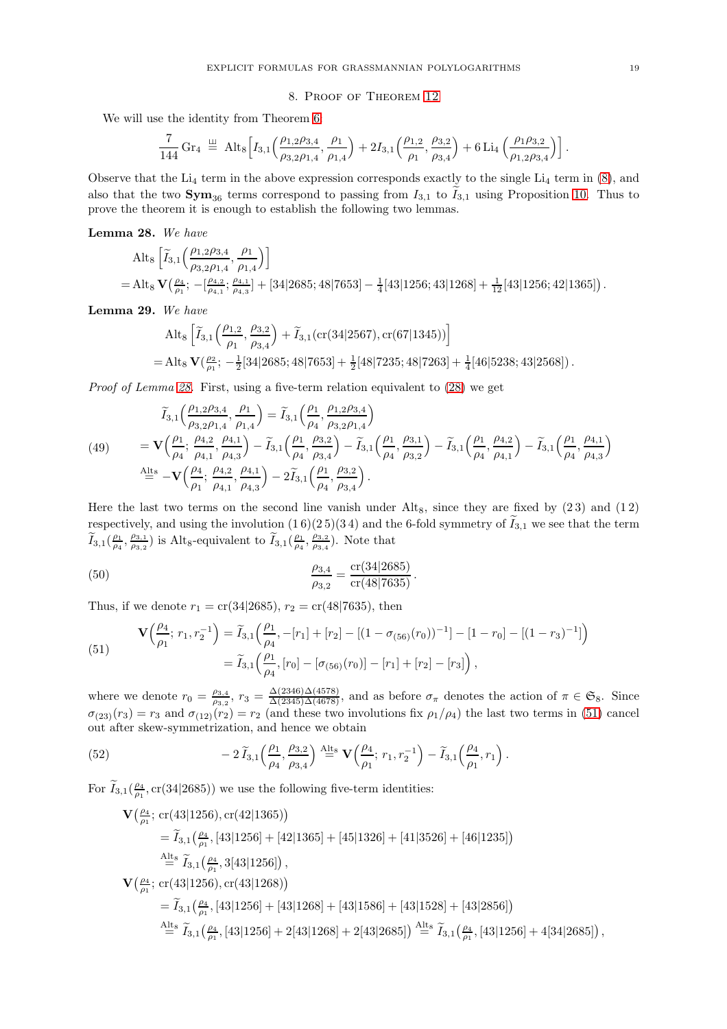### 8. Proof of Theorem [12](#page-6-0)

<span id="page-18-0"></span>We will use the identity from Theorem [6:](#page-4-0)

$$
\frac{7}{144} \,\mathrm{Gr}_4 \ \stackrel{\smash{\mathfrak{U}}}{=} \ \mathrm{Alt}_8 \Big[ I_{3,1} \Big( \frac{\rho_{1,2}\rho_{3,4}}{\rho_{3,2}\rho_{1,4}}, \frac{\rho_1}{\rho_{1,4}} \Big) + 2I_{3,1} \Big( \frac{\rho_{1,2}}{\rho_{1}}, \frac{\rho_{3,2}}{\rho_{3,4}} \Big) + 6 \, \mathrm{Li}_4 \Big( \frac{\rho_{1}\rho_{3,2}}{\rho_{1,2}\rho_{3,4}} \Big) \Big] \,.
$$

Observe that the  $Li_4$  term in the above expression corresponds exactly to the single  $Li_4$  term in [\(8\)](#page-4-1), and also that the two  $\text{Sym}_{36}$  terms correspond to passing from  $I_{3,1}$  to  $I_{3,1}$  using Proposition [10.](#page-5-1) Thus to prove the theorem it is enough to establish the following two lemmas.

<span id="page-18-1"></span>Lemma 28. We have

$$
Alt_8 \left[ \tilde{I}_{3,1} \left( \frac{\rho_{1,2}\rho_{3,4}}{\rho_{3,2}\rho_{1,4}}, \frac{\rho_1}{\rho_{1,4}} \right) \right]
$$
  
= Alt<sub>8</sub>  $\mathbf{V} \left( \frac{\rho_4}{\rho_1}; -\left[ \frac{\rho_{4,2}}{\rho_{4,1}}; \frac{\rho_{4,1}}{\rho_{4,3}} \right] + [34|2685; 48|7653] - \frac{1}{4}[43|1256; 43|1268] + \frac{1}{12}[43|1256; 42|1365])$ 

<span id="page-18-5"></span>Lemma 29. We have

$$
\begin{aligned} &\text{Alt}_8\left[\widetilde{I}_{3,1}\Big(\frac{\rho_{1,2}}{\rho_1},\frac{\rho_{3,2}}{\rho_{3,4}}\Big)+\widetilde{I}_{3,1}\big(\text{cr}\big(34|2567\big),\text{cr}\big(67|1345\big)\big)\right]\\ =&\text{Alt}_8\ \mathbf{V}\big(\frac{\rho_{2}}{\rho_1};\ -\tfrac{1}{2}[34|2685;48|7653]+\tfrac{1}{2}[48|7235;48|7263]+\tfrac{1}{4}[46|5238;43|2568]\big)\,. \end{aligned}
$$

Proof of Lemma [28.](#page-18-1) First, using a five-term relation equivalent to [\(28\)](#page-14-2) we get

<span id="page-18-3"></span>
$$
\widetilde{I}_{3,1}\left(\frac{\rho_{1,2}\rho_{3,4}}{\rho_{3,2}\rho_{1,4}},\frac{\rho_{1}}{\rho_{1,4}}\right) = \widetilde{I}_{3,1}\left(\frac{\rho_{1}}{\rho_{4}},\frac{\rho_{1,2}\rho_{3,4}}{\rho_{3,2}\rho_{1,4}}\right)
$$
\n
$$
(49) \qquad = \mathbf{V}\left(\frac{\rho_{1}}{\rho_{4}};\frac{\rho_{4,2}}{\rho_{4,1}},\frac{\rho_{4,1}}{\rho_{4,3}}\right) - \widetilde{I}_{3,1}\left(\frac{\rho_{1}}{\rho_{4}},\frac{\rho_{3,2}}{\rho_{3,4}}\right) - \widetilde{I}_{3,1}\left(\frac{\rho_{1}}{\rho_{4}},\frac{\rho_{3,1}}{\rho_{3,2}}\right) - \widetilde{I}_{3,1}\left(\frac{\rho_{1}}{\rho_{4}},\frac{\rho_{4,2}}{\rho_{4,1}}\right) - \widetilde{I}_{3,1}\left(\frac{\rho_{1}}{\rho_{4}},\frac{\rho_{4,2}}{\rho_{4,1}}\right)
$$
\n
$$
\stackrel{\text{Alts}}{=} -\mathbf{V}\left(\frac{\rho_{4}}{\rho_{1}};\frac{\rho_{4,2}}{\rho_{4,1}},\frac{\rho_{4,1}}{\rho_{4,3}}\right) - 2\widetilde{I}_{3,1}\left(\frac{\rho_{1}}{\rho_{4}},\frac{\rho_{3,2}}{\rho_{3,4}}\right).
$$

Here the last two terms on the second line vanish under  $\text{Alt}_8$ , since they are fixed by (23) and (12) respectively, and using the involution  $(1\,6)(2\,5)(3\,4)$  and the 6-fold symmetry of  $\widetilde{I}_{3,1}$  we see that the term  $\widetilde{I}_{3,1}(\frac{\rho_1}{\rho_4},\frac{\rho_{3,1}}{\rho_{3,2}}$  $(\frac{\rho_{3,1}}{\rho_{3,2}})$  is Alt<sub>8</sub>-equivalent to  $\widetilde{I}_{3,1}(\frac{\rho_1}{\rho_4}, \frac{\rho_{3,2}}{\rho_{3,4}})$  $\frac{\rho_{3,2}}{\rho_{3,4}}$ ). Note that

<span id="page-18-6"></span>(50) 
$$
\frac{\rho_{3,4}}{\rho_{3,2}} = \frac{\text{cr}(34|2685)}{\text{cr}(48|7635)}.
$$

Thus, if we denote  $r_1 = \text{cr}(34|2685)$ ,  $r_2 = \text{cr}(48|7635)$ , then

<span id="page-18-2"></span>(51) 
$$
\mathbf{V}\left(\frac{\rho_4}{\rho_1};\,r_1,r_2^{-1}\right) = \widetilde{I}_{3,1}\left(\frac{\rho_1}{\rho_4},-[r_1]+[r_2]-[(1-\sigma_{(56)}(r_0))^{-1}]-[1-r_0]-[(1-r_3)^{-1}]\right) = \widetilde{I}_{3,1}\left(\frac{\rho_1}{\rho_4},[r_0]-[\sigma_{(56)}(r_0)]-[r_1]+[r_2]-[r_3]\right),
$$

where we denote  $r_0 = \frac{\rho_{3,4}}{\rho_{3,2}}$  $\frac{\rho_{3,4}}{\rho_{3,2}}$ ,  $r_3 = \frac{\Delta(2346)\Delta(4578)}{\Delta(2345)\Delta(4678)}$ , and as before  $\sigma_{\pi}$  denotes the action of  $\pi \in \mathfrak{S}_8$ . Since  $\sigma_{(23)}(r_3) = r_3$  and  $\sigma_{(12)}(r_2) = r_2$  (and these two involutions fix  $\rho_1/\rho_4$ ) the last two terms in [\(51\)](#page-18-2) cancel out after skew-symmetrization, and hence we obtain

(52) 
$$
-2\widetilde{I}_{3,1}\left(\frac{\rho_1}{\rho_4},\frac{\rho_{3,2}}{\rho_{3,4}}\right) \stackrel{\text{Alts}}{=} \mathbf{V}\left(\frac{\rho_4}{\rho_1};\,r_1,r_2^{-1}\right) - \widetilde{I}_{3,1}\left(\frac{\rho_4}{\rho_1},r_1\right).
$$

For  $\widetilde{I}_{3,1}(\frac{\rho_4}{\rho_1}, \text{cr}(34|2685))$  we use the following five-term identities:

<span id="page-18-4"></span>
$$
\mathbf{V}\left(\frac{\rho_4}{\rho_1}; \operatorname{cr}(43|1256), \operatorname{cr}(42|1365)\right)
$$
\n
$$
= \widetilde{I}_{3,1}\left(\frac{\rho_4}{\rho_1}, [43|1256] + [42|1365] + [45|1326] + [41|3526] + [46|1235]\right)
$$
\n
$$
\stackrel{\text{Alts}}{=} \widetilde{I}_{3,1}\left(\frac{\rho_4}{\rho_1}, 3[43|1256]\right),
$$
\n
$$
\mathbf{V}\left(\frac{\rho_4}{\rho_1}; \operatorname{cr}(43|1256), \operatorname{cr}(43|1268)\right)
$$
\n
$$
= \widetilde{I}_{3,1}\left(\frac{\rho_4}{\rho_1}, [43|1256] + [43|1268] + [43|1586] + [43|1528] + [43|2856]\right)
$$
\n
$$
\stackrel{\text{Alts}}{=} \widetilde{I}_{3,1}\left(\frac{\rho_4}{\rho_1}, [43|1256] + 2[43|1268] + 2[43|2685]\right) \stackrel{\text{Alts}}{=} \widetilde{I}_{3,1}\left(\frac{\rho_4}{\rho_1}, [43|1256] + 2[43|1268] + 2[43|2685]\right) \stackrel{\text{Alts}}{=} \widetilde{I}_{3,1}\left(\frac{\rho_4}{\rho_1}, [43|1256] + 4[34|2685]\right),
$$

.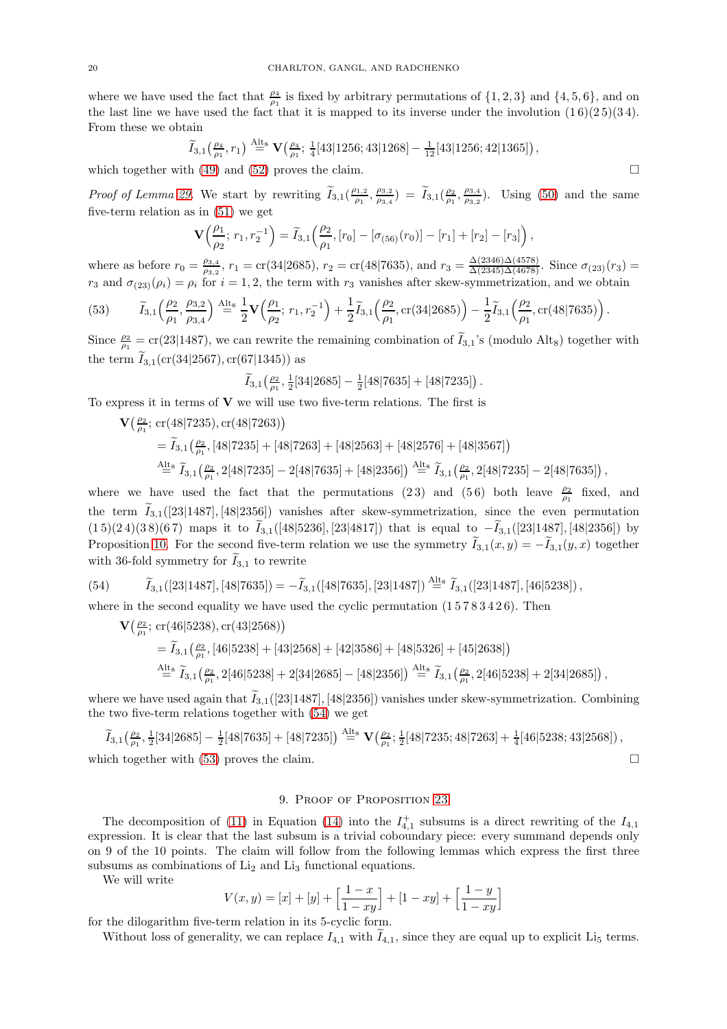where we have used the fact that  $\frac{\rho_4}{\rho_1}$  is fixed by arbitrary permutations of  $\{1, 2, 3\}$  and  $\{4, 5, 6\}$ , and on the last line we have used the fact that it is mapped to its inverse under the involution  $(1\,6)(2\,5)(3\,4)$ . From these we obtain

$$
\widetilde{I}_{3,1}\left(\tfrac{\rho_4}{\rho_1},r_1\right) \stackrel{\text{Alts}}{=} \mathbf{V}\left(\tfrac{\rho_4}{\rho_1};\tfrac{1}{4}[43|1256;43|1268] - \tfrac{1}{12}[43|1256;42|1365]\right),
$$

which together with [\(49\)](#page-18-3) and [\(52\)](#page-18-4) proves the claim.  $\square$ 

*Proof of Lemma [29.](#page-18-5)* We start by rewriting  $\widetilde{I}_{3,1}(\frac{\rho_{1,2}}{\rho_1})$  $\frac{\rho_{1,2}}{\rho_1}, \frac{\rho_{3,2}}{\rho_{3,4}}$  $\left(\frac{\rho_{3,2}}{\rho_{3,4}}\right) = \widetilde{I}_{3,1}\left(\frac{\rho_{2}}{\rho_{1}}, \frac{\rho_{3,4}}{\rho_{3,2}}\right)$  $\frac{\rho_{3,4}}{\rho_{3,2}}$ ). Using [\(50\)](#page-18-6) and the same five-term relation as in [\(51\)](#page-18-2) we get

$$
\mathbf{V}\left(\frac{\rho_1}{\rho_2};\,r_1,r_2^{-1}\right) = \widetilde{I}_{3,1}\left(\frac{\rho_2}{\rho_1},\left[r_0\right] - \left[\sigma_{(56)}(r_0)\right] - \left[r_1\right] + \left[r_2\right] - \left[r_3\right]\right),\,
$$

where as before  $r_0 = \frac{\rho_{3,4}}{\rho_{3,2}}$  $\frac{\rho_{3,4}}{\rho_{3,2}}$ ,  $r_1 = \text{cr}(34|2685)$ ,  $r_2 = \text{cr}(48|7635)$ , and  $r_3 = \frac{\Delta(2346)\Delta(4578)}{\Delta(2345)\Delta(4678)}$ . Since  $\sigma_{(23)}(r_3)$  =  $r_3$  and  $\sigma_{(23)}(\rho_i) = \rho_i$  for  $i = 1, 2$ , the term with  $r_3$  vanishes after skew-symmetrization, and we obtain

<span id="page-19-2"></span>(53) 
$$
\widetilde{I}_{3,1}\left(\frac{\rho_2}{\rho_1},\frac{\rho_{3,2}}{\rho_{3,4}}\right) \stackrel{\text{Alts}}{=} \frac{1}{2} \mathbf{V}\left(\frac{\rho_1}{\rho_2};\,r_1,r_2^{-1}\right) + \frac{1}{2} \widetilde{I}_{3,1}\left(\frac{\rho_2}{\rho_1},\text{cr}(34|2685)\right) - \frac{1}{2} \widetilde{I}_{3,1}\left(\frac{\rho_2}{\rho_1},\text{cr}(48|7635)\right).
$$

Since  $\frac{\rho_2}{\rho_1} = \text{cr}(23|1487)$ , we can rewrite the remaining combination of  $\tilde{I}_{3,1}$ 's (modulo Alt<sub>8</sub>) together with the term  $\tilde{I}_{3,1}(cr(34|2567), cr(67|1345))$  as

$$
\widetilde{I}_{3,1}\left(\tfrac{\rho_2}{\rho_1},\tfrac{1}{2}[34|2685]-\tfrac{1}{2}[48|7635]+[48|7235]\right).
$$

To express it in terms of  $V$  we will use two five-term relations. The first is

 $\mathbf{V}\left(\frac{\rho_2}{\rho_1}; \, \text{cr}(48|7235), \text{cr}(48|7263)\right)$  $=\widetilde{I}_{3,1}\left(\frac{\rho_2}{\rho_1},\left[48|7235\right]+\left[48|7263\right]+\left[48|2563\right]+\left[48|2576\right]+\left[48|3567\right]\right)$  $\widetilde{A}^{\rm{lt}_8}_{\equiv} \ \widetilde{I}_{3,1}\bigl(\frac{\rho_2}{\rho_1},2[48|7235]-2[48|7635]+[48|2356]\bigr)\stackrel{\rm{Alt}_8}{=} \widetilde{I}_{3,1}\bigl(\frac{\rho_2}{\rho_1},2[48|7235]-2[48|7635]\bigr)\,,$ 

where we have used the fact that the permutations (23) and (56) both leave  $\frac{\rho_2}{\rho_1}$  fixed, and the term  $I_{3,1}([23|1487], [48|2356])$  vanishes after skew-symmetrization, since the even permutation  $(1\,5)(2\,4)(3\,8)(6\,7)$  maps it to  $\tilde{I}_{3,1}([48|5236],[23|4817])$  that is equal to  $-\tilde{I}_{3,1}([23|1487],[48|2356])$  by Proposition [10.](#page-5-1) For the second five-term relation we use the symmetry  $I_{3,1}(x, y) = -I_{3,1}(y, x)$  together with 36-fold symmetry for  $I_{3,1}$  to rewrite

(54) 
$$
\widetilde{I}_{3,1}([23|1487],[48|7635]) = -\widetilde{I}_{3,1}([48|7635],[23|1487]) \stackrel{\text{Alt } s}{=} \widetilde{I}_{3,1}([23|1487],[46|5238])\,,
$$

where in the second equality we have used the cyclic permutation  $(15783426)$ . Then

<span id="page-19-1"></span>
$$
\begin{split} \mathbf{V}\big(\tfrac{\rho_2}{\rho_1};\ \operatorname{cr}(46|5238),\operatorname{cr}(43|2568)\big)\\ &\quad = \widetilde{I}_{3,1}\big(\tfrac{\rho_2}{\rho_1},[46|5238]+[43|2568]+[42|3586]+[48|5326]+[45|2638]\big)\\ \stackrel{\text{Alts}}{=} \widetilde{I}_{3,1}\big(\tfrac{\rho_2}{\rho_1},2[46|5238]+2[34|2685]-[48|2356]\big) \stackrel{\text{Alts}}{=} \widetilde{I}_{3,1}\big(\tfrac{\rho_2}{\rho_1},2[46|5238]+2[34|2685]\big)\,, \end{split}
$$

where we have used again that  $\tilde{I}_{3,1}([23|1487],[48|2356])$  vanishes under skew-symmetrization. Combining the two five-term relations together with [\(54\)](#page-19-1) we get

$$
\widetilde{I}_{3,1}\left(\frac{\rho_2}{\rho_1}, \frac{1}{2}[34|2685] - \frac{1}{2}[48|7635] + [48|7235]\right) \stackrel{\text{Alts}}{=} \mathbf{V}\left(\frac{\rho_2}{\rho_1}; \frac{1}{2}[48|7235; 48|7263] + \frac{1}{4}[46|5238; 43|2568]\right),
$$
\nwhich together with (53) proves the claim.

## 9. PROOF OF PROPOSITION [23](#page-9-0)

<span id="page-19-0"></span>The decomposition of [\(11\)](#page-7-4) in Equation [\(14\)](#page-9-2) into the  $I_{4,1}^+$  subsums is a direct rewriting of the  $I_{4,1}$ expression. It is clear that the last subsum is a trivial coboundary piece: every summand depends only on 9 of the 10 points. The claim will follow from the following lemmas which express the first three subsums as combinations of  $Li<sub>2</sub>$  and  $Li<sub>3</sub>$  functional equations.

We will write

$$
V(x,y) = [x] + [y] + \left[\frac{1-x}{1-xy}\right] + [1-xy] + \left[\frac{1-y}{1-xy}\right]
$$

for the dilogarithm five-term relation in its 5-cyclic form.

Without loss of generality, we can replace  $I_{4,1}$  with  $I_{4,1}$ , since they are equal up to explicit Li<sub>5</sub> terms.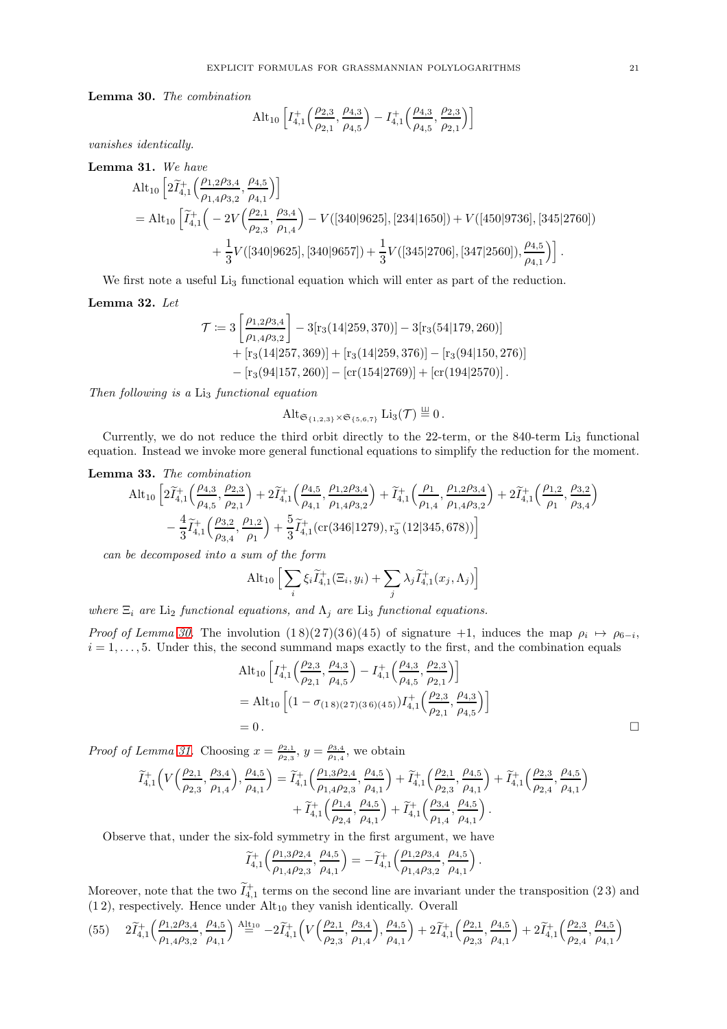<span id="page-20-0"></span>Lemma 30. The combination

$$
\mathrm{Alt}_{10}\left[I_{4,1}^{+}\left(\frac{\rho_{2,3}}{\rho_{2,1}},\frac{\rho_{4,3}}{\rho_{4,5}}\right)-I_{4,1}^{+}\left(\frac{\rho_{4,3}}{\rho_{4,5}},\frac{\rho_{2,3}}{\rho_{2,1}}\right)\right]
$$

vanishes identically.

<span id="page-20-1"></span>Lemma 31. We have

$$
Alt_{10} \left[ 2\widetilde{I}_{4,1}^+ \Big( \frac{\rho_{1,2}\rho_{3,4}}{\rho_{1,4}\rho_{3,2}}, \frac{\rho_{4,5}}{\rho_{4,1}} \Big) \right]
$$
  
=  $Alt_{10} \left[ \widetilde{I}_{4,1}^+ \Big( -2V \Big( \frac{\rho_{2,1}}{\rho_{2,3}}, \frac{\rho_{3,4}}{\rho_{1,4}} \Big) - V([340|9625], [234|1650]) + V([450|9736], [345|2760]) \right. \\ + \left. \frac{1}{3} V([340|9625], [340|9657]) + \frac{1}{3} V([345|2706], [347|2560]), \frac{\rho_{4,5}}{\rho_{4,1}} \Big) \right].$ 

We first note a useful Li<sub>3</sub> functional equation which will enter as part of the reduction.

Lemma 32. Let

$$
\mathcal{T} \coloneqq 3 \left[ \frac{\rho_{1,2}\rho_{3,4}}{\rho_{1,4}\rho_{3,2}} \right] - 3[r_3(14|259,370)] - 3[r_3(54|179,260)] + [r_3(14|257,369)] + [r_3(14|259,376)] - [r_3(94|150,276)] - [r_3(94|157,260)] - [cr(154|2769)] + [cr(194|2570)].
$$

Then following is a  $Li<sub>3</sub>$  functional equation

$$
\mathrm{Alt}_{\mathfrak{S}_{\{1,2,3\}}\times\mathfrak{S}_{\{5,6,7\}}} \mathrm{Li}_3(\mathcal{T}) \stackrel{\perp}{=} 0.
$$

Currently, we do not reduce the third orbit directly to the 22-term, or the 840-term Li<sub>3</sub> functional equation. Instead we invoke more general functional equations to simplify the reduction for the moment.

# <span id="page-20-3"></span>Lemma 33. The combination

$$
\begin{aligned} \text{Alt}_{10} \left[ 2 \widetilde{I}^+_{4,1} \Big( \frac{\rho_{4,3}}{\rho_{4,5}}, \frac{\rho_{2,3}}{\rho_{2,1}} \Big) + 2 \widetilde{I}^+_{4,1} \Big( \frac{\rho_{4,5}}{\rho_{4,1}}, \frac{\rho_{1,2}\rho_{3,4}}{\rho_{1,4}\rho_{3,2}} \Big) + \widetilde{I}^+_{4,1} \Big( \frac{\rho_{1}}{\rho_{1,4}}, \frac{\rho_{1,2}\rho_{3,4}}{\rho_{1,4}\rho_{3,2}} \Big) + 2 \widetilde{I}^+_{4,1} \Big( \frac{\rho_{1,2}}{\rho_{1}}, \frac{\rho_{3,2}}{\rho_{3,4}} \Big) \right. \\ & \left. - \frac{4}{3} \widetilde{I}^+_{4,1} \Big( \frac{\rho_{3,2}}{\rho_{3,4}}, \frac{\rho_{1,2}}{\rho_{1}} \Big) + \frac{5}{3} \widetilde{I}^+_{4,1} \big( \mathrm{cr}(346|1279), \mathrm{r}^-_3 \big( 12|345, 678 \big) \big) \right] \end{aligned}
$$

can be decomposed into a sum of the form

$$
\mathrm{Alt}_{10}\,\Big[\sum_i \xi_i \widetilde{I}^+_{4,1}(\Xi_i,y_i)+\sum_j \lambda_j \widetilde{I}^+_{4,1}(x_j,\Lambda_j)\Big]
$$

where  $\Xi_i$  are Li<sub>2</sub> functional equations, and  $\Lambda_j$  are Li<sub>3</sub> functional equations.

*Proof of Lemma [30.](#page-20-0)* The involution  $(18)(27)(36)(45)$  of signature +1, induces the map  $\rho_i \mapsto \rho_{6-i}$ ,  $i = 1, \ldots, 5$ . Under this, the second summand maps exactly to the first, and the combination equals

$$
Alt_{10} \left[ I_{4,1}^{+} \left( \frac{\rho_{2,3}}{\rho_{2,1}}, \frac{\rho_{4,3}}{\rho_{4,5}} \right) - I_{4,1}^{+} \left( \frac{\rho_{4,3}}{\rho_{4,5}}, \frac{\rho_{2,3}}{\rho_{2,1}} \right) \right]
$$
  
=  $Alt_{10} \left[ (1 - \sigma_{(1\,8)(2\,7)(3\,6)(4\,5)}) I_{4,1}^{+} \left( \frac{\rho_{2,3}}{\rho_{2,1}}, \frac{\rho_{4,3}}{\rho_{4,5}} \right) \right]$   
= 0.

Proof of Lemma [31.](#page-20-1) Choosing  $x = \frac{\rho_{2,1}}{\rho_{0,2}}$  $\frac{\rho_{2,1}}{\rho_{2,3}}$ ,  $y = \frac{\rho_{3,4}}{\rho_{1,4}}$  $\frac{\rho_{3,4}}{\rho_{1,4}}$ , we obtain

$$
\begin{aligned} \widetilde{I}^+_{4,1}\Big(V\Big(\frac{\rho_{2,1}}{\rho_{2,3}},\frac{\rho_{3,4}}{\rho_{1,4}}\Big),\frac{\rho_{4,5}}{\rho_{4,1}}\Big) &= \widetilde{I}^+_{4,1}\Big(\frac{\rho_{1,3}\rho_{2,4}}{\rho_{1,4}\rho_{2,3}},\frac{\rho_{4,5}}{\rho_{4,1}}\Big) + \widetilde{I}^+_{4,1}\Big(\frac{\rho_{2,1}}{\rho_{2,3}},\frac{\rho_{4,5}}{\rho_{4,1}}\Big) + \widetilde{I}^+_{4,1}\Big(\frac{\rho_{2,3}}{\rho_{2,4}},\frac{\rho_{4,5}}{\rho_{4,1}}\Big) \\ &\quad + \widetilde{I}^+_{4,1}\Big(\frac{\rho_{1,4}}{\rho_{2,4}},\frac{\rho_{4,5}}{\rho_{4,1}}\Big) + \widetilde{I}^+_{4,1}\Big(\frac{\rho_{3,4}}{\rho_{1,4}},\frac{\rho_{4,5}}{\rho_{4,1}}\Big)\,. \end{aligned}
$$

Observe that, under the six-fold symmetry in the first argument, we have

$$
\widetilde{I}^+_{4,1}\Big(\frac{\rho_{1,3}\rho_{2,4}}{\rho_{1,4}\rho_{2,3}},\frac{\rho_{4,5}}{\rho_{4,1}}\Big)= -\widetilde{I}^+_{4,1}\Big(\frac{\rho_{1,2}\rho_{3,4}}{\rho_{1,4}\rho_{3,2}},\frac{\rho_{4,5}}{\rho_{4,1}}\Big)\,.
$$

Moreover, note that the two  $\widetilde{I}_{4,1}^+$  terms on the second line are invariant under the transposition (2.3) and  $(1 2)$ , respectively. Hence under  $Alt<sub>10</sub>$  they vanish identically. Overall

<span id="page-20-2"></span>
$$
(55) \quad 2\widetilde{I}^+_{4,1}\Big(\frac{\rho_{1,2}\rho_{3,4}}{\rho_{1,4}\rho_{3,2}},\frac{\rho_{4,5}}{\rho_{4,1}}\Big)\stackrel{\mathrm{Alt}_{10}}{=}-2\widetilde{I}^+_{4,1}\Big(V\Big(\frac{\rho_{2,1}}{\rho_{2,3}},\frac{\rho_{3,4}}{\rho_{1,4}}\Big),\frac{\rho_{4,5}}{\rho_{4,1}}\Big)+2\widetilde{I}^+_{4,1}\Big(\frac{\rho_{2,1}}{\rho_{2,3}},\frac{\rho_{4,5}}{\rho_{4,1}}\Big)+2\widetilde{I}^+_{4,1}\Big(\frac{\rho_{2,3}}{\rho_{2,4}},\frac{\rho_{4,5}}{\rho_{4,1}}\Big)
$$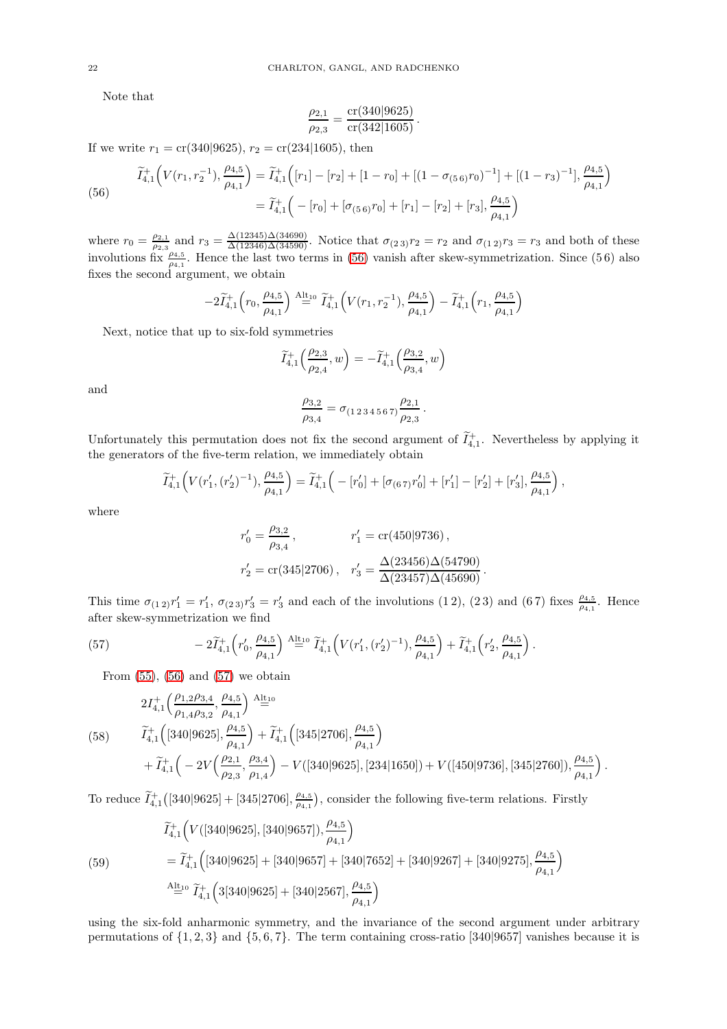Note that

$$
\frac{\rho_{2,1}}{\rho_{2,3}} = \frac{\operatorname{cr}(340|9625)}{\operatorname{cr}(342|1605)}.
$$

If we write  $r_1 = \text{cr}(340|9625)$ ,  $r_2 = \text{cr}(234|1605)$ , then

<span id="page-21-0"></span>(56) 
$$
\widetilde{I}_{4,1}^+\left(V(r_1,r_2^{-1}),\frac{\rho_{4,5}}{\rho_{4,1}}\right) = \widetilde{I}_{4,1}^+\left([r_1]-[r_2]+[1-r_0]+[(1-\sigma_{(5\ 6)}r_0)^{-1}] + [(1-r_3)^{-1}],\frac{\rho_{4,5}}{\rho_{4,1}}\right)
$$
\n
$$
= \widetilde{I}_{4,1}^+\left(-[r_0]+[\sigma_{(5\ 6)}r_0]+[r_1]-[r_2]+[r_3],\frac{\rho_{4,5}}{\rho_{4,1}}\right)
$$

where  $r_0 = \frac{\rho_{2,1}}{\rho_{2,3}}$  $\frac{\rho_{2,1}}{\rho_{2,3}}$  and  $r_3 = \frac{\Delta(12345)\Delta(34690)}{\Delta(12346)\Delta(34590)}$ . Notice that  $\sigma_{(2,3)}r_2 = r_2$  and  $\sigma_{(1,2)}r_3 = r_3$  and both of these involutions fix  $\frac{\rho_{4,5}}{\rho_{4,1}}$ . Hence the last two terms in [\(56\)](#page-21-0) vanish after skew-symmetrization. Since (56) also fixes the second argument, we obtain

$$
-2\widetilde{I}^+_{4,1}\Bigl(r_0,\frac{\rho_{4,5}}{\rho_{4,1}}\Bigr)\stackrel{\rm Alt_{10}}{=} \widetilde{I}^+_{4,1}\Bigl(V(r_1,r_2^{-1}),\frac{\rho_{4,5}}{\rho_{4,1}}\Bigr)-\widetilde{I}^+_{4,1}\Bigl(r_1,\frac{\rho_{4,5}}{\rho_{4,1}}\Bigr)
$$

Next, notice that up to six-fold symmetries

$$
\widetilde{I}^+_{4,1}\Big(\frac{\rho_{2,3}}{\rho_{2,4}},w\Big)=-\widetilde{I}^+_{4,1}\Big(\frac{\rho_{3,2}}{\rho_{3,4}},w\Big)
$$

and

$$
\frac{\rho_{3,2}}{\rho_{3,4}} = \sigma_{(1\,2\,3\,4\,5\,6\,7)} \frac{\rho_{2,1}}{\rho_{2,3}}.
$$

Unfortunately this permutation does not fix the second argument of  $\tilde{I}_{4,1}^+$ . Nevertheless by applying it the generators of the five-term relation, we immediately obtain

$$
\widetilde{I}_{4,1}^+\Big(V(r_1',(r_2')^{-1}),\frac{\rho_{4,5}}{\rho_{4,1}}\Big)=\widetilde{I}_{4,1}^+\Big(-[r_0']+\left[\sigma_{(6\,7)}r_0'\right]+[r_1']-[r_2']+[r_3'],\frac{\rho_{4,5}}{\rho_{4,1}}\Big)\,,
$$

where

$$
r'_{0} = \frac{\rho_{3,2}}{\rho_{3,4}}, \qquad r'_{1} = \text{cr}(450|9736),
$$
  

$$
r'_{2} = \text{cr}(345|2706), \quad r'_{3} = \frac{\Delta(23456)\Delta(54790)}{\Delta(23457)\Delta(45690)}.
$$

This time  $\sigma_{(1\,2)}r'_1 = r'_1, \ \sigma_{(2\,3)}r'_3 = r'_3$  and each of the involutions (12), (23) and (67) fixes  $\frac{\rho_{4,5}}{\rho_{4,1}}$ . Hence after skew-symmetrization we find

(57) 
$$
-2\widetilde{I}_{4,1}^+\left(r'_0,\frac{\rho_{4,5}}{\rho_{4,1}}\right) \stackrel{\text{Alt}_{10}}{=} \widetilde{I}_{4,1}^+\left(V(r'_1,(r'_2)^{-1}),\frac{\rho_{4,5}}{\rho_{4,1}}\right) + \widetilde{I}_{4,1}^+\left(r'_2,\frac{\rho_{4,5}}{\rho_{4,1}}\right).
$$

<span id="page-21-1"></span>From  $(55)$ ,  $(56)$  and  $(57)$  we obtain

<span id="page-21-3"></span>
$$
\begin{aligned} 2I_{4,1}^+\Bigl(\frac{\rho_{1,2}\rho_{3,4}}{\rho_{1,4}\rho_{3,2}},\frac{\rho_{4,5}}{\rho_{4,1}}\Bigr)\stackrel{\text{Alt}_{10}}{=}&\\ \widetilde{I}_{4,1}^+\Bigl([340]9625],\frac{\rho_{4,5}}{\rho_{4,1}}\Bigr)+\widetilde{I}_{4,1}^+\Bigl([345]2706],\frac{\rho_{4,5}}{\rho_{4,1}}\Bigr)\\ &+\widetilde{I}_{4,1}^+\Bigl(-2V\Bigl(\frac{\rho_{2,1}}{\rho_{2,3}},\frac{\rho_{3,4}}{\rho_{1,4}}\Bigr)-V([340]9625],[234]1650])+V([450]9736],[345]2760]),\frac{\rho_{4,5}}{\rho_{4,1}}\Bigr)\,. \end{aligned}
$$

To reduce  $\widetilde{I}_{4,1}^+([340|9625]+[345|2706],\frac{\rho_{4,5}}{\rho_{4,1}}$  $\frac{\rho_{4,5}}{\rho_{4,1}}$ , consider the following five-term relations. Firstly

<span id="page-21-2"></span>(59)  
\n
$$
\widetilde{I}_{4,1}^+\Big(V([340|9625],[340|9657]),\frac{\rho_{4,5}}{\rho_{4,1}}\Big)
$$
\n
$$
=\widetilde{I}_{4,1}^+\Big([340|9625]+[340|9657]+[340|7652]+[340|9267]+[340|9275],\frac{\rho_{4,5}}{\rho_{4,1}}\Big)
$$
\n
$$
\stackrel{\text{Alt}_{10}}{=} \widetilde{I}_{4,1}^+\Big(3[340|9625]+[340|2567],\frac{\rho_{4,5}}{\rho_{4,1}}\Big)
$$

using the six-fold anharmonic symmetry, and the invariance of the second argument under arbitrary permutations of  $\{1, 2, 3\}$  and  $\{5, 6, 7\}$ . The term containing cross-ratio [340|9657] vanishes because it is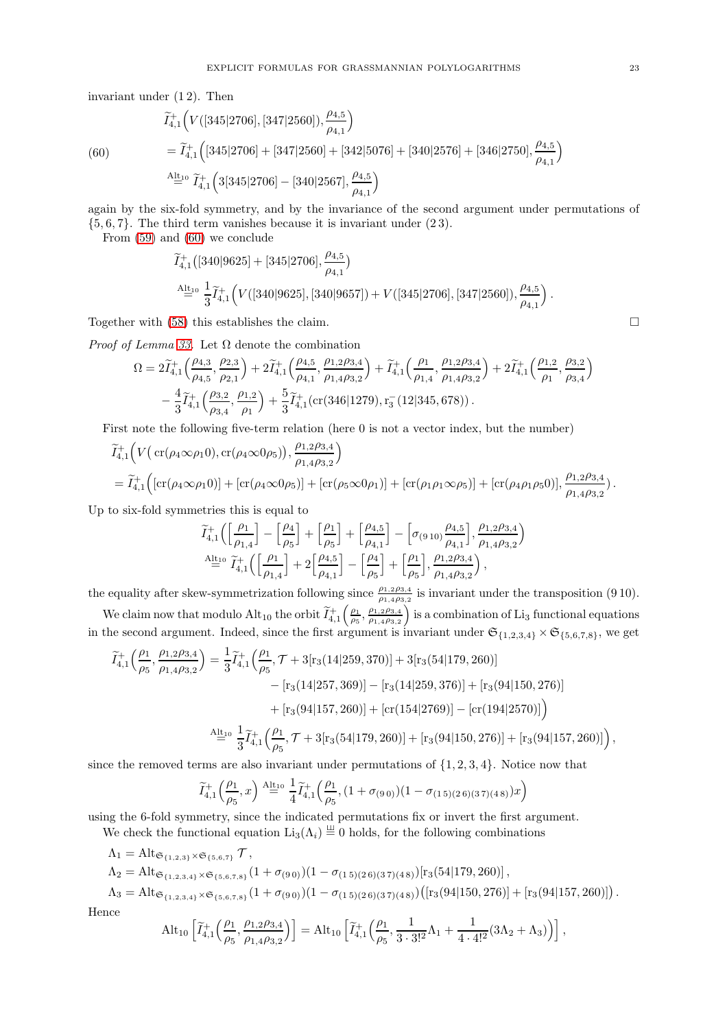invariant under (1 2). Then

$$
\begin{aligned}\n\widetilde{I}_{4,1}^+\Big(V([345|2706],[347|2560]),\frac{\rho_{4,5}}{\rho_{4,1}}\Big) \\
&= \widetilde{I}_{4,1}^+\Big([345|2706]+[347|2560]+[342|5076]+[340|2576]+[346|2750],\frac{\rho_{4,5}}{\rho_{4,1}}\Big) \\
&\stackrel{\text{Alt}_{10}}{=} \widetilde{I}_{4,1}^+\Big(3[345|2706]-[340|2567],\frac{\rho_{4,5}}{\rho_{4,1}}\Big)\n\end{aligned}
$$

<span id="page-22-0"></span>(60)

again by the six-fold symmetry, and by the invariance of the second argument under permutations of  $\{5, 6, 7\}$ . The third term vanishes because it is invariant under  $(23)$ .

From [\(59\)](#page-21-2) and [\(60\)](#page-22-0) we conclude

$$
\begin{aligned} &\widetilde{I}^+_{4,1}\big([340|9625]+[345|2706],\frac{\rho_{4,5}}{\rho_{4,1}}\big)\\ &\stackrel{\rm Alt_{10}}{=} \frac{1}{3}\widetilde{I}^+_{4,1}\Big(V([340|9625],[340|9657])+V([345|2706],[347|2560]),\frac{\rho_{4,5}}{\rho_{4,1}}\Big)\,. \end{aligned}
$$

Together with [\(58\)](#page-21-3) this establishes the claim.

*Proof of Lemma [33.](#page-20-3)* Let  $\Omega$  denote the combination

$$
\Omega = 2\widetilde{I}_{4,1}^+\left(\frac{\rho_{4,3}}{\rho_{4,5}},\frac{\rho_{2,3}}{\rho_{2,1}}\right) + 2\widetilde{I}_{4,1}^+\left(\frac{\rho_{4,5}}{\rho_{4,1}},\frac{\rho_{1,2}\rho_{3,4}}{\rho_{1,4}\rho_{3,2}}\right) + \widetilde{I}_{4,1}^+\left(\frac{\rho_{1}}{\rho_{1,4}},\frac{\rho_{1,2}\rho_{3,4}}{\rho_{1,4}\rho_{3,2}}\right) + 2\widetilde{I}_{4,1}^+\left(\frac{\rho_{1,2}}{\rho_{1}},\frac{\rho_{3,2}}{\rho_{3,4}}\right) -\frac{4}{3}\widetilde{I}_{4,1}^+\left(\frac{\rho_{3,2}}{\rho_{3,4}},\frac{\rho_{1,2}}{\rho_{1}}\right) + \frac{5}{3}\widetilde{I}_{4,1}^+\left(\text{cr}\left(346|1279\right),\text{r}_3^-\left(12|345,678\right)\right).
$$

First note the following five-term relation (here 0 is not a vector index, but the number)

$$
\tilde{I}_{4,1}^+\Big(V\big(\operatorname{cr}(\rho_4\infty\rho_1 0),\operatorname{cr}(\rho_4\infty 0\rho_5)\big),\frac{\rho_{1,2}\rho_{3,4}}{\rho_{1,4}\rho_{3,2}}\Big) \n= \tilde{I}_{4,1}^+\Big(\big[\operatorname{cr}(\rho_4\infty\rho_1 0)\big] + \big[\operatorname{cr}(\rho_4\infty 0\rho_5)\big] + \big[\operatorname{cr}(\rho_5\infty 0\rho_1)\big] + \big[\operatorname{cr}(\rho_1\rho_1\infty\rho_5)\big] + \big[\operatorname{cr}(\rho_4\rho_1\rho_5 0)\big],\frac{\rho_{1,2}\rho_{3,4}}{\rho_{1,4}\rho_{3,2}}\big).
$$

Up to six-fold symmetries this is equal to

$$
\begin{aligned} &\widetilde{I}^+_{4,1}\Big(\Big[\frac{\rho_1}{\rho_{1,4}}\Big]-\Big[\frac{\rho_4}{\rho_5}\Big]+\Big[\frac{\rho_1}{\rho_5}\Big]+ \Big[\frac{\rho_{4,5}}{\rho_{4,1}}\Big]-\Big[\sigma_{(9\,10)}\frac{\rho_{4,5}}{\rho_{4,1}}\Big],\frac{\rho_{1,2}\rho_{3,4}}{\rho_{1,4}\rho_{3,2}}\Big)\\ &\stackrel{\rm Alt_{10}}{=}&\widetilde{I}^+_{4,1}\Big(\Big[\frac{\rho_1}{\rho_{1,4}}\Big]+2\Big[\frac{\rho_{4,5}}{\rho_{4,1}}\Big]-\Big[\frac{\rho_4}{\rho_5}\Big]+\Big[\frac{\rho_1}{\rho_5}\Big],\frac{\rho_{1,2}\rho_{3,4}}{\rho_{1,4}\rho_{3,2}}\Big)\,, \end{aligned}
$$

the equality after skew-symmetrization following since  $\frac{\rho_{1,2}\rho_{3,4}}{\rho_{1,4}\rho_{3,2}}$  is invariant under the transposition (9.10).

We claim now that modulo  $\mathrm{Alt}_{10}$  the orbit  $\widetilde{I}^+_{4,1} \left( \frac{\rho_1}{\rho_5}, \frac{\rho_{1,2}\rho_{3,4}}{\rho_{1,4}\rho_{3,2}} \right)$  $\rho_{1,4}\rho_{3,2}$ is a combination of  $Li<sub>3</sub>$  functional equations in the second argument. Indeed, since the first argument is invariant under  $\mathfrak{S}_{\{1,2,3,4\}} \times \mathfrak{S}_{\{5,6,7,8\}}$ , we get

$$
\widetilde{I}_{4,1}^{+}\left(\frac{\rho_{1}}{\rho_{5}},\frac{\rho_{1,2}\rho_{3,4}}{\rho_{1,4}\rho_{3,2}}\right) = \frac{1}{3}\widetilde{I}_{4,1}^{+}\left(\frac{\rho_{1}}{\rho_{5}},\mathcal{T}+3[r_{3}(14|259,370)]+3[r_{3}(54|179,260)]\n- [r_{3}(14|257,369)] - [r_{3}(14|259,376)] + [r_{3}(94|150,276)]\n+ [r_{3}(94|157,260)] + [cr(154|2769)] - [cr(194|2570)]\right)
$$
\n
$$
\xrightarrow{\text{Alt}_{10}} \frac{1}{3}\widetilde{I}_{4,1}^{+}\left(\frac{\rho_{1}}{\rho_{5}},\mathcal{T}+3[r_{3}(54|179,260)]+[r_{3}(94|150,276)]+[r_{3}(94|157,260)]\right),
$$

since the removed terms are also invariant under permutations of  $\{1, 2, 3, 4\}$ . Notice now that

$$
\widetilde{I}_{4,1}^+\left(\frac{\rho_1}{\rho_5},x\right) \stackrel{\text{Alt}_{10}}{=} \frac{1}{4} \widetilde{I}_{4,1}^+\left(\frac{\rho_1}{\rho_5}, (1+\sigma_{(9\,0)})(1-\sigma_{(1\,5)(2\,6)(3\,7)(4\,8)})x\right)
$$

using the 6-fold symmetry, since the indicated permutations fix or invert the first argument.

We check the functional equation  $\text{Li}_3(\Lambda_i) \equiv 0$  holds, for the following combinations

$$
\Lambda_1 = Alt_{\mathfrak{S}_{\{1,2,3\}} \times \mathfrak{S}_{\{5,6,7\}}} \mathcal{T},
$$
\n
$$
\Lambda_2 = Alt_{\mathfrak{S}_{\{1,2,3,4\}} \times \mathfrak{S}_{\{5,6,7,8\}}} (1 + \sigma_{(9\,0)}) (1 - \sigma_{(1\,5)(2\,6)(3\,7)(4\,8)}) [r_3(54|179,260)],
$$
\n
$$
\Lambda_3 = Alt_{\mathfrak{S}_{\{1,2,3,4\}} \times \mathfrak{S}_{\{5,6,7,8\}}} (1 + \sigma_{(9\,0)}) (1 - \sigma_{(1\,5)(2\,6)(3\,7)(4\,8)}) ([r_3(94|150,276)] + [r_3(94|157,260)]).
$$

Hence

$$
\mathrm{Alt}_{10}\left[\widetilde{I}^+_{4,1}\Big(\frac{\rho_1}{\rho_5},\frac{\rho_{1,2}\rho_{3,4}}{\rho_{1,4}\rho_{3,2}}\Big)\right] = \mathrm{Alt}_{10}\left[\widetilde{I}^+_{4,1}\Big(\frac{\rho_1}{\rho_5},\frac{1}{3\cdot 3!^2}\Lambda_1 + \frac{1}{4\cdot 4!^2}(3\Lambda_2+\Lambda_3)\Big)\right],
$$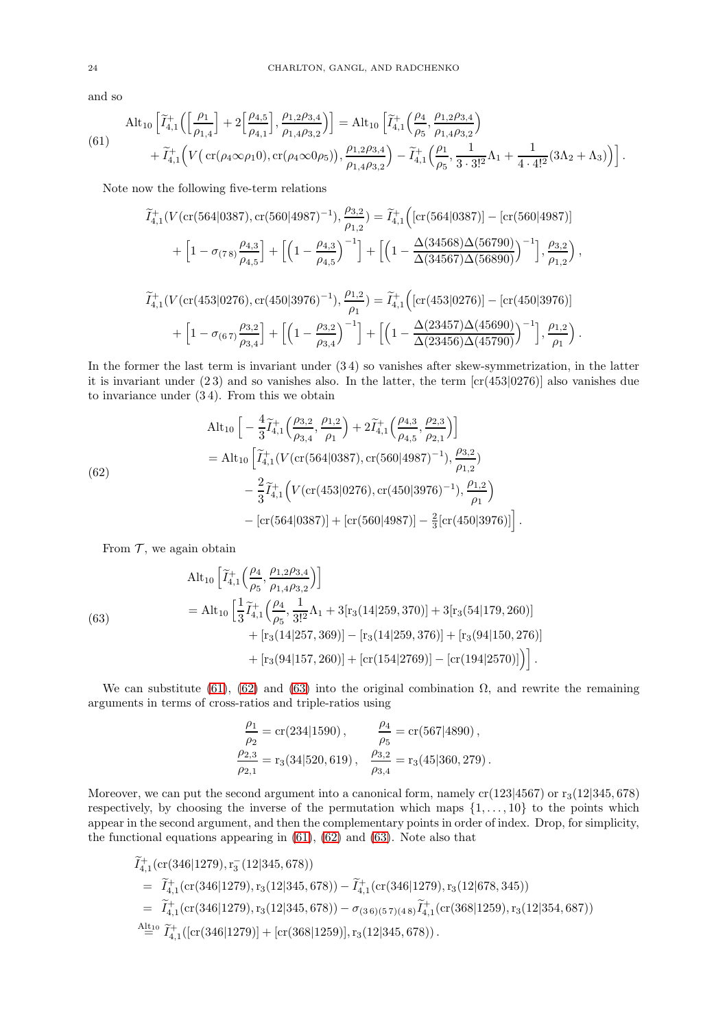and so

<span id="page-23-0"></span>
$$
\text{(61)} \quad \text{Alt}_{10} \left[ \tilde{I}_{4,1}^+ \left( \left[ \frac{\rho_1}{\rho_{1,4}} \right] + 2 \left[ \frac{\rho_{4,5}}{\rho_{4,1}} \right], \frac{\rho_{1,2}\rho_{3,4}}{\rho_{1,4}\rho_{3,2}} \right) \right] = \text{Alt}_{10} \left[ \tilde{I}_{4,1}^+ \left( \frac{\rho_4}{\rho_5}, \frac{\rho_{1,2}\rho_{3,4}}{\rho_{1,4}\rho_{3,2}} \right) \right. \\
 \left. + \tilde{I}_{4,1}^+ \left( V \left( \text{cr}(\rho_4 \infty \rho_1 0), \text{cr}(\rho_4 \infty 0 \rho_5) \right), \frac{\rho_{1,2}\rho_{3,4}}{\rho_{1,4}\rho_{3,2}} \right) - \tilde{I}_{4,1}^+ \left( \frac{\rho_1}{\rho_5}, \frac{1}{3 \cdot 3!^2} \Lambda_1 + \frac{1}{4 \cdot 4!^2} (3\Lambda_2 + \Lambda_3) \right) \right].
$$

Note now the following five-term relations

$$
\widetilde{I}_{4,1}^+(V(\text{cr}(564|0387),\text{cr}(560|4987)^{-1}),\frac{\rho_{3,2}}{\rho_{1,2}}) = \widetilde{I}_{4,1}^+\Big([\text{cr}(564|0387)] - [\text{cr}(560|4987)]\Big) \n+ \Big[1-\sigma_{(78)}\frac{\rho_{4,3}}{\rho_{4,5}}\Big] + \Big[\Big(1-\frac{\rho_{4,3}}{\rho_{4,5}}\Big)^{-1}\Big] + \Big[\Big(1-\frac{\Delta(34568)\Delta(56790)}{\Delta(34567)\Delta(56890)}\Big)^{-1}\Big],\frac{\rho_{3,2}}{\rho_{1,2}}\Big),
$$

$$
\widetilde{I}_{4,1}^+(V(\text{cr}(453|0276), \text{cr}(450|3976)^{-1}), \frac{\rho_{1,2}}{\rho_1}) = \widetilde{I}_{4,1}^+\Big([\text{cr}(453|0276)] - [\text{cr}(450|3976)] + \Big[1 - \sigma_{(67)}\frac{\rho_{3,2}}{\rho_{3,4}}\Big] + \Big[\Big(1 - \frac{\rho_{3,2}}{\rho_{3,4}}\Big)^{-1}\Big] + \Big[\Big(1 - \frac{\Delta(23457)\Delta(45690)}{\Delta(23456)\Delta(45790)}\Big)^{-1}\Big], \frac{\rho_{1,2}}{\rho_1}\Big).
$$

In the former the last term is invariant under (3 4) so vanishes after skew-symmetrization, in the latter it is invariant under  $(23)$  and so vanishes also. In the latter, the term  $\left[ \text{cr}(453|0276) \right]$  also vanishes due to invariance under (3 4). From this we obtain

<span id="page-23-1"></span>(62)  
\n
$$
\begin{split}\n\text{Alt}_{10} \left[ -\frac{4}{3} \widetilde{I}_{4,1}^{+} \left( \frac{\rho_{3,2}}{\rho_{3,4}}, \frac{\rho_{1,2}}{\rho_{1}} \right) + 2 \widetilde{I}_{4,1}^{+} \left( \frac{\rho_{4,3}}{\rho_{4,5}}, \frac{\rho_{2,3}}{\rho_{2,1}} \right) \right] \\
= \text{Alt}_{10} \left[ \widetilde{I}_{4,1}^{+} \left( V \left( \text{cr} \left( 564 | 0387 \right), \text{cr} \left( 560 | 4987 \right)^{-1} \right), \frac{\rho_{3,2}}{\rho_{1,2}} \right) \\
&- \frac{2}{3} \widetilde{I}_{4,1}^{+} \left( V \left( \text{cr} \left( 453 | 0276 \right), \text{cr} \left( 450 | 3976 \right)^{-1} \right), \frac{\rho_{1,2}}{\rho_{1}} \right) \\
&- \left[ \text{cr} \left( 564 | 0387 \right) \right] + \left[ \text{cr} \left( 560 | 4987 \right) \right] - \frac{2}{3} \left[ \text{cr} \left( 450 | 3976 \right) \right] \right].\n\end{split}
$$

From  $\mathcal T$ , we again obtain

<span id="page-23-2"></span>(63)  
\n
$$
\begin{split}\n\text{Alt}_{10} \left[ \tilde{I}_{4,1}^{+} \left( \frac{\rho_4}{\rho_5}, \frac{\rho_{1,2}\rho_{3,4}}{\rho_{1,4}\rho_{3,2}} \right) \right] \\
= \text{Alt}_{10} \left[ \frac{1}{3} \tilde{I}_{4,1}^{+} \left( \frac{\rho_4}{\rho_5}, \frac{1}{3!^2} \Lambda_1 + 3[r_3(14|259, 370)] + 3[r_3(54|179, 260)] \right. \\
&\quad \left. + [r_3(14|257, 369)] - [r_3(14|259, 376)] + [r_3(94|150, 276)] \right. \\
&\quad \left. + [r_3(94|157, 260)] + [cr(154|2769)] - [cr(194|2570)] \right) \right].\n\end{split}
$$

We can substitute [\(61\)](#page-23-0), [\(62\)](#page-23-1) and [\(63\)](#page-23-2) into the original combination  $\Omega$ , and rewrite the remaining arguments in terms of cross-ratios and triple-ratios using

$$
\frac{\rho_1}{\rho_2} = \text{cr}(234|1590), \qquad \frac{\rho_4}{\rho_5} = \text{cr}(567|4890),
$$
  

$$
\frac{\rho_{2,3}}{\rho_{2,1}} = r_3(34|520,619), \qquad \frac{\rho_{3,2}}{\rho_{3,4}} = r_3(45|360,279).
$$

Moreover, we can put the second argument into a canonical form, namely  $cr(123|4567)$  or  $r_3(12|345, 678)$ respectively, by choosing the inverse of the permutation which maps  $\{1, \ldots, 10\}$  to the points which appear in the second argument, and then the complementary points in order of index. Drop, for simplicity, the functional equations appearing in  $(61)$ ,  $(62)$  and  $(63)$ . Note also that

$$
\tilde{I}_{4,1}^+(\text{cr}(346|1279), r_3(12|345, 678))
$$
\n
$$
= \tilde{I}_{4,1}^+(\text{cr}(346|1279), r_3(12|345, 678)) - \tilde{I}_{4,1}^+(\text{cr}(346|1279), r_3(12|678, 345))
$$
\n
$$
= \tilde{I}_{4,1}^+(\text{cr}(346|1279), r_3(12|345, 678)) - \sigma_{(3\,6)(5\,7)(4\,8)}\tilde{I}_{4,1}^+(\text{cr}(368|1259), r_3(12|354, 687))
$$
\n
$$
\stackrel{\text{Altio}}{=} \tilde{I}_{4,1}^+(\text{[cr}(346|1279)] + [\text{cr}(368|1259)], r_3(12|345, 678)).
$$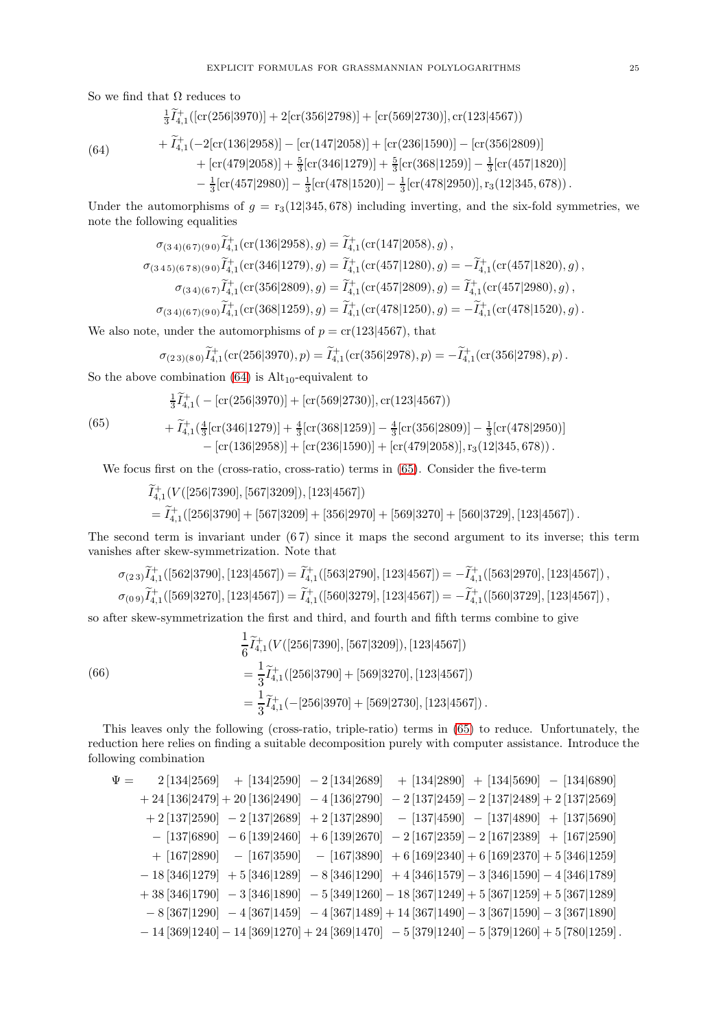So we find that  $\Omega$  reduces to

$$
\frac{1}{3}\tilde{I}_{4,1}^+([\text{cr}(256|3970)] + 2[\text{cr}(356|2798)] + [\text{cr}(569|2730)], \text{cr}(123|4567))
$$

<span id="page-24-0"></span>
$$
(64)
$$

$$
+\tilde{I}_{4,1}^+(-2[\text{cr}(136|2958)] - [\text{cr}(147|2058)] + [\text{cr}(236|1590)] - [\text{cr}(356|2809)]
$$
  
+  $[\text{cr}(479|2058)] + \frac{5}{3}[\text{cr}(346|1279)] + \frac{5}{3}[\text{cr}(368|1259)] - \frac{1}{3}[\text{cr}(457|1820)]$   
-  $\frac{1}{3}[\text{cr}(457|2980)] - \frac{1}{3}[\text{cr}(478|1520)] - \frac{1}{3}[\text{cr}(478|2950)], \text{r}_3(12|345,678)).$ 

Under the automorphisms of  $g = r_3(12|345, 678)$  including inverting, and the six-fold symmetries, we note the following equalities

$$
\sigma_{(3\,4)(6\,7)(9\,0)}\widetilde{I}^+_{4,1}(\text{cr}(136|2958), g) = \widetilde{I}^+_{4,1}(\text{cr}(147|2058), g),
$$
\n
$$
\sigma_{(3\,4\,5)(6\,7\,8)(9\,0)}\widetilde{I}^+_{4,1}(\text{cr}(346|1279), g) = \widetilde{I}^+_{4,1}(\text{cr}(457|1280), g) = -\widetilde{I}^+_{4,1}(\text{cr}(457|1820), g),
$$
\n
$$
\sigma_{(3\,4)(6\,7)}\widetilde{I}^+_{4,1}(\text{cr}(356|2809), g) = \widetilde{I}^+_{4,1}(\text{cr}(457|2809), g) = \widetilde{I}^+_{4,1}(\text{cr}(457|2980), g),
$$
\n
$$
\sigma_{(3\,4)(6\,7)(9\,0)}\widetilde{I}^+_{4,1}(\text{cr}(368|1259), g) = \widetilde{I}^+_{4,1}(\text{cr}(478|1250), g) = -\widetilde{I}^+_{4,1}(\text{cr}(478|1520), g).
$$

We also note, under the automorphisms of  $p = cr(123|4567)$ , that

$$
\sigma_{(2\,3)(8\,0)}\widetilde{I}^+_{4,1}(\text{cr}(256|3970),p)=\widetilde{I}^+_{4,1}(\text{cr}(356|2978),p)=-\widetilde{I}^+_{4,1}(\text{cr}(356|2798),p)\,.
$$

So the above combination  $(64)$  is  $Alt_{10}$ -equivalent to

$$
\frac{1}{3}\tilde{I}_{4,1}^{+}(-[\text{cr}(256|3970)] + [\text{cr}(569|2730)], \text{cr}(123|4567))
$$

<span id="page-24-1"></span>(65)

$$
+\tilde{I}_{4,1}^{+}(\frac{4}{3}[\text{cr}(346|1279)]+\frac{4}{3}[\text{cr}(368|1259)]-\frac{4}{3}[\text{cr}(356|2809)]-\frac{1}{3}[\text{cr}(478|2950)]-\left[\text{cr}(136|2958)]+\left[\text{cr}(236|1590)\right]+\left[\text{cr}(479|2058)],\text{r}_3(12|345,678)\right].
$$

We focus first on the (cross-ratio, cross-ratio) terms in [\(65\)](#page-24-1). Consider the five-term

$$
\widetilde{I}_{4,1}^+(V([256|7390],[567|3209]), [123|4567])
$$
  
=  $\widetilde{I}_{4,1}^+([256|3790]+[567|3209]+[356|2970]+[569|3270]+[560|3729],[123|4567]).$ 

The second term is invariant under  $(67)$  since it maps the second argument to its inverse; this term vanishes after skew-symmetrization. Note that

$$
\begin{aligned} &\sigma_{(2\,3)}\widetilde{I}^+_{4,1}([562|3790],[123|4567])=\widetilde{I}^+_{4,1}([563|2790],[123|4567])=-\widetilde{I}^+_{4,1}([563|2970],[123|4567])\,,\\ &\sigma_{(0\,9)}\widetilde{I}^+_{4,1}([569|3270],[123|4567])=\widetilde{I}^+_{4,1}([560|3279],[123|4567])=-\widetilde{I}^+_{4,1}([560|3729],[123|4567])\,, \end{aligned}
$$

so after skew-symmetrization the first and third, and fourth and fifth terms combine to give

(66)  
\n
$$
\frac{1}{6}\widetilde{I}_{4,1}^+(V([256|7390],[567|3209]), [123|4567])
$$
\n
$$
=\frac{1}{3}\widetilde{I}_{4,1}^+([256|3790]+[569|3270],[123|4567])
$$
\n
$$
=\frac{1}{3}\widetilde{I}_{4,1}^+(-[256|3970]+[569|2730],[123|4567]).
$$

This leaves only the following (cross-ratio, triple-ratio) terms in [\(65\)](#page-24-1) to reduce. Unfortunately, the reduction here relies on finding a suitable decomposition purely with computer assistance. Introduce the following combination

$$
\Psi = 2[134|2569] + [134|2590] - 2[134|2689] + [134|2890] + [134|5690] - [134|6890]
$$
  
\n
$$
+ 24[136|2479] + 20[136|2490] - 4[136|2790] - 2[137|2459] - 2[137|2489] + 2[137|2569]
$$
  
\n
$$
+ 2[137|2590] - 2[137|2689] + 2[137|2890] - [137|4590] - [137|4890] + [137|5690]
$$
  
\n
$$
- [137|6890] - 6[139|2460] + 6[139|2670] - 2[167|2359] - 2[167|2389] + [167|2590]
$$
  
\n
$$
+ [167|2890] - [167|3590] - [167|3890] + 6[169|2340] + 6[169|2370] + 5[346|1259]
$$
  
\n
$$
- 18[346|1279] + 5[346|1289] - 8[346|1290] + 4[346|1579] - 3[346|1590] - 4[346|1789]
$$
  
\n
$$
+ 38[346|1790] - 3[346|1890] - 5[349|1260] - 18[367|1249] + 5[367|1259] + 5[367|1289]
$$
  
\n
$$
- 8[367|1290] - 4[367|1459] - 4[367|1489] + 14[367|1490] - 3[367|1590] - 3[367|1890]
$$
  
\n
$$
- 14[369|1240] - 14[369|1270] + 24[369|1470] - 5[379|1240] - 5[379|1
$$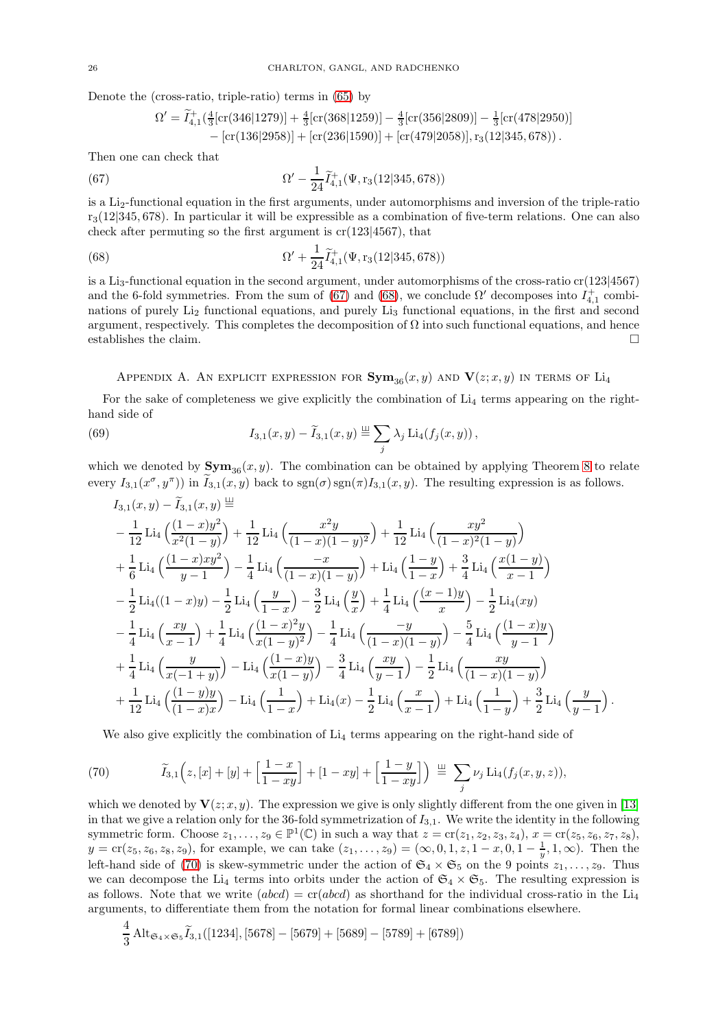Denote the (cross-ratio, triple-ratio) terms in [\(65\)](#page-24-1) by

<span id="page-25-2"></span><span id="page-25-1"></span>
$$
\Omega' = \widetilde{I}_{4,1}^+\left(\frac{4}{3}\left[\text{cr}\left(346|1279\right)\right]+\frac{4}{3}\left[\text{cr}\left(368|1259\right)\right]-\frac{4}{3}\left[\text{cr}\left(356|2809\right)\right]-\frac{1}{3}\left[\text{cr}\left(478|2950\right)\right]
$$

$$
-\left[\text{cr}\left(136|2958\right)\right]+\left[\text{cr}\left(236|1590\right)\right]+\left[\text{cr}\left(479|2058\right)\right],\text{r}_3\left(12|345,678\right)\right).
$$

Then one can check that

(67) 
$$
\Omega' - \frac{1}{24} \tilde{I}_{4,1}^+(\Psi, r_3(12|345, 678))
$$

is a Li2-functional equation in the first arguments, under automorphisms and inversion of the triple-ratio  $r_3(12|345, 678)$ . In particular it will be expressible as a combination of five-term relations. One can also check after permuting so the first argument is  $cr(123|4567)$ , that

(68) 
$$
\Omega' + \frac{1}{24} \widetilde{I}_{4,1}^+(\Psi, r_3(12|345, 678))
$$

is a Li<sub>3</sub>-functional equation in the second argument, under automorphisms of the cross-ratio  $cr(123|4567)$ and the 6-fold symmetries. From the sum of [\(67\)](#page-25-1) and [\(68\)](#page-25-2), we conclude  $\Omega'$  decomposes into  $I_{4,1}^+$  combinations of purely Li<sub>2</sub> functional equations, and purely Li<sub>3</sub> functional equations, in the first and second argument, respectively. This completes the decomposition of  $\Omega$  into such functional equations, and hence establishes the claim.  $\square$ 

<span id="page-25-0"></span>APPENDIX A. AN EXPLICIT EXPRESSION FOR  $Sym_{36}(x, y)$  and  $V(z; x, y)$  in terms of Li<sub>4</sub>

For the sake of completeness we give explicitly the combination of  $Li<sub>4</sub>$  terms appearing on the righthand side of

(69) 
$$
I_{3,1}(x,y) - \widetilde{I}_{3,1}(x,y) \stackrel{\perp\!\!\!\perp}{=} \sum_j \lambda_j \operatorname{Li}_4(f_j(x,y)),
$$

which we denoted by  $Sym_{36}(x, y)$ . The combination can be obtained by applying Theorem 8 to relate every  $I_{3,1}(x^{\sigma}, y^{\pi})$  in  $I_{3,1}(x, y)$  back to  $sgn(\sigma)sgn(\pi)I_{3,1}(x, y)$ . The resulting expression is as follows.

$$
I_{3,1}(x,y) - I_{3,1}(x,y) \stackrel{=}{=} -\frac{1}{12} \operatorname{Li}_4\left(\frac{(1-x)y^2}{x^2(1-y)}\right) + \frac{1}{12} \operatorname{Li}_4\left(\frac{x^2y}{(1-x)(1-y)^2}\right) + \frac{1}{12} \operatorname{Li}_4\left(\frac{xy^2}{(1-x)^2(1-y)}\right) + \frac{1}{6} \operatorname{Li}_4\left(\frac{(1-x)xy^2}{y-1}\right) - \frac{1}{4} \operatorname{Li}_4\left(\frac{-x}{(1-x)(1-y)}\right) + \operatorname{Li}_4\left(\frac{1-y}{1-x}\right) + \frac{3}{4} \operatorname{Li}_4\left(\frac{x(1-y)}{x-1}\right) - \frac{1}{2} \operatorname{Li}_4((1-x)y) - \frac{1}{2} \operatorname{Li}_4\left(\frac{y}{1-x}\right) - \frac{3}{2} \operatorname{Li}_4\left(\frac{y}{x}\right) + \frac{1}{4} \operatorname{Li}_4\left(\frac{(x-1)y}{x}\right) - \frac{1}{2} \operatorname{Li}_4(xy) - \frac{1}{4} \operatorname{Li}_4\left(\frac{xy}{x-1}\right) + \frac{1}{4} \operatorname{Li}_4\left(\frac{(1-x)^2y}{x(1-y)^2}\right) - \frac{1}{4} \operatorname{Li}_4\left(\frac{-y}{(1-x)(1-y)}\right) - \frac{5}{4} \operatorname{Li}_4\left(\frac{(1-x)y}{y-1}\right) + \frac{1}{4} \operatorname{Li}_4\left(\frac{y}{x(-1+y)}\right) - \operatorname{Li}_4\left(\frac{(1-x)y}{x(1-y)}\right) - \frac{3}{4} \operatorname{Li}_4\left(\frac{xy}{y-1}\right) - \frac{1}{2} \operatorname{Li}_4\left(\frac{xy}{(1-x)(1-y)}\right) + \frac{1}{12} \operatorname{Li}_4\left(\frac{(1-y)y}{(1-x)x}\right) - \operatorname{Li}_4\left(\frac{1}{1-x}\right) + \operatorname{Li}_4(x) - \frac{1}{2} \operatorname{Li}_4\left(\frac{x}{x-1}\right) + \operatorname{Li}_4\left(\frac{1}{1-y}\right) + \frac{3}{2} \operatorname{Li}_4\left(\frac{
$$

<span id="page-25-3"></span>We also give explicitly the combination of Li<sub>4</sub> terms appearing on the right-hand side of

(70) 
$$
\widetilde{I}_{3,1}\left(z,[x]+[y]+\left[\frac{1-x}{1-xy}\right]+[1-xy]+\left[\frac{1-y}{1-xy}\right]\right) \stackrel{\perp\!\!\!\perp}{=} \sum_j \nu_j \operatorname{Li}_4(f_j(x,y,z)),
$$

which we denoted by  $\mathbf{V}(z; x, y)$ . The expression we give is only slightly different from the one given in [\[13\]](#page-27-24) in that we give a relation only for the 36-fold symmetrization of  $I_{3,1}$ . We write the identity in the following symmetric form. Choose  $z_1, \ldots, z_9 \in \mathbb{P}^1(\mathbb{C})$  in such a way that  $z = cr(z_1, z_2, z_3, z_4), x = cr(z_5, z_6, z_7, z_8),$  $y = cr(z_5, z_6, z_8, z_9)$ , for example, we can take  $(z_1, \ldots, z_9) = (\infty, 0, 1, z, 1 - x, 0, 1 - \frac{1}{y}, 1, \infty)$ . Then the left-hand side of [\(70\)](#page-25-3) is skew-symmetric under the action of  $\mathfrak{S}_4 \times \mathfrak{S}_5$  on the 9 points  $z_1, \ldots, z_9$ . Thus we can decompose the Li<sub>4</sub> terms into orbits under the action of  $\mathfrak{S}_4 \times \mathfrak{S}_5$ . The resulting expression is as follows. Note that we write  $(abcd) = cr(abcd)$  as shorthand for the individual cross-ratio in the Li<sub>4</sub> arguments, to differentiate them from the notation for formal linear combinations elsewhere.

$$
\frac{4}{3}\,\text{Alt}_{\mathfrak{S}_4 \times \mathfrak{S}_5} \widetilde{I}_{3,1}([1234],[5678]-[5679]+[5689]-[5789]+[6789])
$$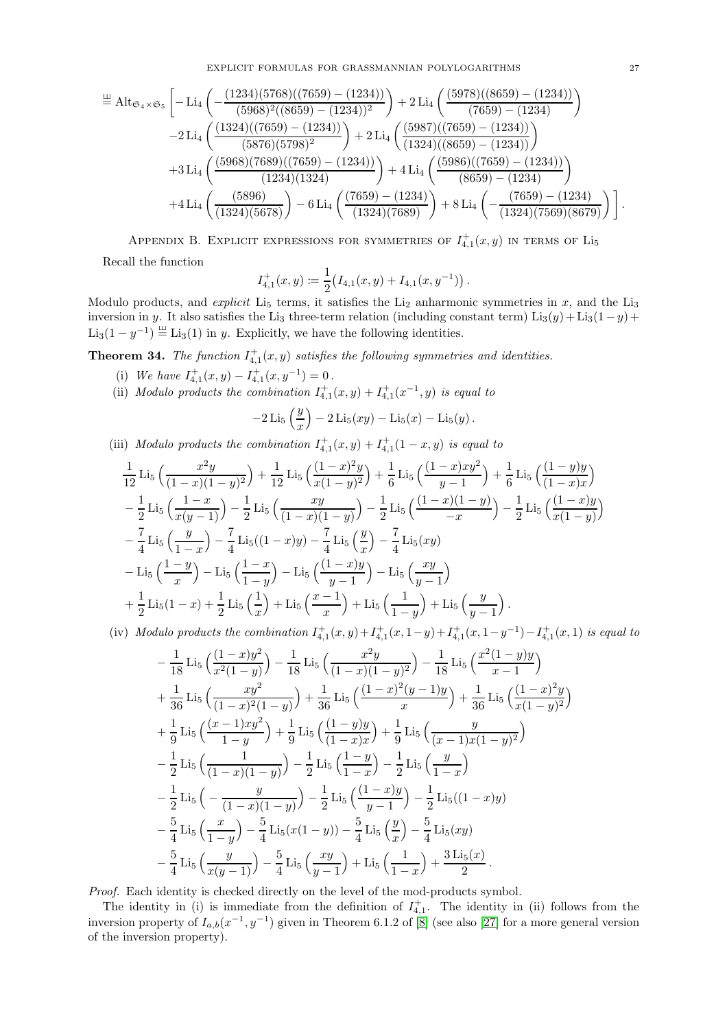$$
\overset{\text{def}}{=} \text{Alt}_{\mathfrak{S}_4 \times \mathfrak{S}_5} \left[ -\text{Li}_4 \left( -\frac{(1234)(5768)((7659) - (1234))}{(5968)^2((8659) - (1234))^2} \right) + 2 \text{Li}_4 \left( \frac{(5978)((8659) - (1234))}{(7659) - (1234)} \right) \right. \\ \left. -2 \text{Li}_4 \left( \frac{(1324)((7659) - (1234))}{(5876)(5798)^2} \right) + 2 \text{Li}_4 \left( \frac{(5987)((7659) - (1234))}{(1324)((8659) - (1234))} \right) \right. \\ \left. +3 \text{Li}_4 \left( \frac{(5968)(7689)((7659) - (1234))}{(1234)(1324)} \right) + 4 \text{Li}_4 \left( \frac{(5986)((7659) - (1234))}{(8659) - (1234)} \right) \right. \\ \left. +4 \text{Li}_4 \left( \frac{(5896)}{(1324)(5678)} \right) - 6 \text{Li}_4 \left( \frac{(7659) - (1234)}{(1324)(7689)} \right) + 8 \text{Li}_4 \left( -\frac{(7659) - (1234)}{(1324)(7569)(8679)} \right) \right].
$$

APPENDIX B. EXPLICIT EXPRESSIONS FOR SYMMETRIES OF  $I<sub>4,1</sub><sup>+</sup>(x, y)$  in terms of  $Li<sub>5</sub>$ 

<span id="page-26-0"></span>Recall the function

$$
I_{4,1}^+(x,y) := \frac{1}{2} (I_{4,1}(x,y) + I_{4,1}(x,y^{-1})).
$$

Modulo products, and *explicit* Li<sub>5</sub> terms, it satisfies the Li<sub>2</sub> anharmonic symmetries in  $x$ , and the Li<sub>3</sub> inversion in y. It also satisfies the Li<sub>3</sub> three-term relation (including constant term) Li<sub>3</sub>(y) + Li<sub>3</sub>(1-y) +  $\text{Li}_3(1 - y^{-1}) \stackrel{\perp}{=} \text{Li}_3(1)$  in y. Explicitly, we have the following identities.

**Theorem 34.** The function  $I_{4,1}^+(x,y)$  satisfies the following symmetries and identities.

- (i) We have  $I_{4,1}^+(x,y) I_{4,1}^+(x,y^{-1}) = 0$ .
- (ii) Modulo products the combination  $I_{4,1}^+(x,y) + I_{4,1}^+(x^{-1},y)$  is equal to

$$
-2 \text{Li}_5\left(\frac{y}{x}\right) - 2 \text{Li}_5(xy) - \text{Li}_5(x) - \text{Li}_5(y).
$$

(iii) Modulo products the combination  $I_{4,1}^+(x,y) + I_{4,1}^+(1-x,y)$  is equal to

$$
\frac{1}{12} \operatorname{Li}_5\left(\frac{x^2y}{(1-x)(1-y)^2}\right) + \frac{1}{12} \operatorname{Li}_5\left(\frac{(1-x)^2y}{x(1-y)^2}\right) + \frac{1}{6} \operatorname{Li}_5\left(\frac{(1-x)xy^2}{y-1}\right) + \frac{1}{6} \operatorname{Li}_5\left(\frac{(1-y)y}{(1-x)x}\right) \n- \frac{1}{2} \operatorname{Li}_5\left(\frac{1-x}{x(y-1)}\right) - \frac{1}{2} \operatorname{Li}_5\left(\frac{xy}{(1-x)(1-y)}\right) - \frac{1}{2} \operatorname{Li}_5\left(\frac{(1-x)(1-y)}{-x}\right) - \frac{1}{2} \operatorname{Li}_5\left(\frac{(1-x)y}{x(1-y)}\right) \n- \frac{7}{4} \operatorname{Li}_5\left(\frac{y}{1-x}\right) - \frac{7}{4} \operatorname{Li}_5((1-x)y) - \frac{7}{4} \operatorname{Li}_5\left(\frac{y}{x}\right) - \frac{7}{4} \operatorname{Li}_5(xy) \n- \operatorname{Li}_5\left(\frac{1-y}{x}\right) - \operatorname{Li}_5\left(\frac{1-x}{1-y}\right) - \operatorname{Li}_5\left(\frac{(1-x)y}{y-1}\right) - \operatorname{Li}_5\left(\frac{xy}{y-1}\right) \n+ \frac{1}{2} \operatorname{Li}_5(1-x) + \frac{1}{2} \operatorname{Li}_5\left(\frac{1}{x}\right) + \operatorname{Li}_5\left(\frac{x-1}{x}\right) + \operatorname{Li}_5\left(\frac{1}{1-y}\right) + \operatorname{Li}_5\left(\frac{y}{y-1}\right).
$$

(iv) Modulo products the combination  $I_{4,1}^+(x,y) + I_{4,1}^+(x,1-y) + I_{4,1}^+(x,1-y^{-1}) - I_{4,1}^+(x,1)$  is equal to

$$
-\frac{1}{18} \operatorname{Li}_5\left(\frac{(1-x)y^2}{x^2(1-y)}\right) - \frac{1}{18} \operatorname{Li}_5\left(\frac{x^2y}{(1-x)(1-y)^2}\right) - \frac{1}{18} \operatorname{Li}_5\left(\frac{x^2(1-y)y}{x-1}\right) + \frac{1}{36} \operatorname{Li}_5\left(\frac{xy^2}{(1-x)^2(1-y)}\right) + \frac{1}{36} \operatorname{Li}_5\left(\frac{(1-x)^2(y-1)y}{x}\right) + \frac{1}{36} \operatorname{Li}_5\left(\frac{(1-x)^2y}{x(1-y)^2}\right) + \frac{1}{9} \operatorname{Li}_5\left(\frac{(x-1)xy^2}{1-y}\right) + \frac{1}{9} \operatorname{Li}_5\left(\frac{(1-y)y}{(1-x)x}\right) + \frac{1}{9} \operatorname{Li}_5\left(\frac{y}{(x-1)x(1-y)^2}\right) - \frac{1}{2} \operatorname{Li}_5\left(\frac{1}{(1-x)(1-y)}\right) - \frac{1}{2} \operatorname{Li}_5\left(\frac{1-y}{1-x}\right) - \frac{1}{2} \operatorname{Li}_5\left(\frac{y}{1-x}\right) - \frac{1}{2} \operatorname{Li}_5\left(-\frac{y}{(1-x)(1-y)}\right) - \frac{1}{2} \operatorname{Li}_5\left(\frac{(1-x)y}{y-1}\right) - \frac{1}{2} \operatorname{Li}_5((1-x)y) - \frac{5}{4} \operatorname{Li}_5\left(\frac{x}{1-y}\right) - \frac{5}{4} \operatorname{Li}_5(x(1-y)) - \frac{5}{4} \operatorname{Li}_5\left(\frac{y}{x}\right) - \frac{5}{4} \operatorname{Li}_5(xy) - \frac{5}{4} \operatorname{Li}_5\left(\frac{y}{x(y-1)}\right) - \frac{5}{4} \operatorname{Li}_5\left(\frac{xy}{y-1}\right) + \operatorname{Li}_5\left(\frac{1}{1-x}\right) + \frac{3 \operatorname{Li}_5(x)}{2}.
$$

Proof. Each identity is checked directly on the level of the mod-products symbol.

The identity in (i) is immediate from the definition of  $I_{4,1}^+$ . The identity in (ii) follows from the inversion property of  $I_{a,b}(x^{-1},y^{-1})$  given in Theorem 6.1.2 of [\[8\]](#page-27-25) (see also [\[27\]](#page-27-30) for a more general version of the inversion property).